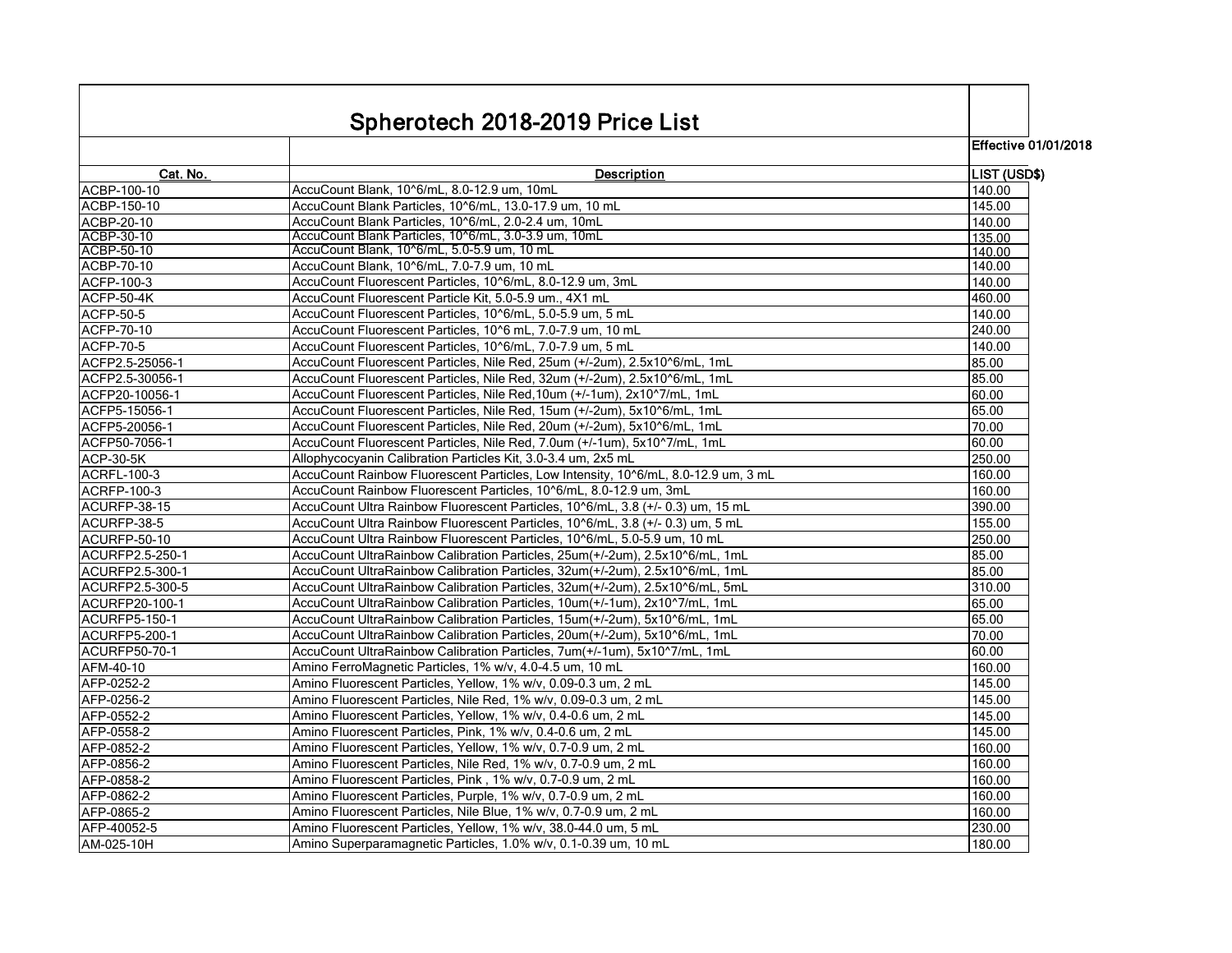|                       | Spherotech 2018-2019 Price List                                                    |                             |
|-----------------------|------------------------------------------------------------------------------------|-----------------------------|
|                       |                                                                                    | <b>Effective 01/01/2018</b> |
| Cat. No.              | <b>Description</b>                                                                 | LIST (USD\$)                |
| ACBP-100-10           | AccuCount Blank, 10^6/mL, 8.0-12.9 um, 10mL                                        | 140.00                      |
| ACBP-150-10           | AccuCount Blank Particles, 10^6/mL, 13.0-17.9 um, 10 mL                            | 145.00                      |
| ACBP-20-10            | AccuCount Blank Particles, 10^6/mL, 2.0-2.4 um, 10mL                               | 140.00                      |
| ACBP-30-10            | AccuCount Blank Particles, 10^6/mL, 3.0-3.9 um, 10mL                               | 135.00                      |
| ACBP-50-10            | AccuCount Blank, 10^6/mL, 5.0-5.9 um, 10 mL                                        | 140.00                      |
| ACBP-70-10            | AccuCount Blank, 10^6/mL, 7.0-7.9 um, 10 mL                                        | 140.00                      |
| <b>ACFP-100-3</b>     | AccuCount Fluorescent Particles, 10^6/mL, 8.0-12.9 um, 3mL                         | 140.00                      |
| <b>ACFP-50-4K</b>     | AccuCount Fluorescent Particle Kit, 5.0-5.9 um., 4X1 mL                            | 460.00                      |
| <b>ACFP-50-5</b>      | AccuCount Fluorescent Particles, 10^6/mL, 5.0-5.9 um, 5 mL                         | 140.00                      |
| <b>ACFP-70-10</b>     | AccuCount Fluorescent Particles, 10^6 mL, 7.0-7.9 um, 10 mL                        | 240.00                      |
| <b>ACFP-70-5</b>      | AccuCount Fluorescent Particles, 10^6/mL, 7.0-7.9 um, 5 mL                         | 140.00                      |
| ACFP2.5-25056-1       | AccuCount Fluorescent Particles, Nile Red, 25um (+/-2um), 2.5x10^6/mL, 1mL         | 85.00                       |
| ACFP2.5-30056-1       | AccuCount Fluorescent Particles, Nile Red, 32um (+/-2um), 2.5x10^6/mL, 1mL         | 85.00                       |
| ACFP20-10056-1        | AccuCount Fluorescent Particles, Nile Red, 10um (+/-1um), 2x10^7/mL, 1mL           | 60.00                       |
| ACFP5-15056-1         | AccuCount Fluorescent Particles, Nile Red, 15um (+/-2um), 5x10^6/mL, 1mL           | 65.00                       |
| ACFP5-20056-1         | AccuCount Fluorescent Particles, Nile Red, 20um (+/-2um), 5x10^6/mL, 1mL           | 70.00                       |
| ACFP50-7056-1         | AccuCount Fluorescent Particles, Nile Red, 7.0um (+/-1um), 5x10^7/mL, 1mL          | 60.00                       |
| <b>ACP-30-5K</b>      | Allophycocyanin Calibration Particles Kit, 3.0-3.4 um, 2x5 mL                      | 250.00                      |
| <b>ACRFL-100-3</b>    | AccuCount Rainbow Fluorescent Particles, Low Intensity, 10^6/mL, 8.0-12.9 um, 3 mL | 160.00                      |
| <b>ACRFP-100-3</b>    | AccuCount Rainbow Fluorescent Particles, 10^6/mL, 8.0-12.9 um, 3mL                 | 160.00                      |
| ACURFP-38-15          | AccuCount Ultra Rainbow Fluorescent Particles, 10^6/mL, 3.8 (+/- 0.3) um, 15 mL    | 390.00                      |
| ACURFP-38-5           | AccuCount Ultra Rainbow Fluorescent Particles, 10^6/mL, 3.8 (+/- 0.3) um, 5 mL     | 155.00                      |
| ACURFP-50-10          | AccuCount Ultra Rainbow Fluorescent Particles, 10^6/mL, 5.0-5.9 um, 10 mL          | 250.00                      |
| ACURFP2.5-250-1       | AccuCount UltraRainbow Calibration Particles, 25um(+/-2um), 2.5x10^6/mL, 1mL       | 85.00                       |
| ACURFP2.5-300-1       | AccuCount UltraRainbow Calibration Particles, 32um(+/-2um), 2.5x10^6/mL, 1mL       | 85.00                       |
| ACURFP2.5-300-5       | AccuCount UltraRainbow Calibration Particles, 32um(+/-2um), 2.5x10^6/mL, 5mL       | 310.00                      |
| <b>ACURFP20-100-1</b> | AccuCount UltraRainbow Calibration Particles, 10um(+/-1um), 2x10^7/mL, 1mL         | 65.00                       |
| <b>ACURFP5-150-1</b>  | AccuCount UltraRainbow Calibration Particles, 15um(+/-2um), 5x10^6/mL, 1mL         | 65.00                       |
| <b>ACURFP5-200-1</b>  | AccuCount UltraRainbow Calibration Particles, 20um(+/-2um), 5x10^6/mL, 1mL         | 70.00                       |
| <b>ACURFP50-70-1</b>  | AccuCount UltraRainbow Calibration Particles, 7um(+/-1um), 5x10^7/mL, 1mL          | 60.00                       |
| AFM-40-10             | Amino FerroMagnetic Particles, 1% w/v, 4.0-4.5 um, 10 mL                           | 160.00                      |
| AFP-0252-2            | Amino Fluorescent Particles, Yellow, 1% w/v, 0.09-0.3 um, 2 mL                     | 145.00                      |
| AFP-0256-2            | Amino Fluorescent Particles, Nile Red, 1% w/v, 0.09-0.3 um, 2 mL                   | 145.00                      |
| AFP-0552-2            | Amino Fluorescent Particles, Yellow, 1% w/v, 0.4-0.6 um, 2 mL                      | 145.00                      |
| AFP-0558-2            | Amino Fluorescent Particles, Pink, 1% w/v, 0.4-0.6 um, 2 mL                        | 145.00                      |
| AFP-0852-2            | Amino Fluorescent Particles, Yellow, 1% w/v, 0.7-0.9 um, 2 mL                      | 160.00                      |
| AFP-0856-2            | Amino Fluorescent Particles, Nile Red, 1% w/v, 0.7-0.9 um, 2 mL                    | 160.00                      |
| AFP-0858-2            | Amino Fluorescent Particles, Pink, 1% w/v, 0.7-0.9 um, 2 mL                        | 160.00                      |
| AFP-0862-2            | Amino Fluorescent Particles, Purple, 1% w/v, 0.7-0.9 um, 2 mL                      | 160.00                      |
| AFP-0865-2            | Amino Fluorescent Particles, Nile Blue, 1% w/v, 0.7-0.9 um, 2 mL                   | 160.00                      |
| AFP-40052-5           | Amino Fluorescent Particles, Yellow, 1% w/v, 38.0-44.0 um, 5 mL                    | 230.00                      |
| AM-025-10H            | Amino Superparamagnetic Particles, 1.0% w/v, 0.1-0.39 um, 10 mL                    | 180.00                      |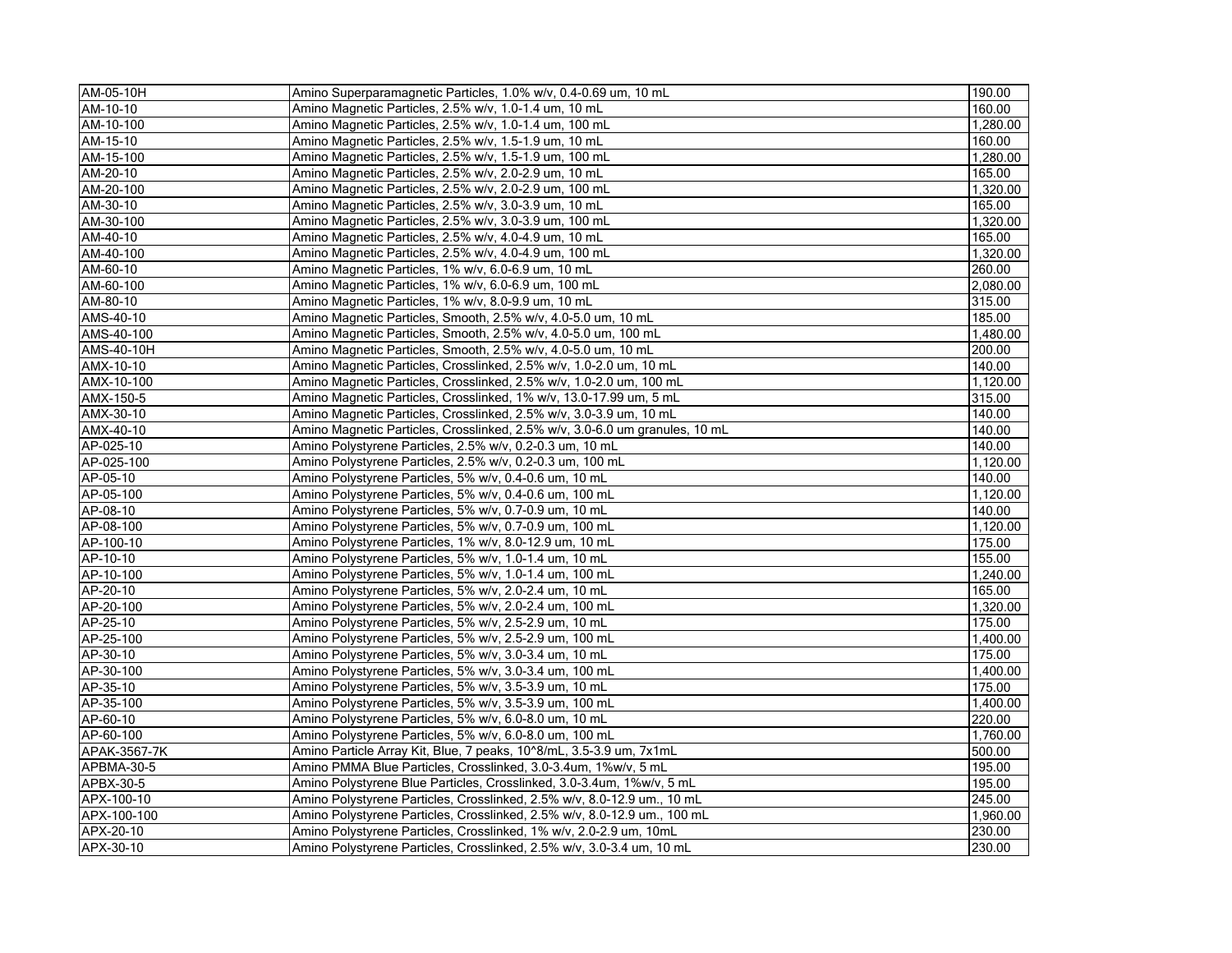| AM-05-10H    | Amino Superparamagnetic Particles, 1.0% w/v, 0.4-0.69 um, 10 mL             | 190.00   |
|--------------|-----------------------------------------------------------------------------|----------|
| AM-10-10     | Amino Magnetic Particles, 2.5% w/v, 1.0-1.4 um, 10 mL                       | 160.00   |
| AM-10-100    | Amino Magnetic Particles, 2.5% w/v, 1.0-1.4 um, 100 mL                      | 1,280.00 |
| AM-15-10     | Amino Magnetic Particles, 2.5% w/v, 1.5-1.9 um, 10 mL                       | 160.00   |
| AM-15-100    | Amino Magnetic Particles, 2.5% w/v, 1.5-1.9 um, 100 mL                      | 1,280.00 |
| AM-20-10     | Amino Magnetic Particles, 2.5% w/v, 2.0-2.9 um, 10 mL                       | 165.00   |
| AM-20-100    | Amino Magnetic Particles, 2.5% w/v, 2.0-2.9 um, 100 mL                      | 1,320.00 |
| AM-30-10     | Amino Magnetic Particles, 2.5% w/v, 3.0-3.9 um, 10 mL                       | 165.00   |
| AM-30-100    | Amino Magnetic Particles, 2.5% w/v, 3.0-3.9 um, 100 mL                      | 1.320.00 |
| AM-40-10     | Amino Magnetic Particles, 2.5% w/v, 4.0-4.9 um, 10 mL                       | 165.00   |
| AM-40-100    | Amino Magnetic Particles, 2.5% w/v, 4.0-4.9 um, 100 mL                      | 1,320.00 |
| AM-60-10     | Amino Magnetic Particles, 1% w/v, 6.0-6.9 um, 10 mL                         | 260.00   |
| AM-60-100    | Amino Magnetic Particles, 1% w/v, 6.0-6.9 um, 100 mL                        | 2,080.00 |
| AM-80-10     | Amino Magnetic Particles, 1% w/v, 8.0-9.9 um, 10 mL                         | 315.00   |
| AMS-40-10    | Amino Magnetic Particles, Smooth, 2.5% w/v, 4.0-5.0 um, 10 mL               | 185.00   |
| AMS-40-100   | Amino Magnetic Particles, Smooth, 2.5% w/v, 4.0-5.0 um, 100 mL              | 1,480.00 |
| AMS-40-10H   | Amino Magnetic Particles, Smooth, 2.5% w/v, 4.0-5.0 um, 10 mL               | 200.00   |
| AMX-10-10    | Amino Magnetic Particles, Crosslinked, 2.5% w/v, 1.0-2.0 um, 10 mL          | 140.00   |
| AMX-10-100   | Amino Magnetic Particles, Crosslinked, 2.5% w/v, 1.0-2.0 um, 100 mL         | 1.120.00 |
| AMX-150-5    | Amino Magnetic Particles, Crosslinked, 1% w/v, 13.0-17.99 um, 5 mL          | 315.00   |
| AMX-30-10    | Amino Magnetic Particles, Crosslinked, 2.5% w/v, 3.0-3.9 um, 10 mL          | 140.00   |
| AMX-40-10    | Amino Magnetic Particles, Crosslinked, 2.5% w/v, 3.0-6.0 um granules, 10 mL | 140.00   |
| AP-025-10    | Amino Polystyrene Particles, 2.5% w/v, 0.2-0.3 um, 10 mL                    | 140.00   |
| AP-025-100   | Amino Polystyrene Particles, 2.5% w/v, 0.2-0.3 um, 100 mL                   | 1,120.00 |
| AP-05-10     | Amino Polystyrene Particles, 5% w/v, 0.4-0.6 um, 10 mL                      | 140.00   |
| AP-05-100    | Amino Polystyrene Particles, 5% w/v, 0.4-0.6 um, 100 mL                     | 1,120.00 |
| AP-08-10     | Amino Polystyrene Particles, 5% w/v, 0.7-0.9 um, 10 mL                      | 140.00   |
| AP-08-100    | Amino Polystyrene Particles, 5% w/v, 0.7-0.9 um, 100 mL                     | 1.120.00 |
| AP-100-10    | Amino Polystyrene Particles, 1% w/v, 8.0-12.9 um, 10 mL                     | 175.00   |
| AP-10-10     | Amino Polystyrene Particles, 5% w/v, 1.0-1.4 um, 10 mL                      | 155.00   |
| AP-10-100    | Amino Polystyrene Particles, 5% w/v, 1.0-1.4 um, 100 mL                     | 1.240.00 |
| AP-20-10     | Amino Polystyrene Particles, 5% w/v, 2.0-2.4 um, 10 mL                      | 165.00   |
| AP-20-100    | Amino Polystyrene Particles, 5% w/v, 2.0-2.4 um, 100 mL                     | 1,320.00 |
| AP-25-10     | Amino Polystyrene Particles, 5% w/v, 2.5-2.9 um, 10 mL                      | 175.00   |
| AP-25-100    | Amino Polystyrene Particles, 5% w/v, 2.5-2.9 um, 100 mL                     | 1.400.00 |
| AP-30-10     | Amino Polystyrene Particles, 5% w/v, 3.0-3.4 um, 10 mL                      | 175.00   |
| AP-30-100    | Amino Polystyrene Particles, 5% w/v, 3.0-3.4 um, 100 mL                     | 1,400.00 |
| AP-35-10     | Amino Polystyrene Particles, 5% w/v, 3.5-3.9 um, 10 mL                      | 175.00   |
| AP-35-100    | Amino Polystyrene Particles, 5% w/v, 3.5-3.9 um, 100 mL                     | 1,400.00 |
| AP-60-10     | Amino Polystyrene Particles, 5% w/v, 6.0-8.0 um, 10 mL                      | 220.00   |
| AP-60-100    | Amino Polystyrene Particles, 5% w/v, 6.0-8.0 um, 100 mL                     | 1,760.00 |
| APAK-3567-7K | Amino Particle Array Kit, Blue, 7 peaks, 10^8/mL, 3.5-3.9 um, 7x1mL         | 500.00   |
| APBMA-30-5   | Amino PMMA Blue Particles, Crosslinked, 3.0-3.4um, 1%w/v, 5 mL              | 195.00   |
| APBX-30-5    | Amino Polystyrene Blue Particles, Crosslinked, 3.0-3.4um, 1%w/v, 5 mL       | 195.00   |
| APX-100-10   | Amino Polystyrene Particles, Crosslinked, 2.5% w/v, 8.0-12.9 um., 10 mL     | 245.00   |
| APX-100-100  | Amino Polystyrene Particles, Crosslinked, 2.5% w/v, 8.0-12.9 um., 100 mL    | 1,960.00 |
| APX-20-10    | Amino Polystyrene Particles, Crosslinked, 1% w/v, 2.0-2.9 um, 10mL          | 230.00   |
| APX-30-10    | Amino Polystyrene Particles, Crosslinked, 2.5% w/v, 3.0-3.4 um, 10 mL       | 230.00   |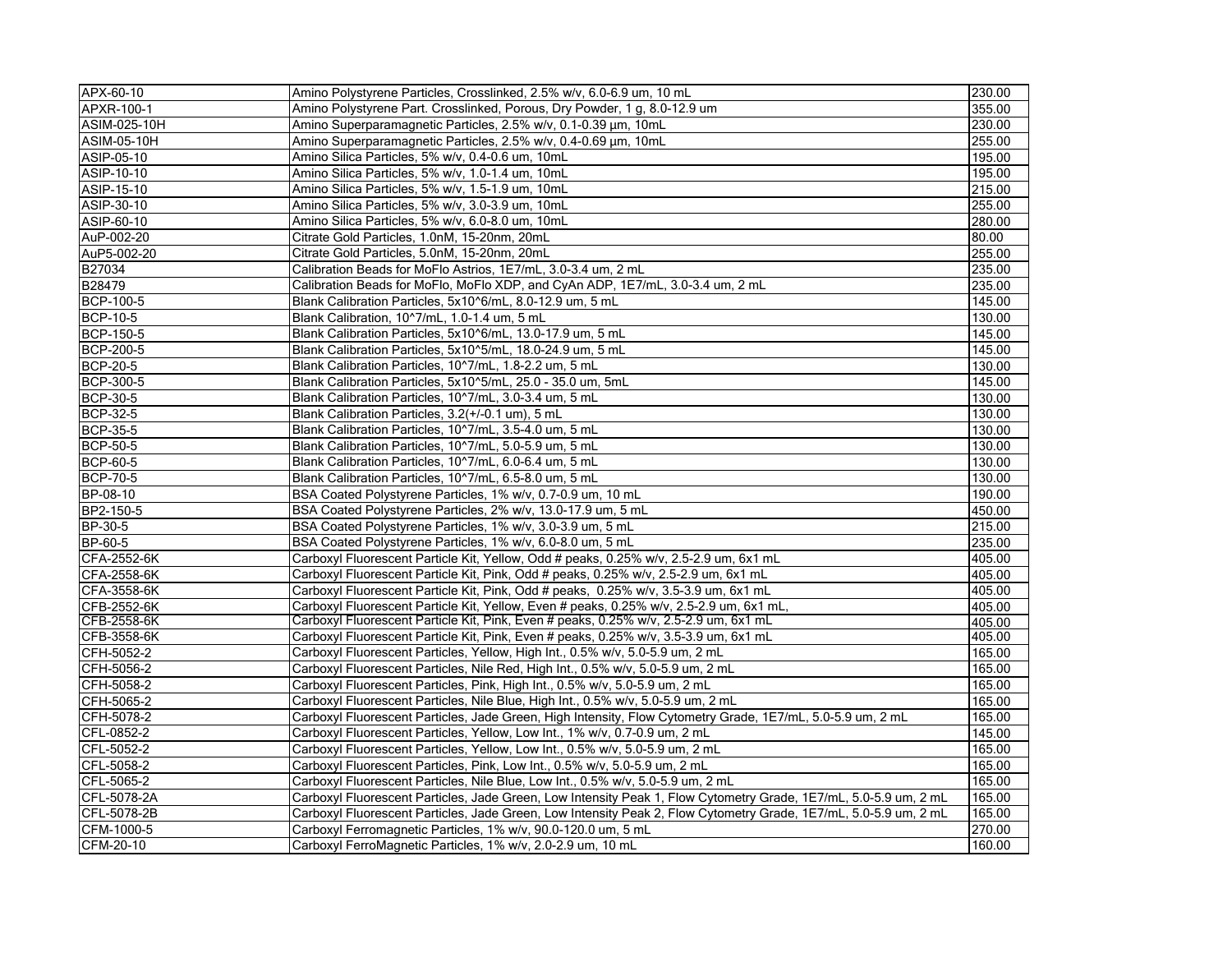| APX-60-10          | Amino Polystyrene Particles, Crosslinked, 2.5% w/v, 6.0-6.9 um, 10 mL                                            | 230.00 |
|--------------------|------------------------------------------------------------------------------------------------------------------|--------|
| APXR-100-1         | Amino Polystyrene Part. Crosslinked, Porous, Dry Powder, 1 g, 8.0-12.9 um                                        | 355.00 |
| ASIM-025-10H       | Amino Superparamagnetic Particles, 2.5% w/v, 0.1-0.39 μm, 10mL                                                   | 230.00 |
| <b>ASIM-05-10H</b> | Amino Superparamagnetic Particles, 2.5% w/v, 0.4-0.69 µm, 10mL                                                   | 255.00 |
| ASIP-05-10         | Amino Silica Particles, 5% w/v, 0.4-0.6 um, 10mL                                                                 | 195.00 |
| ASIP-10-10         | Amino Silica Particles, 5% w/v, 1.0-1.4 um, 10mL                                                                 | 195.00 |
| ASIP-15-10         | Amino Silica Particles, 5% w/v, 1.5-1.9 um, 10mL                                                                 | 215.00 |
| ASIP-30-10         | Amino Silica Particles, 5% w/v, 3.0-3.9 um, 10mL                                                                 | 255.00 |
| ASIP-60-10         | Amino Silica Particles, 5% w/v, 6.0-8.0 um, 10mL                                                                 | 280.00 |
| AuP-002-20         | Citrate Gold Particles, 1.0nM, 15-20nm, 20mL                                                                     | 80.00  |
| AuP5-002-20        | Citrate Gold Particles, 5.0nM, 15-20nm, 20mL                                                                     | 255.00 |
| B27034             | Calibration Beads for MoFlo Astrios, 1E7/mL, 3.0-3.4 um, 2 mL                                                    | 235.00 |
| B28479             | Calibration Beads for MoFlo, MoFlo XDP, and CyAn ADP, 1E7/mL, 3.0-3.4 um, 2 mL                                   | 235.00 |
| <b>BCP-100-5</b>   | Blank Calibration Particles, 5x10^6/mL, 8.0-12.9 um, 5 mL                                                        | 145.00 |
| <b>BCP-10-5</b>    | Blank Calibration, 10^7/mL, 1.0-1.4 um, 5 mL                                                                     | 130.00 |
| <b>BCP-150-5</b>   | Blank Calibration Particles, 5x10^6/mL, 13.0-17.9 um, 5 mL                                                       | 145.00 |
| <b>BCP-200-5</b>   | Blank Calibration Particles, 5x10^5/mL, 18.0-24.9 um, 5 mL                                                       | 145.00 |
| <b>BCP-20-5</b>    | Blank Calibration Particles, 10^7/mL, 1.8-2.2 um, 5 mL                                                           | 130.00 |
| <b>BCP-300-5</b>   | Blank Calibration Particles, 5x10^5/mL, 25.0 - 35.0 um, 5mL                                                      | 145.00 |
| <b>BCP-30-5</b>    | Blank Calibration Particles, 10^7/mL, 3.0-3.4 um, 5 mL                                                           | 130.00 |
| <b>BCP-32-5</b>    | Blank Calibration Particles, 3.2(+/-0.1 um), 5 mL                                                                | 130.00 |
| <b>BCP-35-5</b>    | Blank Calibration Particles, 10^7/mL, 3.5-4.0 um, 5 mL                                                           | 130.00 |
| <b>BCP-50-5</b>    | Blank Calibration Particles, 10^7/mL, 5.0-5.9 um, 5 mL                                                           | 130.00 |
| <b>BCP-60-5</b>    | Blank Calibration Particles, 10^7/mL, 6.0-6.4 um, 5 mL                                                           | 130.00 |
| <b>BCP-70-5</b>    | Blank Calibration Particles, 10^7/mL, 6.5-8.0 um, 5 mL                                                           | 130.00 |
| BP-08-10           | BSA Coated Polystyrene Particles, 1% w/v, 0.7-0.9 um, 10 mL                                                      | 190.00 |
| BP2-150-5          | BSA Coated Polystyrene Particles, 2% w/v, 13.0-17.9 um, 5 mL                                                     | 450.00 |
| BP-30-5            | BSA Coated Polystyrene Particles, 1% w/v, 3.0-3.9 um, 5 mL                                                       | 215.00 |
| BP-60-5            | BSA Coated Polystyrene Particles, 1% w/v, 6.0-8.0 um, 5 mL                                                       | 235.00 |
| CFA-2552-6K        | Carboxyl Fluorescent Particle Kit, Yellow, Odd # peaks, 0.25% w/v, 2.5-2.9 um, 6x1 mL                            | 405.00 |
| CFA-2558-6K        | Carboxyl Fluorescent Particle Kit, Pink, Odd # peaks, 0.25% w/v, 2.5-2.9 um, 6x1 mL                              | 405.00 |
| CFA-3558-6K        | Carboxyl Fluorescent Particle Kit, Pink, Odd # peaks, 0.25% w/v, 3.5-3.9 um, 6x1 mL                              | 405.00 |
| CFB-2552-6K        | Carboxyl Fluorescent Particle Kit, Yellow, Even # peaks, 0.25% w/v, 2.5-2.9 um, 6x1 mL,                          | 405.00 |
| CFB-2558-6K        | Carboxyl Fluorescent Particle Kit, Pink, Even # peaks, 0.25% w/v, 2.5-2.9 um, 6x1 mL                             | 405.00 |
| CFB-3558-6K        | Carboxyl Fluorescent Particle Kit, Pink, Even # peaks, 0.25% w/v, 3.5-3.9 um, 6x1 mL                             | 405.00 |
| CFH-5052-2         | Carboxyl Fluorescent Particles, Yellow, High Int., 0.5% w/v, 5.0-5.9 um, 2 mL                                    | 165.00 |
| CFH-5056-2         | Carboxyl Fluorescent Particles, Nile Red, High Int., 0.5% w/v, 5.0-5.9 um, 2 mL                                  | 165.00 |
| CFH-5058-2         | Carboxyl Fluorescent Particles, Pink, High Int., 0.5% w/v, 5.0-5.9 um, 2 mL                                      | 165.00 |
| CFH-5065-2         | Carboxyl Fluorescent Particles, Nile Blue, High Int., 0.5% w/v, 5.0-5.9 um, 2 mL                                 | 165.00 |
| CFH-5078-2         | Carboxyl Fluorescent Particles, Jade Green, High Intensity, Flow Cytometry Grade, 1E7/mL, 5.0-5.9 um, 2 mL       | 165.00 |
| CFL-0852-2         | Carboxyl Fluorescent Particles, Yellow, Low Int., 1% w/v, 0.7-0.9 um, 2 mL                                       | 145.00 |
| CFL-5052-2         | Carboxyl Fluorescent Particles, Yellow, Low Int., 0.5% w/v, 5.0-5.9 um, 2 mL                                     | 165.00 |
| CFL-5058-2         | Carboxyl Fluorescent Particles, Pink, Low Int., 0.5% w/v, 5.0-5.9 um, 2 mL                                       | 165.00 |
| CFL-5065-2         | Carboxyl Fluorescent Particles, Nile Blue, Low Int., 0.5% w/v, 5.0-5.9 um, 2 mL                                  | 165.00 |
| CFL-5078-2A        | Carboxyl Fluorescent Particles, Jade Green, Low Intensity Peak 1, Flow Cytometry Grade, 1E7/mL, 5.0-5.9 um, 2 mL | 165.00 |
| CFL-5078-2B        | Carboxyl Fluorescent Particles, Jade Green, Low Intensity Peak 2, Flow Cytometry Grade, 1E7/mL, 5.0-5.9 um, 2 mL | 165.00 |
| CFM-1000-5         | Carboxyl Ferromagnetic Particles, 1% w/v, 90.0-120.0 um, 5 mL                                                    | 270.00 |
| CFM-20-10          | Carboxyl FerroMagnetic Particles, 1% w/v, 2.0-2.9 um, 10 mL                                                      | 160.00 |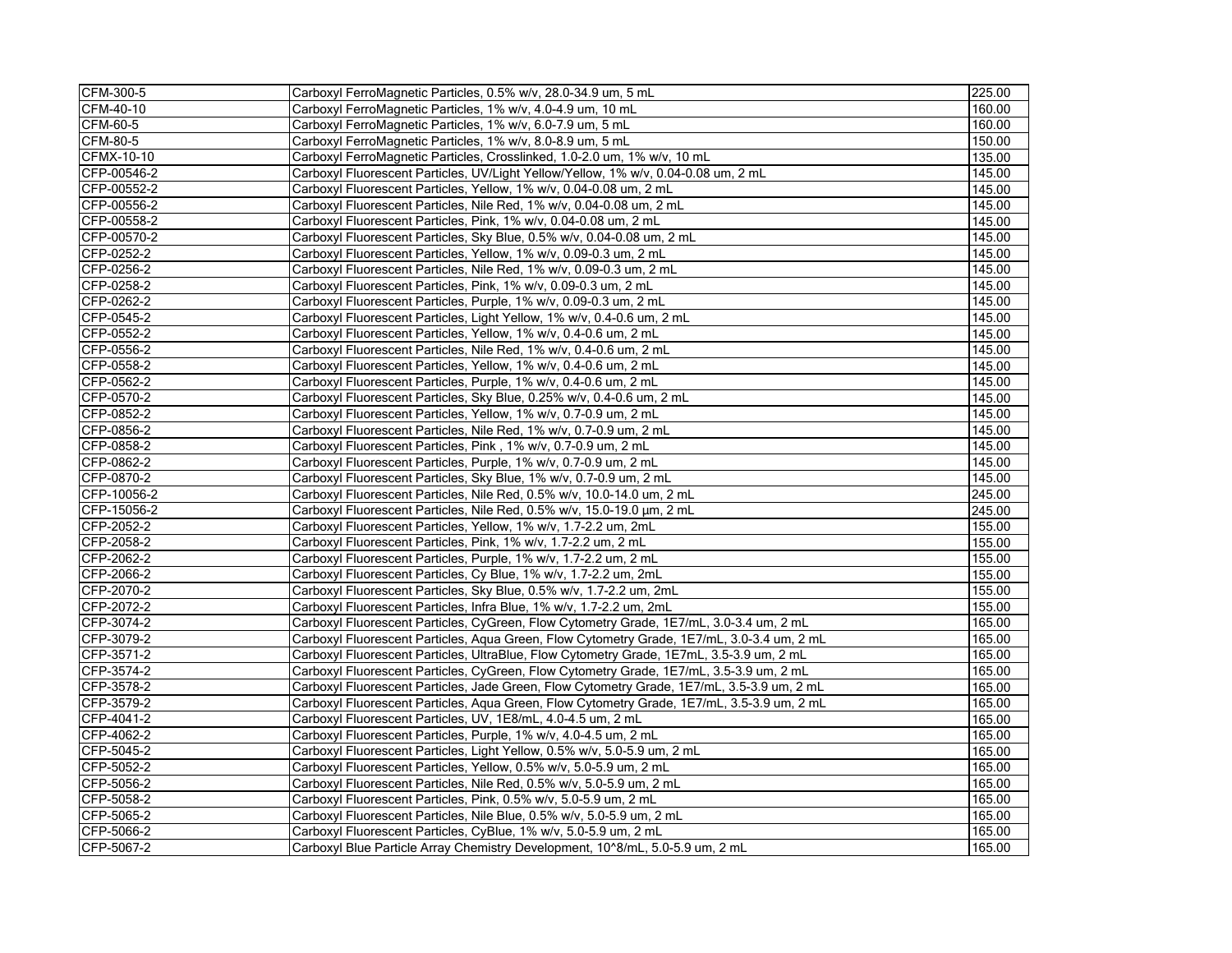| CFM-300-5       | Carboxyl FerroMagnetic Particles, 0.5% w/v, 28.0-34.9 um, 5 mL                             | 225.00 |
|-----------------|--------------------------------------------------------------------------------------------|--------|
| CFM-40-10       | Carboxyl FerroMagnetic Particles, 1% w/v, 4.0-4.9 um, 10 mL                                | 160.00 |
| CFM-60-5        | Carboxyl FerroMagnetic Particles, 1% w/v, 6.0-7.9 um, 5 mL                                 | 160.00 |
| <b>CFM-80-5</b> | Carboxyl FerroMagnetic Particles, 1% w/v, 8.0-8.9 um, 5 mL                                 | 150.00 |
| CFMX-10-10      | Carboxyl FerroMagnetic Particles, Crosslinked, 1.0-2.0 um, 1% w/v, 10 mL                   | 135.00 |
| CFP-00546-2     | Carboxyl Fluorescent Particles, UV/Light Yellow/Yellow, 1% w/v, 0.04-0.08 um, 2 mL         | 145.00 |
| CFP-00552-2     | Carboxyl Fluorescent Particles, Yellow, 1% w/v, 0.04-0.08 um, 2 mL                         | 145.00 |
| CFP-00556-2     | Carboxyl Fluorescent Particles, Nile Red, 1% w/v, 0.04-0.08 um, 2 mL                       | 145.00 |
| CFP-00558-2     | Carboxyl Fluorescent Particles, Pink, 1% w/v, 0.04-0.08 um, 2 mL                           | 145.00 |
| CFP-00570-2     | Carboxyl Fluorescent Particles, Sky Blue, 0.5% w/v, 0.04-0.08 um, 2 mL                     | 145.00 |
| CFP-0252-2      | Carboxyl Fluorescent Particles, Yellow, 1% w/v, 0.09-0.3 um, 2 mL                          | 145.00 |
| CFP-0256-2      | Carboxyl Fluorescent Particles, Nile Red, 1% w/v, 0.09-0.3 um, 2 mL                        | 145.00 |
| CFP-0258-2      | Carboxyl Fluorescent Particles, Pink, 1% w/v, 0.09-0.3 um, 2 mL                            | 145.00 |
| CFP-0262-2      | Carboxyl Fluorescent Particles, Purple, 1% w/v, 0.09-0.3 um, 2 mL                          | 145.00 |
| CFP-0545-2      | Carboxyl Fluorescent Particles, Light Yellow, 1% w/v, 0.4-0.6 um, 2 mL                     | 145.00 |
| CFP-0552-2      | Carboxyl Fluorescent Particles, Yellow, 1% w/v, 0.4-0.6 um, 2 mL                           | 145.00 |
| CFP-0556-2      | Carboxyl Fluorescent Particles, Nile Red, 1% w/v, 0.4-0.6 um, 2 mL                         | 145.00 |
| CFP-0558-2      | Carboxyl Fluorescent Particles, Yellow, 1% w/v, 0.4-0.6 um, 2 mL                           | 145.00 |
| CFP-0562-2      | Carboxyl Fluorescent Particles, Purple, 1% w/v, 0.4-0.6 um, 2 mL                           | 145.00 |
| CFP-0570-2      | Carboxyl Fluorescent Particles, Sky Blue, 0.25% w/v, 0.4-0.6 um, 2 mL                      | 145.00 |
| CFP-0852-2      | Carboxyl Fluorescent Particles, Yellow, 1% w/v, 0.7-0.9 um, 2 mL                           | 145.00 |
| CFP-0856-2      | Carboxyl Fluorescent Particles, Nile Red, 1% w/v, 0.7-0.9 um, 2 mL                         | 145.00 |
| CFP-0858-2      | Carboxyl Fluorescent Particles, Pink, 1% w/v, 0.7-0.9 um, 2 mL                             | 145.00 |
| CFP-0862-2      | Carboxyl Fluorescent Particles, Purple, 1% w/v, 0.7-0.9 um, 2 mL                           | 145.00 |
| CFP-0870-2      | Carboxyl Fluorescent Particles, Sky Blue, 1% w/v, 0.7-0.9 um, 2 mL                         | 145.00 |
| CFP-10056-2     | Carboxyl Fluorescent Particles, Nile Red, 0.5% w/v, 10.0-14.0 um, 2 mL                     | 245.00 |
| CFP-15056-2     | Carboxyl Fluorescent Particles, Nile Red, 0.5% w/v, 15.0-19.0 µm, 2 mL                     | 245.00 |
| CFP-2052-2      | Carboxyl Fluorescent Particles, Yellow, 1% w/v, 1.7-2.2 um, 2mL                            | 155.00 |
| CFP-2058-2      | Carboxyl Fluorescent Particles, Pink, 1% w/v, 1.7-2.2 um, 2 mL                             | 155.00 |
| CFP-2062-2      | Carboxyl Fluorescent Particles, Purple, 1% w/v, 1.7-2.2 um, 2 mL                           | 155.00 |
| CFP-2066-2      | Carboxyl Fluorescent Particles, Cy Blue, 1% w/v, 1.7-2.2 um, 2mL                           | 155.00 |
| CFP-2070-2      | Carboxyl Fluorescent Particles, Sky Blue, 0.5% w/v, 1.7-2.2 um, 2mL                        | 155.00 |
| CFP-2072-2      | Carboxyl Fluorescent Particles, Infra Blue, 1% w/v, 1.7-2.2 um, 2mL                        | 155.00 |
| CFP-3074-2      | Carboxyl Fluorescent Particles, CyGreen, Flow Cytometry Grade, 1E7/mL, 3.0-3.4 um, 2 mL    | 165.00 |
| CFP-3079-2      | Carboxyl Fluorescent Particles, Aqua Green, Flow Cytometry Grade, 1E7/mL, 3.0-3.4 um, 2 mL | 165.00 |
| CFP-3571-2      | Carboxyl Fluorescent Particles, UltraBlue, Flow Cytometry Grade, 1E7mL, 3.5-3.9 um, 2 mL   | 165.00 |
| CFP-3574-2      | Carboxyl Fluorescent Particles, CyGreen, Flow Cytometry Grade, 1E7/mL, 3.5-3.9 um, 2 mL    | 165.00 |
| CFP-3578-2      | Carboxyl Fluorescent Particles, Jade Green, Flow Cytometry Grade, 1E7/mL, 3.5-3.9 um, 2 mL | 165.00 |
| CFP-3579-2      | Carboxyl Fluorescent Particles, Aqua Green, Flow Cytometry Grade, 1E7/mL, 3.5-3.9 um, 2 mL | 165.00 |
| CFP-4041-2      | Carboxyl Fluorescent Particles, UV, 1E8/mL, 4.0-4.5 um, 2 mL                               | 165.00 |
| CFP-4062-2      | Carboxyl Fluorescent Particles, Purple, 1% w/v, 4.0-4.5 um, 2 mL                           | 165.00 |
| CFP-5045-2      | Carboxyl Fluorescent Particles, Light Yellow, 0.5% w/v, 5.0-5.9 um, 2 mL                   | 165.00 |
| CFP-5052-2      | Carboxyl Fluorescent Particles, Yellow, 0.5% w/v, 5.0-5.9 um, 2 mL                         | 165.00 |
| CFP-5056-2      | Carboxyl Fluorescent Particles, Nile Red, 0.5% w/v, 5.0-5.9 um, 2 mL                       | 165.00 |
| CFP-5058-2      | Carboxyl Fluorescent Particles, Pink, 0.5% w/v, 5.0-5.9 um, 2 mL                           | 165.00 |
| CFP-5065-2      | Carboxyl Fluorescent Particles, Nile Blue, 0.5% w/v, 5.0-5.9 um, 2 mL                      | 165.00 |
| CFP-5066-2      | Carboxyl Fluorescent Particles, CyBlue, 1% w/v, 5.0-5.9 um, 2 mL                           | 165.00 |
| CFP-5067-2      | Carboxyl Blue Particle Array Chemistry Development, 10^8/mL, 5.0-5.9 um, 2 mL              | 165.00 |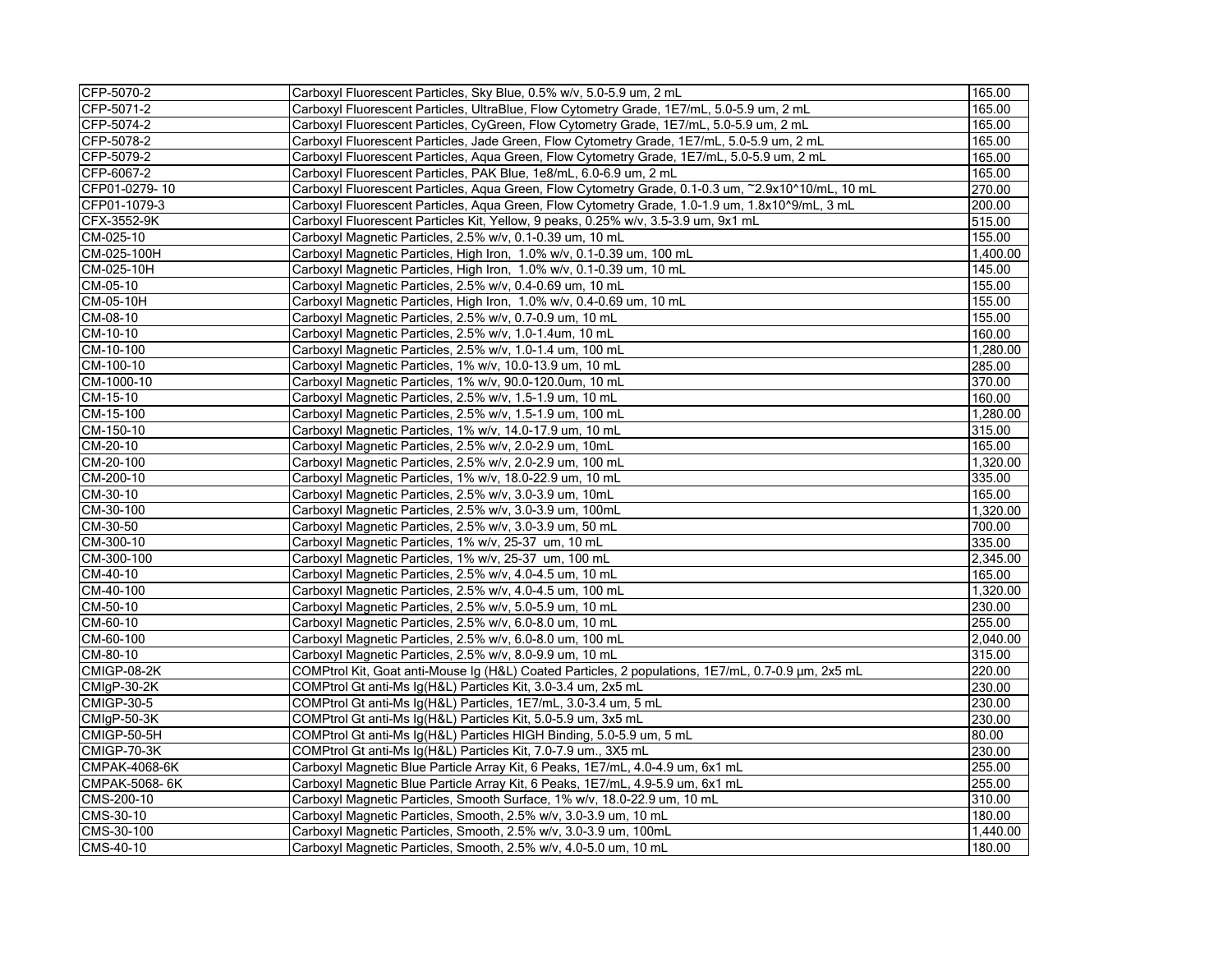| CFP-5070-2           | Carboxyl Fluorescent Particles, Sky Blue, 0.5% w/v, 5.0-5.9 um, 2 mL                               | 165.00   |
|----------------------|----------------------------------------------------------------------------------------------------|----------|
| CFP-5071-2           | Carboxyl Fluorescent Particles, UltraBlue, Flow Cytometry Grade, 1E7/mL, 5.0-5.9 um, 2 mL          | 165.00   |
| CFP-5074-2           | Carboxyl Fluorescent Particles, CyGreen, Flow Cytometry Grade, 1E7/mL, 5.0-5.9 um, 2 mL            | 165.00   |
| CFP-5078-2           | Carboxyl Fluorescent Particles, Jade Green, Flow Cytometry Grade, 1E7/mL, 5.0-5.9 um, 2 mL         | 165.00   |
| CFP-5079-2           | Carboxyl Fluorescent Particles, Aqua Green, Flow Cytometry Grade, 1E7/mL, 5.0-5.9 um, 2 mL         | 165.00   |
| CFP-6067-2           | Carboxyl Fluorescent Particles, PAK Blue, 1e8/mL, 6.0-6.9 um, 2 mL                                 | 165.00   |
| CFP01-0279-10        | Carboxyl Fluorescent Particles, Aqua Green, Flow Cytometry Grade, 0.1-0.3 um, ~2.9x10^10/mL, 10 mL | 270.00   |
| CFP01-1079-3         | Carboxyl Fluorescent Particles, Agua Green, Flow Cytometry Grade, 1.0-1.9 um, 1.8x10^9/mL, 3 mL    | 200.00   |
| CFX-3552-9K          | Carboxyl Fluorescent Particles Kit, Yellow, 9 peaks, 0.25% w/v, 3.5-3.9 um, 9x1 mL                 | 515.00   |
| CM-025-10            | Carboxyl Magnetic Particles, 2.5% w/v, 0.1-0.39 um, 10 mL                                          | 155.00   |
| CM-025-100H          | Carboxyl Magnetic Particles, High Iron, 1.0% w/v, 0.1-0.39 um, 100 mL                              | 1,400.00 |
| CM-025-10H           | Carboxyl Magnetic Particles, High Iron, 1.0% w/v, 0.1-0.39 um, 10 mL                               | 145.00   |
| CM-05-10             | Carboxyl Magnetic Particles, 2.5% w/v, 0.4-0.69 um, 10 mL                                          | 155.00   |
| CM-05-10H            | Carboxyl Magnetic Particles, High Iron, 1.0% w/v, 0.4-0.69 um, 10 mL                               | 155.00   |
| CM-08-10             | Carboxyl Magnetic Particles, 2.5% w/v, 0.7-0.9 um, 10 mL                                           | 155.00   |
| CM-10-10             | Carboxyl Magnetic Particles, 2.5% w/v, 1.0-1.4um, 10 mL                                            | 160.00   |
| CM-10-100            | Carboxyl Magnetic Particles, 2.5% w/v, 1.0-1.4 um, 100 mL                                          | 1,280.00 |
| CM-100-10            | Carboxyl Magnetic Particles, 1% w/v, 10.0-13.9 um, 10 mL                                           | 285.00   |
| CM-1000-10           | Carboxyl Magnetic Particles, 1% w/v, 90.0-120.0um, 10 mL                                           | 370.00   |
| CM-15-10             | Carboxyl Magnetic Particles, 2.5% w/v, 1.5-1.9 um, 10 mL                                           | 160.00   |
| CM-15-100            | Carboxyl Magnetic Particles, 2.5% w/v, 1.5-1.9 um, 100 mL                                          | 1,280.00 |
| CM-150-10            | Carboxyl Magnetic Particles, 1% w/v, 14.0-17.9 um, 10 mL                                           | 315.00   |
| CM-20-10             | Carboxyl Magnetic Particles, 2.5% w/v, 2.0-2.9 um, 10mL                                            | 165.00   |
| CM-20-100            | Carboxyl Magnetic Particles, 2.5% w/v, 2.0-2.9 um, 100 mL                                          | 1,320.00 |
| CM-200-10            | Carboxyl Magnetic Particles, 1% w/v, 18.0-22.9 um, 10 mL                                           | 335.00   |
| CM-30-10             | Carboxyl Magnetic Particles, 2.5% w/v, 3.0-3.9 um, 10mL                                            | 165.00   |
| CM-30-100            | Carboxyl Magnetic Particles, 2.5% w/v, 3.0-3.9 um, 100mL                                           | 1,320.00 |
| CM-30-50             | Carboxyl Magnetic Particles, 2.5% w/v, 3.0-3.9 um, 50 mL                                           | 700.00   |
| CM-300-10            | Carboxyl Magnetic Particles, 1% w/v, 25-37 um, 10 mL                                               | 335.00   |
| CM-300-100           | Carboxyl Magnetic Particles, 1% w/v, 25-37 um, 100 mL                                              | 2,345.00 |
| CM-40-10             | Carboxyl Magnetic Particles, 2.5% w/v, 4.0-4.5 um, 10 mL                                           | 165.00   |
| CM-40-100            | Carboxyl Magnetic Particles, 2.5% w/v, 4.0-4.5 um, 100 mL                                          | 1,320.00 |
| CM-50-10             | Carboxyl Magnetic Particles, 2.5% w/v, 5.0-5.9 um, 10 mL                                           | 230.00   |
| CM-60-10             | Carboxyl Magnetic Particles, 2.5% w/v, 6.0-8.0 um, 10 mL                                           | 255.00   |
| CM-60-100            | Carboxyl Magnetic Particles, 2.5% w/v, 6.0-8.0 um, 100 mL                                          | 2.040.00 |
| CM-80-10             | Carboxyl Magnetic Particles, 2.5% w/v, 8.0-9.9 um, 10 mL                                           | 315.00   |
| <b>CMIGP-08-2K</b>   | COMPtrol Kit, Goat anti-Mouse Ig (H&L) Coated Particles, 2 populations, 1E7/mL, 0.7-0.9 µm, 2x5 mL | 220.00   |
| CMIqP-30-2K          | COMPtrol Gt anti-Ms Ig(H&L) Particles Kit, 3.0-3.4 um, 2x5 mL                                      | 230.00   |
| <b>CMIGP-30-5</b>    | COMPtrol Gt anti-Ms Ig(H&L) Particles, 1E7/mL, 3.0-3.4 um, 5 mL                                    | 230.00   |
| CMIqP-50-3K          | COMPtrol Gt anti-Ms Ig(H&L) Particles Kit, 5.0-5.9 um, 3x5 mL                                      | 230.00   |
| <b>CMIGP-50-5H</b>   | COMPtrol Gt anti-Ms Ig(H&L) Particles HIGH Binding, 5.0-5.9 um, 5 mL                               | 80.00    |
| CMIGP-70-3K          | COMPtrol Gt anti-Ms Ig(H&L) Particles Kit, 7.0-7.9 um., 3X5 mL                                     | 230.00   |
| <b>CMPAK-4068-6K</b> | Carboxyl Magnetic Blue Particle Array Kit, 6 Peaks, 1E7/mL, 4.0-4.9 um, 6x1 mL                     | 255.00   |
| CMPAK-5068-6K        | Carboxyl Magnetic Blue Particle Array Kit, 6 Peaks, 1E7/mL, 4.9-5.9 um, 6x1 mL                     | 255.00   |
| CMS-200-10           | Carboxyl Magnetic Particles, Smooth Surface, 1% w/v, 18.0-22.9 um, 10 mL                           | 310.00   |
| CMS-30-10            | Carboxyl Magnetic Particles, Smooth, 2.5% w/v, 3.0-3.9 um, 10 mL                                   | 180.00   |
| CMS-30-100           | Carboxyl Magnetic Particles, Smooth, 2.5% w/v, 3.0-3.9 um, 100mL                                   | 1,440.00 |
| CMS-40-10            | Carboxyl Magnetic Particles, Smooth, 2.5% w/v, 4.0-5.0 um, 10 mL                                   | 180.00   |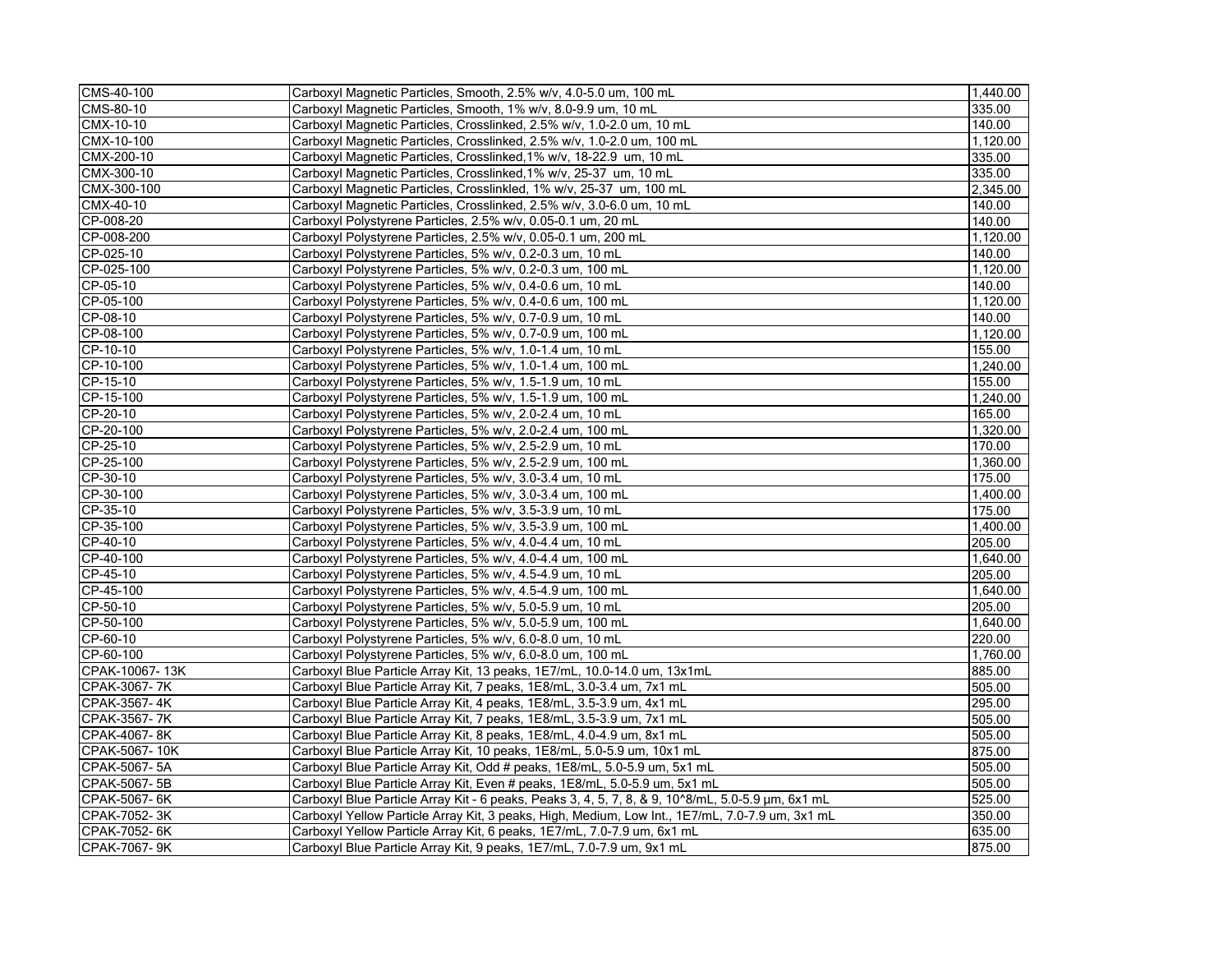| CMS-40-100     | Carboxyl Magnetic Particles, Smooth, 2.5% w/v, 4.0-5.0 um, 100 mL                                 | 1,440.00 |
|----------------|---------------------------------------------------------------------------------------------------|----------|
| CMS-80-10      | Carboxyl Magnetic Particles, Smooth, 1% w/v, 8.0-9.9 um, 10 mL                                    | 335.00   |
| CMX-10-10      | Carboxyl Magnetic Particles, Crosslinked, 2.5% w/v, 1.0-2.0 um, 10 mL                             | 140.00   |
| CMX-10-100     | Carboxyl Magnetic Particles, Crosslinked, 2.5% w/v, 1.0-2.0 um, 100 mL                            | 1.120.00 |
| CMX-200-10     | Carboxyl Magnetic Particles, Crosslinked, 1% w/v, 18-22.9 um, 10 mL                               | 335.00   |
| CMX-300-10     | Carboxyl Magnetic Particles, Crosslinked, 1% w/v, 25-37 um, 10 mL                                 | 335.00   |
| CMX-300-100    | Carboxyl Magnetic Particles, Crosslinkled, 1% w/v, 25-37 um, 100 mL                               | 2,345.00 |
| CMX-40-10      | Carboxyl Magnetic Particles, Crosslinked, 2.5% w/v, 3.0-6.0 um, 10 mL                             | 140.00   |
| CP-008-20      | Carboxyl Polystyrene Particles, 2.5% w/v, 0.05-0.1 um, 20 mL                                      | 140.00   |
| CP-008-200     | Carboxyl Polystyrene Particles, 2.5% w/v, 0.05-0.1 um, 200 mL                                     | 1,120.00 |
| CP-025-10      | Carboxyl Polystyrene Particles, 5% w/v, 0.2-0.3 um, 10 mL                                         | 140.00   |
| CP-025-100     | Carboxyl Polystyrene Particles, 5% w/v, 0.2-0.3 um, 100 mL                                        | 1,120.00 |
| CP-05-10       | Carboxyl Polystyrene Particles, 5% w/v, 0.4-0.6 um, 10 mL                                         | 140.00   |
| CP-05-100      | Carboxyl Polystyrene Particles, 5% w/v, 0.4-0.6 um, 100 mL                                        | 1,120.00 |
| CP-08-10       | Carboxyl Polystyrene Particles, 5% w/v, 0.7-0.9 um, 10 mL                                         | 140.00   |
| CP-08-100      | Carboxyl Polystyrene Particles, 5% w/v, 0.7-0.9 um, 100 mL                                        | 1,120.00 |
| CP-10-10       | Carboxyl Polystyrene Particles, 5% w/v, 1.0-1.4 um, 10 mL                                         | 155.00   |
| CP-10-100      | Carboxyl Polystyrene Particles, 5% w/v, 1.0-1.4 um, 100 mL                                        | 1,240.00 |
| CP-15-10       | Carboxyl Polystyrene Particles, 5% w/v, 1.5-1.9 um, 10 mL                                         | 155.00   |
| CP-15-100      | Carboxyl Polystyrene Particles, 5% w/v, 1.5-1.9 um, 100 mL                                        | 1,240.00 |
| CP-20-10       | Carboxyl Polystyrene Particles, 5% w/v, 2.0-2.4 um, 10 mL                                         | 165.00   |
| CP-20-100      | Carboxyl Polystyrene Particles, 5% w/v, 2.0-2.4 um, 100 mL                                        | 1,320.00 |
| CP-25-10       | Carboxyl Polystyrene Particles, 5% w/v, 2.5-2.9 um, 10 mL                                         | 170.00   |
| CP-25-100      | Carboxyl Polystyrene Particles, 5% w/v, 2.5-2.9 um, 100 mL                                        | 1,360.00 |
| CP-30-10       | Carboxyl Polystyrene Particles, 5% w/v, 3.0-3.4 um, 10 mL                                         | 175.00   |
| CP-30-100      | Carboxyl Polystyrene Particles, 5% w/v, 3.0-3.4 um, 100 mL                                        | 1,400.00 |
| CP-35-10       | Carboxyl Polystyrene Particles, 5% w/v, 3.5-3.9 um, 10 mL                                         | 175.00   |
| CP-35-100      | Carboxyl Polystyrene Particles, 5% w/v, 3.5-3.9 um, 100 mL                                        | 1.400.00 |
| CP-40-10       | Carboxyl Polystyrene Particles, 5% w/v, 4.0-4.4 um, 10 mL                                         | 205.00   |
| CP-40-100      | Carboxyl Polystyrene Particles, 5% w/v, 4.0-4.4 um, 100 mL                                        | 1,640.00 |
| $CP-45-10$     | Carboxyl Polystyrene Particles, 5% w/v, 4.5-4.9 um, 10 mL                                         | 205.00   |
| CP-45-100      | Carboxyl Polystyrene Particles, 5% w/v, 4.5-4.9 um, 100 mL                                        | 1,640.00 |
| CP-50-10       | Carboxyl Polystyrene Particles, 5% w/v, 5.0-5.9 um, 10 mL                                         | 205.00   |
| CP-50-100      | Carboxyl Polystyrene Particles, 5% w/v, 5.0-5.9 um, 100 mL                                        | 1,640.00 |
| CP-60-10       | Carboxyl Polystyrene Particles, 5% w/v, 6.0-8.0 um, 10 mL                                         | 220.00   |
| CP-60-100      | Carboxyl Polystyrene Particles, 5% w/v, 6.0-8.0 um, 100 mL                                        | 1,760.00 |
| CPAK-10067-13K | Carboxyl Blue Particle Array Kit, 13 peaks, 1E7/mL, 10.0-14.0 um, 13x1mL                          | 885.00   |
| CPAK-3067-7K   | Carboxyl Blue Particle Array Kit, 7 peaks, 1E8/mL, 3.0-3.4 um, 7x1 mL                             | 505.00   |
| CPAK-3567-4K   | Carboxyl Blue Particle Array Kit, 4 peaks, 1E8/mL, 3.5-3.9 um, 4x1 mL                             | 295.00   |
| CPAK-3567-7K   | Carboxyl Blue Particle Array Kit, 7 peaks, 1E8/mL, 3.5-3.9 um, 7x1 mL                             | 505.00   |
| CPAK-4067-8K   | Carboxyl Blue Particle Array Kit, 8 peaks, 1E8/mL, 4.0-4.9 um, 8x1 mL                             | 505.00   |
| CPAK-5067-10K  | Carboxyl Blue Particle Array Kit, 10 peaks, 1E8/mL, 5.0-5.9 um, 10x1 mL                           | 875.00   |
| CPAK-5067-5A   | Carboxyl Blue Particle Array Kit, Odd # peaks, 1E8/mL, 5.0-5.9 um, 5x1 mL                         | 505.00   |
| CPAK-5067-5B   | Carboxyl Blue Particle Array Kit, Even # peaks, 1E8/mL, 5.0-5.9 um, 5x1 mL                        | 505.00   |
| CPAK-5067-6K   | Carboxyl Blue Particle Array Kit - 6 peaks, Peaks 3, 4, 5, 7, 8, & 9, 10^8/mL, 5.0-5.9 µm, 6x1 mL | 525.00   |
| CPAK-7052-3K   | Carboxyl Yellow Particle Array Kit, 3 peaks, High, Medium, Low Int., 1E7/mL, 7.0-7.9 um, 3x1 mL   | 350.00   |
| CPAK-7052-6K   | Carboxyl Yellow Particle Array Kit, 6 peaks, 1E7/mL, 7.0-7.9 um, 6x1 mL                           | 635.00   |
| CPAK-7067-9K   | Carboxyl Blue Particle Array Kit, 9 peaks, 1E7/mL, 7.0-7.9 um, 9x1 mL                             | 875.00   |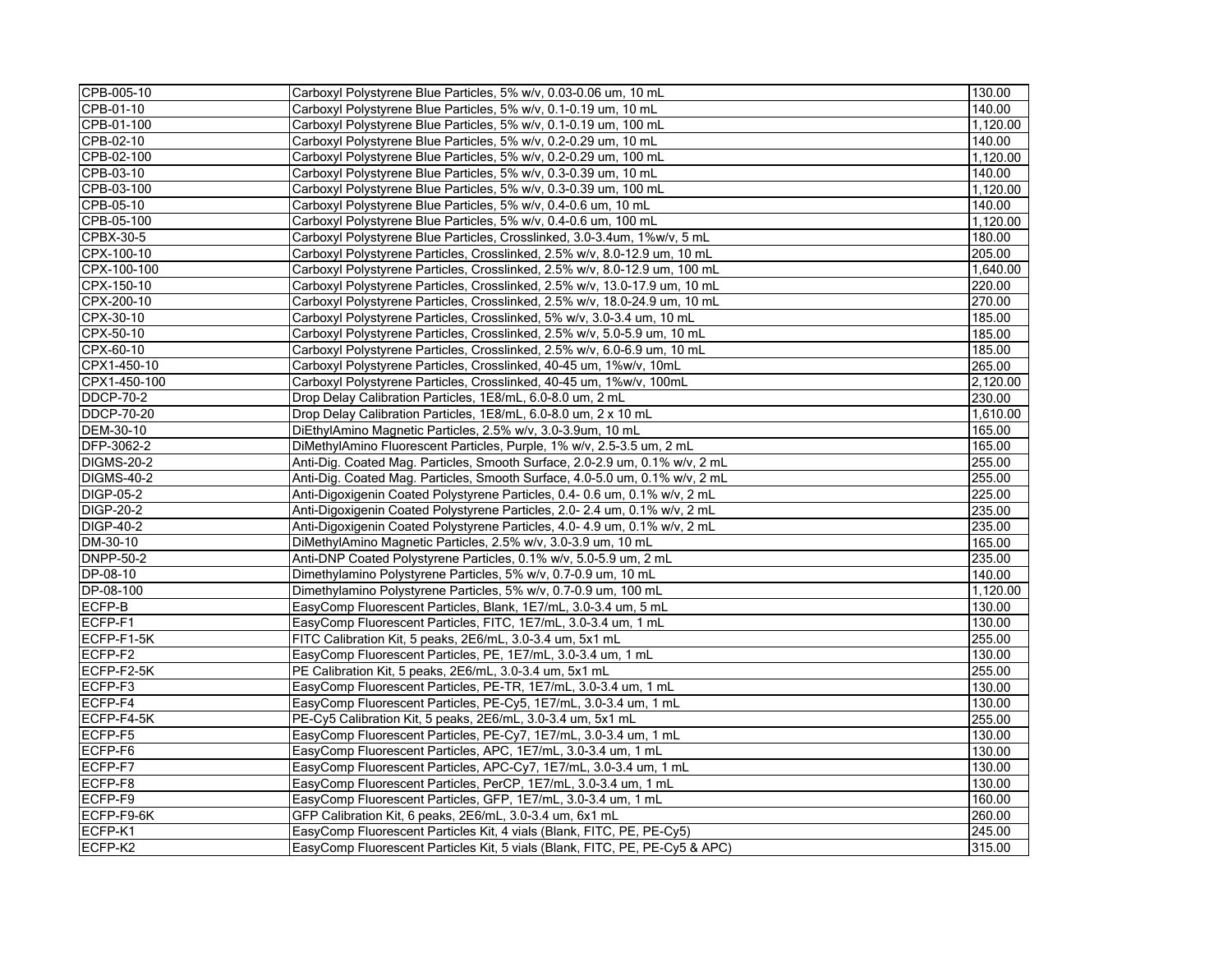| CPB-005-10        | Carboxyl Polystyrene Blue Particles, 5% w/v, 0.03-0.06 um, 10 mL            | 130.00   |
|-------------------|-----------------------------------------------------------------------------|----------|
| CPB-01-10         | Carboxyl Polystyrene Blue Particles, 5% w/v, 0.1-0.19 um, 10 mL             | 140.00   |
| CPB-01-100        | Carboxyl Polystyrene Blue Particles, 5% w/v, 0.1-0.19 um, 100 mL            | 1,120.00 |
| CPB-02-10         | Carboxyl Polystyrene Blue Particles, 5% w/v, 0.2-0.29 um, 10 mL             | 140.00   |
| CPB-02-100        | Carboxyl Polystyrene Blue Particles, 5% w/v, 0.2-0.29 um, 100 mL            | 1,120.00 |
| CPB-03-10         | Carboxyl Polystyrene Blue Particles, 5% w/v, 0.3-0.39 um, 10 mL             | 140.00   |
| CPB-03-100        | Carboxyl Polystyrene Blue Particles, 5% w/v, 0.3-0.39 um, 100 mL            | 1,120.00 |
| CPB-05-10         | Carboxyl Polystyrene Blue Particles, 5% w/v, 0.4-0.6 um, 10 mL              | 140.00   |
| CPB-05-100        | Carboxyl Polystyrene Blue Particles, 5% w/v, 0.4-0.6 um, 100 mL             | 1.120.00 |
| CPBX-30-5         | Carboxyl Polystyrene Blue Particles, Crosslinked, 3.0-3.4um, 1%w/v, 5 mL    | 180.00   |
| CPX-100-10        | Carboxyl Polystyrene Particles, Crosslinked, 2.5% w/v, 8.0-12.9 um, 10 mL   | 205.00   |
| CPX-100-100       | Carboxyl Polystyrene Particles, Crosslinked, 2.5% w/v, 8.0-12.9 um, 100 mL  | 1,640.00 |
| CPX-150-10        | Carboxyl Polystyrene Particles, Crosslinked, 2.5% w/v, 13.0-17.9 um, 10 mL  | 220.00   |
| CPX-200-10        | Carboxyl Polystyrene Particles, Crosslinked, 2.5% w/v, 18.0-24.9 um, 10 mL  | 270.00   |
| CPX-30-10         | Carboxyl Polystyrene Particles, Crosslinked, 5% w/v, 3.0-3.4 um, 10 mL      | 185.00   |
| CPX-50-10         | Carboxyl Polystyrene Particles, Crosslinked, 2.5% w/v, 5.0-5.9 um, 10 mL    | 185.00   |
| CPX-60-10         | Carboxyl Polystyrene Particles, Crosslinked, 2.5% w/v, 6.0-6.9 um, 10 mL    | 185.00   |
| CPX1-450-10       | Carboxyl Polystyrene Particles, Crosslinked, 40-45 um, 1%w/v, 10mL          | 265.00   |
| CPX1-450-100      | Carboxyl Polystyrene Particles, Crosslinked, 40-45 um, 1%w/v, 100mL         | 2,120.00 |
| <b>DDCP-70-2</b>  | Drop Delay Calibration Particles, 1E8/mL, 6.0-8.0 um, 2 mL                  | 230.00   |
| <b>DDCP-70-20</b> | Drop Delay Calibration Particles, 1E8/mL, 6.0-8.0 um, 2 x 10 mL             | 1,610.00 |
| DEM-30-10         | DiEthylAmino Magnetic Particles, 2.5% w/v, 3.0-3.9um, 10 mL                 | 165.00   |
| DFP-3062-2        | DiMethylAmino Fluorescent Particles, Purple, 1% w/v, 2.5-3.5 um, 2 mL       | 165.00   |
| <b>DIGMS-20-2</b> | Anti-Dig. Coated Mag. Particles, Smooth Surface, 2.0-2.9 um, 0.1% w/v, 2 mL | 255.00   |
| <b>DIGMS-40-2</b> | Anti-Dig. Coated Mag. Particles, Smooth Surface, 4.0-5.0 um, 0.1% w/v, 2 mL | 255.00   |
| DIGP-05-2         | Anti-Digoxigenin Coated Polystyrene Particles, 0.4- 0.6 um, 0.1% w/v, 2 mL  | 225.00   |
| <b>DIGP-20-2</b>  | Anti-Digoxigenin Coated Polystyrene Particles, 2.0- 2.4 um, 0.1% w/v, 2 mL  | 235.00   |
| <b>DIGP-40-2</b>  | Anti-Digoxigenin Coated Polystyrene Particles, 4.0- 4.9 um, 0.1% w/v, 2 mL  | 235.00   |
| DM-30-10          | DiMethylAmino Magnetic Particles, 2.5% w/v, 3.0-3.9 um, 10 mL               | 165.00   |
| <b>DNPP-50-2</b>  | Anti-DNP Coated Polystyrene Particles, 0.1% w/v, 5.0-5.9 um, 2 mL           | 235.00   |
| DP-08-10          | Dimethylamino Polystyrene Particles, 5% w/v, 0.7-0.9 um, 10 mL              | 140.00   |
| DP-08-100         | Dimethylamino Polystyrene Particles, 5% w/v, 0.7-0.9 um, 100 mL             | 1,120.00 |
| ECFP-B            | EasyComp Fluorescent Particles, Blank, 1E7/mL, 3.0-3.4 um, 5 mL             | 130.00   |
| ECFP-F1           | EasyComp Fluorescent Particles, FITC, 1E7/mL, 3.0-3.4 um, 1 mL              | 130.00   |
| ECFP-F1-5K        | FITC Calibration Kit, 5 peaks, 2E6/mL, 3.0-3.4 um, 5x1 mL                   | 255.00   |
| ECFP-F2           | EasyComp Fluorescent Particles, PE, 1E7/mL, 3.0-3.4 um, 1 mL                | 130.00   |
| ECFP-F2-5K        | PE Calibration Kit, 5 peaks, 2E6/mL, 3.0-3.4 um, 5x1 mL                     | 255.00   |
| ECFP-F3           | EasyComp Fluorescent Particles, PE-TR, 1E7/mL, 3.0-3.4 um, 1 mL             | 130.00   |
| ECFP-F4           | EasyComp Fluorescent Particles, PE-Cy5, 1E7/mL, 3.0-3.4 um, 1 mL            | 130.00   |
| ECFP-F4-5K        | PE-Cy5 Calibration Kit, 5 peaks, 2E6/mL, 3.0-3.4 um, 5x1 mL                 | 255.00   |
| ECFP-F5           | EasyComp Fluorescent Particles, PE-Cy7, 1E7/mL, 3.0-3.4 um, 1 mL            | 130.00   |
| ECFP-F6           | EasyComp Fluorescent Particles, APC, 1E7/mL, 3.0-3.4 um, 1 mL               | 130.00   |
| ECFP-F7           | EasyComp Fluorescent Particles, APC-Cy7, 1E7/mL, 3.0-3.4 um, 1 mL           | 130.00   |
| ECFP-F8           | EasyComp Fluorescent Particles, PerCP, 1E7/mL, 3.0-3.4 um, 1 mL             | 130.00   |
| ECFP-F9           | EasyComp Fluorescent Particles, GFP, 1E7/mL, 3.0-3.4 um, 1 mL               | 160.00   |
| ECFP-F9-6K        | GFP Calibration Kit, 6 peaks, 2E6/mL, 3.0-3.4 um, 6x1 mL                    | 260.00   |
| ECFP-K1           | EasyComp Fluorescent Particles Kit, 4 vials (Blank, FITC, PE, PE-Cy5)       | 245.00   |
| ECFP-K2           | EasyComp Fluorescent Particles Kit, 5 vials (Blank, FITC, PE, PE-Cy5 & APC) | 315.00   |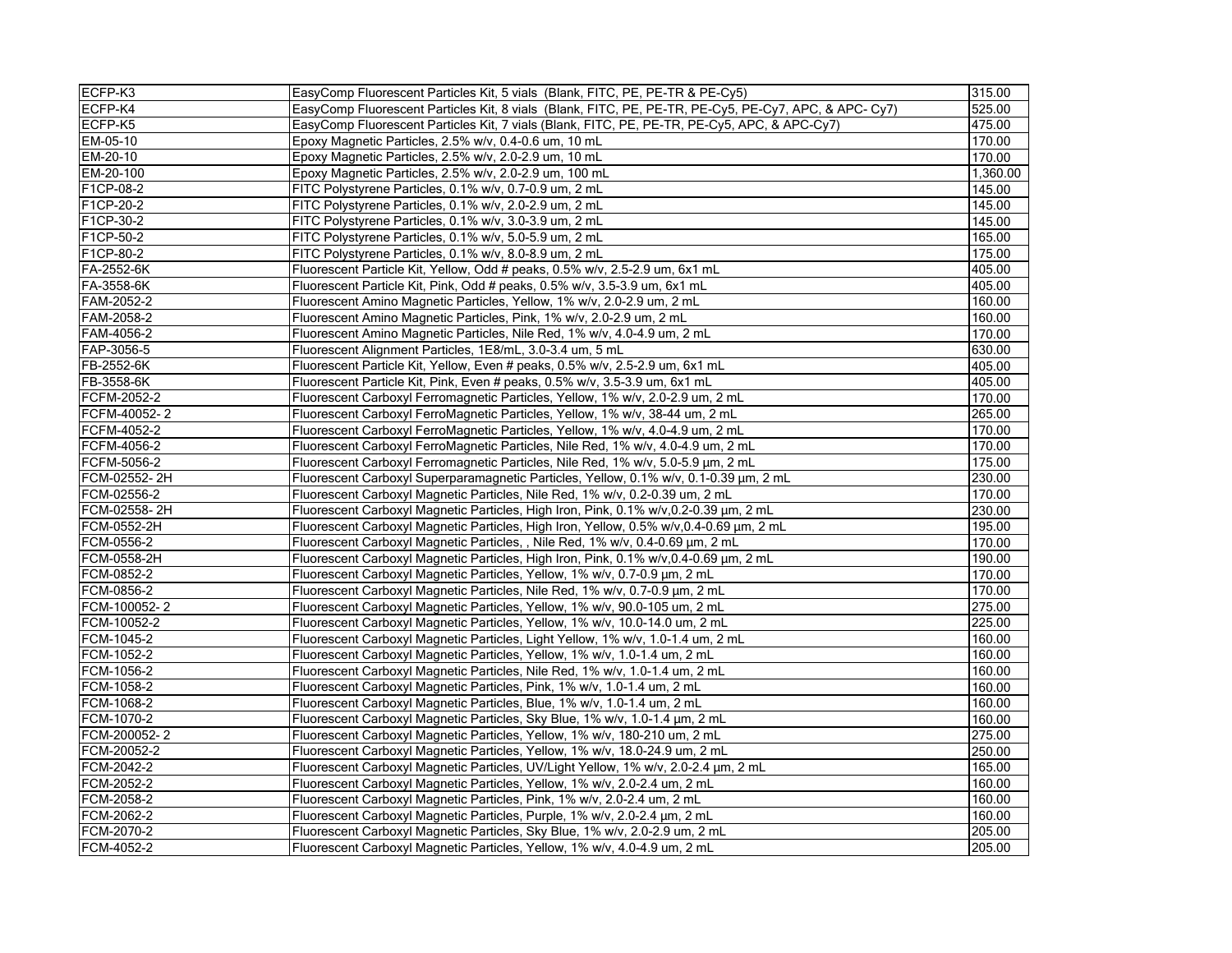| ECFP-K3      | EasyComp Fluorescent Particles Kit, 5 vials (Blank, FITC, PE, PE-TR & PE-Cy5)                         | 315.00   |
|--------------|-------------------------------------------------------------------------------------------------------|----------|
| ECFP-K4      | EasyComp Fluorescent Particles Kit, 8 vials (Blank, FITC, PE, PE-TR, PE-Cy5, PE-Cy7, APC, & APC- Cy7) | 525.00   |
| ECFP-K5      | EasyComp Fluorescent Particles Kit, 7 vials (Blank, FITC, PE, PE-TR, PE-Cy5, APC, & APC-Cy7)          | 475.00   |
| EM-05-10     | Epoxy Magnetic Particles, 2.5% w/v, 0.4-0.6 um, 10 mL                                                 | 170.00   |
| EM-20-10     | Epoxy Magnetic Particles, 2.5% w/v, 2.0-2.9 um, 10 mL                                                 | 170.00   |
| EM-20-100    | Epoxy Magnetic Particles, 2.5% w/v, 2.0-2.9 um, 100 mL                                                | 1,360.00 |
| F1CP-08-2    | FITC Polystyrene Particles, 0.1% w/v, 0.7-0.9 um, 2 mL                                                | 145.00   |
| F1CP-20-2    | FITC Polystyrene Particles, 0.1% w/v, 2.0-2.9 um, 2 mL                                                | 145.00   |
| F1CP-30-2    | FITC Polystyrene Particles, 0.1% w/v, 3.0-3.9 um, 2 mL                                                | 145.00   |
| F1CP-50-2    | FITC Polystyrene Particles, 0.1% w/v, 5.0-5.9 um, 2 mL                                                | 165.00   |
| F1CP-80-2    | FITC Polystyrene Particles, 0.1% w/v, 8.0-8.9 um, 2 mL                                                | 175.00   |
| FA-2552-6K   | Fluorescent Particle Kit, Yellow, Odd # peaks, 0.5% w/v, 2.5-2.9 um, 6x1 mL                           | 405.00   |
| FA-3558-6K   | Fluorescent Particle Kit, Pink, Odd # peaks, 0.5% w/v, 3.5-3.9 um, 6x1 mL                             | 405.00   |
| FAM-2052-2   | Fluorescent Amino Magnetic Particles, Yellow, 1% w/v, 2.0-2.9 um, 2 mL                                | 160.00   |
| FAM-2058-2   | Fluorescent Amino Magnetic Particles, Pink, 1% w/v, 2.0-2.9 um, 2 mL                                  | 160.00   |
| FAM-4056-2   | Fluorescent Amino Magnetic Particles, Nile Red, 1% w/v, 4.0-4.9 um, 2 mL                              | 170.00   |
| FAP-3056-5   | Fluorescent Alignment Particles, 1E8/mL, 3.0-3.4 um, 5 mL                                             | 630.00   |
| FB-2552-6K   | Fluorescent Particle Kit, Yellow, Even # peaks, 0.5% w/v, 2.5-2.9 um, 6x1 mL                          | 405.00   |
| FB-3558-6K   | Fluorescent Particle Kit, Pink, Even # peaks, 0.5% w/v, 3.5-3.9 um, 6x1 mL                            | 405.00   |
| FCFM-2052-2  | Fluorescent Carboxyl Ferromagnetic Particles, Yellow, 1% w/v, 2.0-2.9 um, 2 mL                        | 170.00   |
| FCFM-40052-2 | Fluorescent Carboxyl FerroMagnetic Particles, Yellow, 1% w/v, 38-44 um, 2 mL                          | 265.00   |
| FCFM-4052-2  | Fluorescent Carboxyl FerroMagnetic Particles, Yellow, 1% w/v, 4.0-4.9 um, 2 mL                        | 170.00   |
| FCFM-4056-2  | Fluorescent Carboxyl FerroMagnetic Particles, Nile Red, 1% w/v, 4.0-4.9 um, 2 mL                      | 170.00   |
| FCFM-5056-2  | Fluorescent Carboxyl Ferromagnetic Particles, Nile Red, 1% w/v, 5.0-5.9 µm, 2 mL                      | 175.00   |
| FCM-02552-2H | Fluorescent Carboxyl Superparamagnetic Particles, Yellow, 0.1% w/v, 0.1-0.39 µm, 2 mL                 | 230.00   |
| FCM-02556-2  | Fluorescent Carboxyl Magnetic Particles, Nile Red, 1% w/v, 0.2-0.39 um, 2 mL                          | 170.00   |
| FCM-02558-2H | Fluorescent Carboxyl Magnetic Particles, High Iron, Pink, 0.1% w/v, 0.2-0.39 µm, 2 mL                 | 230.00   |
| FCM-0552-2H  | Fluorescent Carboxyl Magnetic Particles, High Iron, Yellow, 0.5% w/v, 0.4-0.69 µm, 2 mL               | 195.00   |
| FCM-0556-2   | Fluorescent Carboxyl Magnetic Particles, , Nile Red, 1% w/v, 0.4-0.69 um, 2 mL                        | 170.00   |
| FCM-0558-2H  | Fluorescent Carboxyl Magnetic Particles, High Iron, Pink, 0.1% w/v, 0.4-0.69 µm, 2 mL                 | 190.00   |
| FCM-0852-2   | Fluorescent Carboxyl Magnetic Particles, Yellow, 1% w/v, 0.7-0.9 µm, 2 mL                             | 170.00   |
| FCM-0856-2   | Fluorescent Carboxyl Magnetic Particles, Nile Red, 1% w/v, 0.7-0.9 µm, 2 mL                           | 170.00   |
| FCM-100052-2 | Fluorescent Carboxyl Magnetic Particles, Yellow, 1% w/v, 90.0-105 um, 2 mL                            | 275.00   |
| FCM-10052-2  | Fluorescent Carboxyl Magnetic Particles, Yellow, 1% w/v, 10.0-14.0 um, 2 mL                           | 225.00   |
| FCM-1045-2   | Fluorescent Carboxyl Magnetic Particles, Light Yellow, 1% w/v, 1.0-1.4 um, 2 mL                       | 160.00   |
| FCM-1052-2   | Fluorescent Carboxyl Magnetic Particles, Yellow, 1% w/v, 1.0-1.4 um, 2 mL                             | 160.00   |
| FCM-1056-2   | Fluorescent Carboxyl Magnetic Particles, Nile Red, 1% w/v, 1.0-1.4 um, 2 mL                           | 160.00   |
| FCM-1058-2   | Fluorescent Carboxyl Magnetic Particles, Pink, 1% w/v, 1.0-1.4 um, 2 mL                               | 160.00   |
| FCM-1068-2   | Fluorescent Carboxyl Magnetic Particles, Blue, 1% w/v, 1.0-1.4 um, 2 mL                               | 160.00   |
| FCM-1070-2   | Fluorescent Carboxyl Magnetic Particles, Sky Blue, 1% w/v, 1.0-1.4 µm, 2 mL                           | 160.00   |
| FCM-200052-2 | Fluorescent Carboxyl Magnetic Particles, Yellow, 1% w/v, 180-210 um, 2 mL                             | 275.00   |
| FCM-20052-2  | Fluorescent Carboxyl Magnetic Particles, Yellow, 1% w/v, 18.0-24.9 um, 2 mL                           | 250.00   |
| FCM-2042-2   | Fluorescent Carboxyl Magnetic Particles, UV/Light Yellow, 1% w/v, 2.0-2.4 µm, 2 mL                    | 165.00   |
| FCM-2052-2   | Fluorescent Carboxyl Magnetic Particles, Yellow, 1% w/v, 2.0-2.4 um, 2 mL                             | 160.00   |
| FCM-2058-2   | Fluorescent Carboxyl Magnetic Particles, Pink, 1% w/v, 2.0-2.4 um, 2 mL                               | 160.00   |
| FCM-2062-2   | Fluorescent Carboxyl Magnetic Particles, Purple, 1% w/v, 2.0-2.4 µm, 2 mL                             | 160.00   |
| FCM-2070-2   | Fluorescent Carboxyl Magnetic Particles, Sky Blue, 1% w/v, 2.0-2.9 um, 2 mL                           | 205.00   |
| FCM-4052-2   | Fluorescent Carboxyl Magnetic Particles, Yellow, 1% w/v, 4.0-4.9 um, 2 mL                             | 205.00   |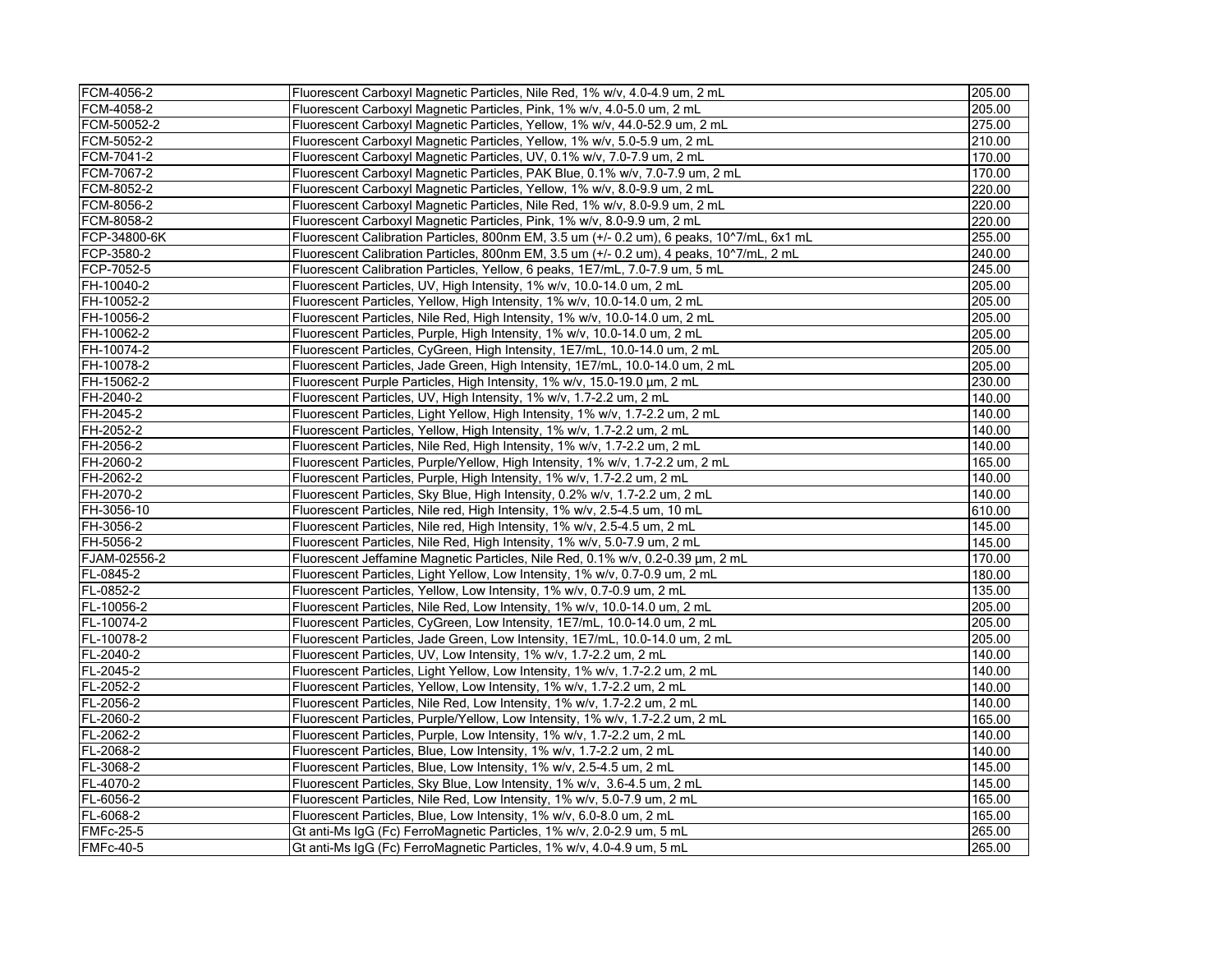| FCM-4056-2       | Fluorescent Carboxyl Magnetic Particles, Nile Red, 1% w/v, 4.0-4.9 um, 2 mL                | 205.00 |
|------------------|--------------------------------------------------------------------------------------------|--------|
| FCM-4058-2       | Fluorescent Carboxyl Magnetic Particles, Pink, 1% w/v, 4.0-5.0 um, 2 mL                    | 205.00 |
| FCM-50052-2      | Fluorescent Carboxyl Magnetic Particles, Yellow, 1% w/v, 44.0-52.9 um, 2 mL                | 275.00 |
| FCM-5052-2       | Fluorescent Carboxyl Magnetic Particles, Yellow, 1% w/v, 5.0-5.9 um, 2 mL                  | 210.00 |
| FCM-7041-2       | Fluorescent Carboxyl Magnetic Particles, UV, 0.1% w/v, 7.0-7.9 um, 2 mL                    | 170.00 |
| FCM-7067-2       | Fluorescent Carboxyl Magnetic Particles, PAK Blue, 0.1% w/v, 7.0-7.9 um, 2 mL              | 170.00 |
| FCM-8052-2       | Fluorescent Carboxyl Magnetic Particles, Yellow, 1% w/v, 8.0-9.9 um, 2 mL                  | 220.00 |
| FCM-8056-2       | Fluorescent Carboxyl Magnetic Particles, Nile Red, 1% w/v, 8.0-9.9 um, 2 mL                | 220.00 |
| FCM-8058-2       | Fluorescent Carboxyl Magnetic Particles, Pink, 1% w/v, 8.0-9.9 um, 2 mL                    | 220.00 |
| FCP-34800-6K     | Fluorescent Calibration Particles, 800nm EM, 3.5 um (+/- 0.2 um), 6 peaks, 10^7/mL, 6x1 mL | 255.00 |
| FCP-3580-2       | Fluorescent Calibration Particles, 800nm EM, 3.5 um (+/- 0.2 um), 4 peaks, 10^7/mL, 2 mL   | 240.00 |
| FCP-7052-5       | Fluorescent Calibration Particles, Yellow, 6 peaks, 1E7/mL, 7.0-7.9 um, 5 mL               | 245.00 |
| FH-10040-2       | Fluorescent Particles, UV, High Intensity, 1% w/v, 10.0-14.0 um, 2 mL                      | 205.00 |
| FH-10052-2       | Fluorescent Particles, Yellow, High Intensity, 1% w/v, 10.0-14.0 um, 2 mL                  | 205.00 |
| FH-10056-2       | Fluorescent Particles, Nile Red, High Intensity, 1% w/v, 10.0-14.0 um, 2 mL                | 205.00 |
| FH-10062-2       | Fluorescent Particles, Purple, High Intensity, 1% w/v, 10.0-14.0 um, 2 mL                  | 205.00 |
| FH-10074-2       | Fluorescent Particles, CyGreen, High Intensity, 1E7/mL, 10.0-14.0 um, 2 mL                 | 205.00 |
| FH-10078-2       | Fluorescent Particles, Jade Green, High Intensity, 1E7/mL, 10.0-14.0 um, 2 mL              | 205.00 |
| FH-15062-2       | Fluorescent Purple Particles, High Intensity, 1% w/v, 15.0-19.0 μm, 2 mL                   | 230.00 |
| FH-2040-2        | Fluorescent Particles, UV, High Intensity, 1% w/v, 1.7-2.2 um, 2 mL                        | 140.00 |
| FH-2045-2        | Fluorescent Particles, Light Yellow, High Intensity, 1% w/v, 1.7-2.2 um, 2 mL              | 140.00 |
| FH-2052-2        | Fluorescent Particles, Yellow, High Intensity, 1% w/v, 1.7-2.2 um, 2 mL                    | 140.00 |
| FH-2056-2        | Fluorescent Particles, Nile Red, High Intensity, 1% w/v, 1.7-2.2 um, 2 mL                  | 140.00 |
| FH-2060-2        | Fluorescent Particles, Purple/Yellow, High Intensity, 1% w/v, 1.7-2.2 um, 2 mL             | 165.00 |
| FH-2062-2        | Fluorescent Particles, Purple, High Intensity, 1% w/v, 1.7-2.2 um, 2 mL                    | 140.00 |
| FH-2070-2        | Fluorescent Particles, Sky Blue, High Intensity, 0.2% w/v, 1.7-2.2 um, 2 mL                | 140.00 |
| FH-3056-10       | Fluorescent Particles, Nile red, High Intensity, 1% w/v, 2.5-4.5 um, 10 mL                 | 610.00 |
| FH-3056-2        | Fluorescent Particles, Nile red, High Intensity, 1% w/v, 2.5-4.5 um, 2 mL                  | 145.00 |
| FH-5056-2        | Fluorescent Particles, Nile Red, High Intensity, 1% w/v, 5.0-7.9 um, 2 mL                  | 145.00 |
| FJAM-02556-2     | Fluorescent Jeffamine Magnetic Particles, Nile Red, 0.1% w/v, 0.2-0.39 μm, 2 mL            | 170.00 |
| FL-0845-2        | Fluorescent Particles, Light Yellow, Low Intensity, 1% w/v, 0.7-0.9 um, 2 mL               | 180.00 |
| FL-0852-2        | Fluorescent Particles, Yellow, Low Intensity, 1% w/v, 0.7-0.9 um, 2 mL                     | 135.00 |
| FL-10056-2       | Fluorescent Particles, Nile Red, Low Intensity, 1% w/v, 10.0-14.0 um, 2 mL                 | 205.00 |
| FL-10074-2       | Fluorescent Particles, CyGreen, Low Intensity, 1E7/mL, 10.0-14.0 um, 2 mL                  | 205.00 |
| FL-10078-2       | Fluorescent Particles, Jade Green, Low Intensity, 1E7/mL, 10.0-14.0 um, 2 mL               | 205.00 |
| FL-2040-2        | Fluorescent Particles, UV, Low Intensity, 1% w/v, 1.7-2.2 um, 2 mL                         | 140.00 |
| FL-2045-2        | Fluorescent Particles, Light Yellow, Low Intensity, 1% w/v, 1.7-2.2 um, 2 mL               | 140.00 |
| FL-2052-2        | Fluorescent Particles, Yellow, Low Intensity, 1% w/v, 1.7-2.2 um, 2 mL                     | 140.00 |
| FL-2056-2        | Fluorescent Particles, Nile Red, Low Intensity, 1% w/v, 1.7-2.2 um, 2 mL                   | 140.00 |
| FL-2060-2        | Fluorescent Particles, Purple/Yellow, Low Intensity, 1% w/v, 1.7-2.2 um, 2 mL              | 165.00 |
| FL-2062-2        | Fluorescent Particles, Purple, Low Intensity, 1% w/v, 1.7-2.2 um, 2 mL                     | 140.00 |
| FL-2068-2        | Fluorescent Particles, Blue, Low Intensity, 1% w/v, 1.7-2.2 um, 2 mL                       | 140.00 |
| FL-3068-2        | Fluorescent Particles, Blue, Low Intensity, 1% w/v, 2.5-4.5 um, 2 mL                       | 145.00 |
| FL-4070-2        | Fluorescent Particles, Sky Blue, Low Intensity, 1% w/v, 3.6-4.5 um, 2 mL                   | 145.00 |
| FL-6056-2        | Fluorescent Particles, Nile Red, Low Intensity, 1% w/v, 5.0-7.9 um, 2 mL                   | 165.00 |
| FL-6068-2        | Fluorescent Particles, Blue, Low Intensity, 1% w/v, 6.0-8.0 um, 2 mL                       | 165.00 |
| <b>FMFc-25-5</b> | Gt anti-Ms IgG (Fc) FerroMagnetic Particles, 1% w/v, 2.0-2.9 um, 5 mL                      | 265.00 |
| <b>FMFc-40-5</b> | Gt anti-Ms IgG (Fc) FerroMagnetic Particles, 1% w/v, 4.0-4.9 um, 5 mL                      | 265.00 |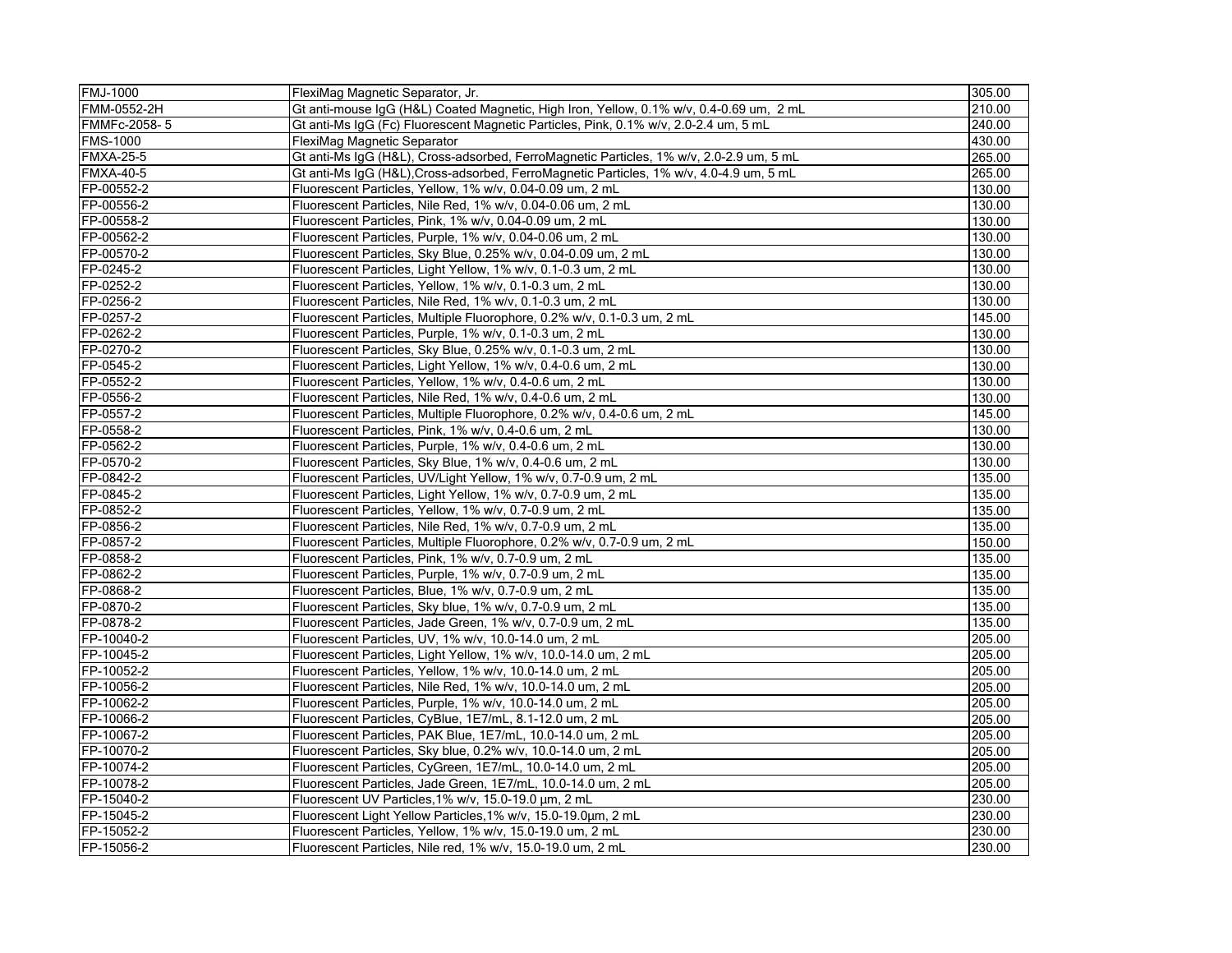| <b>FMJ-1000</b>  | FlexiMag Magnetic Separator, Jr.                                                        | 305.00 |
|------------------|-----------------------------------------------------------------------------------------|--------|
| FMM-0552-2H      | Gt anti-mouse IgG (H&L) Coated Magnetic, High Iron, Yellow, 0.1% w/v, 0.4-0.69 um, 2 mL | 210.00 |
| FMMFc-2058-5     | Gt anti-Ms IgG (Fc) Fluorescent Magnetic Particles, Pink, 0.1% w/v, 2.0-2.4 um, 5 mL    | 240.00 |
| <b>FMS-1000</b>  | FlexiMag Magnetic Separator                                                             | 430.00 |
| <b>FMXA-25-5</b> | Gt anti-Ms IgG (H&L), Cross-adsorbed, FerroMagnetic Particles, 1% w/v, 2.0-2.9 um, 5 mL | 265.00 |
| <b>FMXA-40-5</b> | Gt anti-Ms IgG (H&L), Cross-adsorbed, FerroMagnetic Particles, 1% w/v, 4.0-4.9 um, 5 mL | 265.00 |
| FP-00552-2       | Fluorescent Particles, Yellow, 1% w/v, 0.04-0.09 um, 2 mL                               | 130.00 |
| FP-00556-2       | Fluorescent Particles, Nile Red, 1% w/v, 0.04-0.06 um, 2 mL                             | 130.00 |
| FP-00558-2       | Fluorescent Particles, Pink, 1% w/v, 0.04-0.09 um, 2 mL                                 | 130.00 |
| FP-00562-2       | Fluorescent Particles, Purple, 1% w/v, 0.04-0.06 um, 2 mL                               | 130.00 |
| FP-00570-2       | Fluorescent Particles, Sky Blue, 0.25% w/v, 0.04-0.09 um, 2 mL                          | 130.00 |
| FP-0245-2        | Fluorescent Particles, Light Yellow, 1% w/v, 0.1-0.3 um, 2 mL                           | 130.00 |
| FP-0252-2        | Fluorescent Particles, Yellow, 1% w/v, 0.1-0.3 um, 2 mL                                 | 130.00 |
| FP-0256-2        | Fluorescent Particles, Nile Red, 1% w/v, 0.1-0.3 um, 2 mL                               | 130.00 |
| FP-0257-2        | Fluorescent Particles, Multiple Fluorophore, 0.2% w/v, 0.1-0.3 um, 2 mL                 | 145.00 |
| FP-0262-2        | Fluorescent Particles, Purple, 1% w/v, 0.1-0.3 um, 2 mL                                 | 130.00 |
| FP-0270-2        | Fluorescent Particles, Sky Blue, 0.25% w/v, 0.1-0.3 um, 2 mL                            | 130.00 |
| FP-0545-2        | Fluorescent Particles, Light Yellow, 1% w/v, 0.4-0.6 um, 2 mL                           | 130.00 |
| FP-0552-2        | Fluorescent Particles, Yellow, 1% w/v, 0.4-0.6 um, 2 mL                                 | 130.00 |
| FP-0556-2        | Fluorescent Particles, Nile Red, 1% w/v, 0.4-0.6 um, 2 mL                               | 130.00 |
| FP-0557-2        | Fluorescent Particles, Multiple Fluorophore, 0.2% w/v, 0.4-0.6 um, 2 mL                 | 145.00 |
| FP-0558-2        | Fluorescent Particles, Pink, 1% w/v, 0.4-0.6 um, 2 mL                                   | 130.00 |
| FP-0562-2        | Fluorescent Particles, Purple, 1% w/v, 0.4-0.6 um, 2 mL                                 | 130.00 |
| FP-0570-2        | Fluorescent Particles, Sky Blue, 1% w/v, 0.4-0.6 um, 2 mL                               | 130.00 |
| FP-0842-2        | Fluorescent Particles, UV/Light Yellow, 1% w/v, 0.7-0.9 um, 2 mL                        | 135.00 |
| FP-0845-2        | Fluorescent Particles, Light Yellow, 1% w/v, 0.7-0.9 um, 2 mL                           | 135.00 |
| FP-0852-2        | Fluorescent Particles, Yellow, 1% w/v, 0.7-0.9 um, 2 mL                                 | 135.00 |
| FP-0856-2        | Fluorescent Particles, Nile Red, 1% w/v, 0.7-0.9 um, 2 mL                               | 135.00 |
| FP-0857-2        | Fluorescent Particles, Multiple Fluorophore, 0.2% w/v, 0.7-0.9 um, 2 mL                 | 150.00 |
| FP-0858-2        | Fluorescent Particles, Pink, 1% w/v, 0.7-0.9 um, 2 mL                                   | 135.00 |
| FP-0862-2        | Fluorescent Particles, Purple, 1% w/v, 0.7-0.9 um, 2 mL                                 | 135.00 |
| FP-0868-2        | Fluorescent Particles, Blue, 1% w/v, 0.7-0.9 um, 2 mL                                   | 135.00 |
| FP-0870-2        | Fluorescent Particles, Sky blue, 1% w/v, 0.7-0.9 um, 2 mL                               | 135.00 |
| FP-0878-2        | Fluorescent Particles, Jade Green, 1% w/v, 0.7-0.9 um, 2 mL                             | 135.00 |
| FP-10040-2       | Fluorescent Particles, UV, 1% w/v, 10.0-14.0 um, 2 mL                                   | 205.00 |
| FP-10045-2       | Fluorescent Particles, Light Yellow, 1% w/v, 10.0-14.0 um, 2 mL                         | 205.00 |
| FP-10052-2       | Fluorescent Particles, Yellow, 1% w/v, 10.0-14.0 um, 2 mL                               | 205.00 |
| FP-10056-2       | Fluorescent Particles, Nile Red, 1% w/v, 10.0-14.0 um, 2 mL                             | 205.00 |
| FP-10062-2       | Fluorescent Particles, Purple, 1% w/v, 10.0-14.0 um, 2 mL                               | 205.00 |
| FP-10066-2       | Fluorescent Particles, CyBlue, 1E7/mL, 8.1-12.0 um, 2 mL                                | 205.00 |
| FP-10067-2       | Fluorescent Particles, PAK Blue, 1E7/mL, 10.0-14.0 um, 2 mL                             | 205.00 |
| FP-10070-2       | Fluorescent Particles, Sky blue, 0.2% w/v, 10.0-14.0 um, 2 mL                           | 205.00 |
| FP-10074-2       | Fluorescent Particles, CyGreen, 1E7/mL, 10.0-14.0 um, 2 mL                              | 205.00 |
| FP-10078-2       | Fluorescent Particles, Jade Green, 1E7/mL, 10.0-14.0 um, 2 mL                           | 205.00 |
| FP-15040-2       | Fluorescent UV Particles, 1% w/v, 15.0-19.0 um, 2 mL                                    | 230.00 |
| FP-15045-2       | Fluorescent Light Yellow Particles, 1% w/v, 15.0-19.0um, 2 mL                           | 230.00 |
| FP-15052-2       | Fluorescent Particles, Yellow, 1% w/v, 15.0-19.0 um, 2 mL                               | 230.00 |
| FP-15056-2       | Fluorescent Particles, Nile red, 1% w/v, 15.0-19.0 um, 2 mL                             | 230.00 |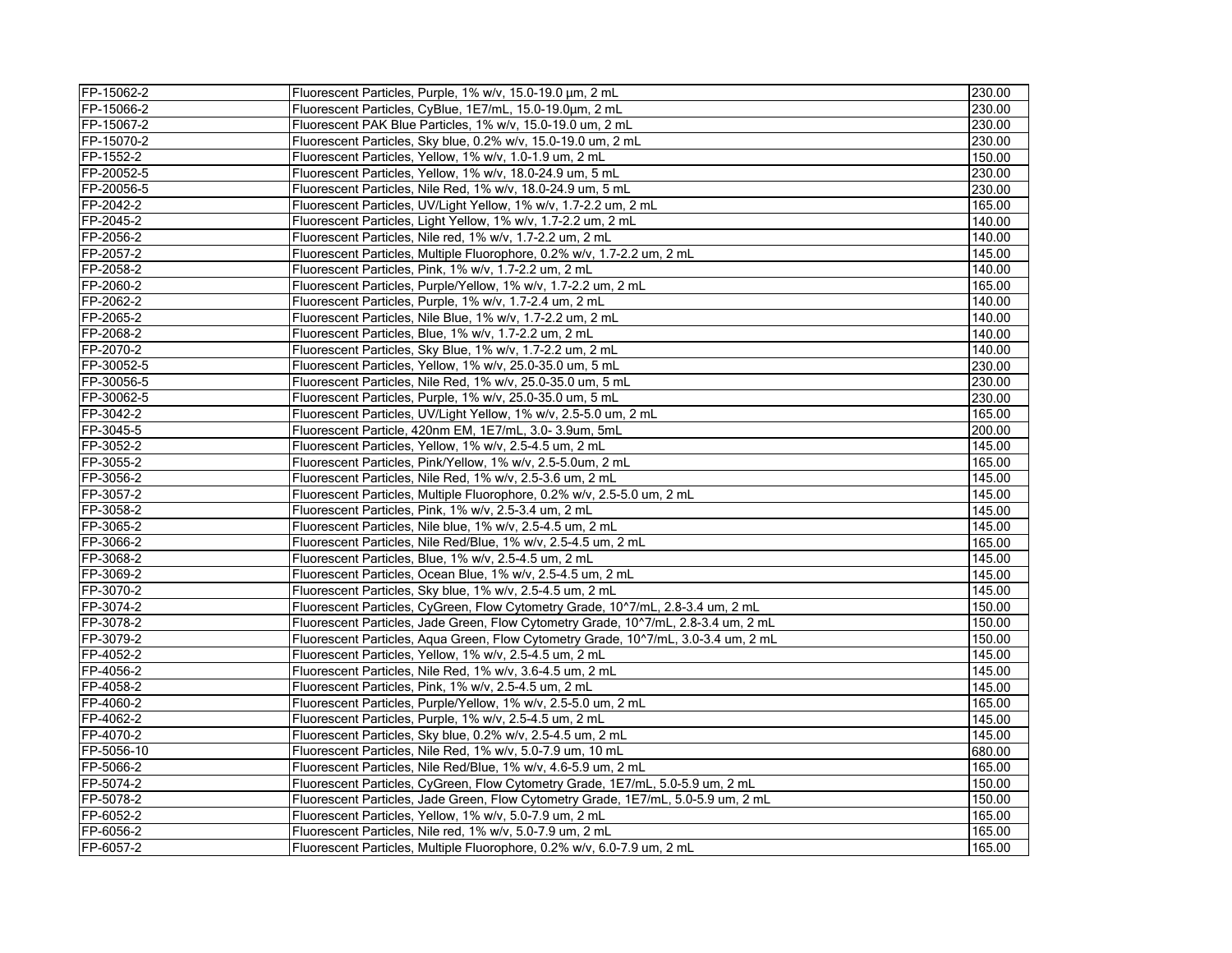| FP-15062-2 | Fluorescent Particles, Purple, 1% w/v, 15.0-19.0 µm, 2 mL                          | 230.00 |
|------------|------------------------------------------------------------------------------------|--------|
| FP-15066-2 | Fluorescent Particles, CyBlue, 1E7/mL, 15.0-19.0um, 2 mL                           | 230.00 |
| FP-15067-2 | Fluorescent PAK Blue Particles, 1% w/v, 15.0-19.0 um, 2 mL                         | 230.00 |
| FP-15070-2 | Fluorescent Particles, Sky blue, 0.2% w/v, 15.0-19.0 um, 2 mL                      | 230.00 |
| FP-1552-2  | Fluorescent Particles, Yellow, 1% w/v, 1.0-1.9 um, 2 mL                            | 150.00 |
| FP-20052-5 | Fluorescent Particles, Yellow, 1% w/v, 18.0-24.9 um, 5 mL                          | 230.00 |
| FP-20056-5 | Fluorescent Particles, Nile Red, 1% w/v, 18.0-24.9 um, 5 mL                        | 230.00 |
| FP-2042-2  | Fluorescent Particles, UV/Light Yellow, 1% w/v, 1.7-2.2 um, 2 mL                   | 165.00 |
| FP-2045-2  | Fluorescent Particles, Light Yellow, 1% w/v, 1.7-2.2 um, 2 mL                      | 140.00 |
| FP-2056-2  | Fluorescent Particles, Nile red, 1% w/v, 1.7-2.2 um, 2 mL                          | 140.00 |
| FP-2057-2  | Fluorescent Particles, Multiple Fluorophore, 0.2% w/v, 1.7-2.2 um, 2 mL            | 145.00 |
| FP-2058-2  | Fluorescent Particles, Pink, 1% w/v, 1.7-2.2 um, 2 mL                              | 140.00 |
| FP-2060-2  | Fluorescent Particles, Purple/Yellow, 1% w/v, 1.7-2.2 um, 2 mL                     | 165.00 |
| FP-2062-2  | Fluorescent Particles, Purple, 1% w/v, 1.7-2.4 um, 2 mL                            | 140.00 |
| FP-2065-2  | Fluorescent Particles, Nile Blue, 1% w/v, 1.7-2.2 um, 2 mL                         | 140.00 |
| FP-2068-2  | Fluorescent Particles, Blue, 1% w/v, 1.7-2.2 um, 2 mL                              | 140.00 |
| FP-2070-2  | Fluorescent Particles, Sky Blue, 1% w/v, 1.7-2.2 um, 2 mL                          | 140.00 |
| FP-30052-5 | Fluorescent Particles, Yellow, 1% w/v, 25.0-35.0 um, 5 mL                          | 230.00 |
| FP-30056-5 | Fluorescent Particles, Nile Red, 1% w/v, 25.0-35.0 um, 5 mL                        | 230.00 |
| FP-30062-5 | Fluorescent Particles, Purple, 1% w/v, 25.0-35.0 um, 5 mL                          | 230.00 |
| FP-3042-2  | Fluorescent Particles, UV/Light Yellow, 1% w/v, 2.5-5.0 um, 2 mL                   | 165.00 |
| FP-3045-5  | Fluorescent Particle, 420nm EM, 1E7/mL, 3.0-3.9um, 5mL                             | 200.00 |
| FP-3052-2  | Fluorescent Particles, Yellow, 1% w/v, 2.5-4.5 um, 2 mL                            | 145.00 |
| FP-3055-2  | Fluorescent Particles, Pink/Yellow, 1% w/v, 2.5-5.0um, 2 mL                        | 165.00 |
| FP-3056-2  | Fluorescent Particles, Nile Red, 1% w/v, 2.5-3.6 um, 2 mL                          | 145.00 |
| FP-3057-2  | Fluorescent Particles, Multiple Fluorophore, 0.2% w/v, 2.5-5.0 um, 2 mL            | 145.00 |
| FP-3058-2  | Fluorescent Particles, Pink, 1% w/v, 2.5-3.4 um, 2 mL                              | 145.00 |
| FP-3065-2  | Fluorescent Particles, Nile blue, 1% w/v, 2.5-4.5 um, 2 mL                         | 145.00 |
| FP-3066-2  | Fluorescent Particles, Nile Red/Blue, 1% w/v, 2.5-4.5 um, 2 mL                     | 165.00 |
| FP-3068-2  | Fluorescent Particles, Blue, 1% w/v, 2.5-4.5 um, 2 mL                              | 145.00 |
| FP-3069-2  | Fluorescent Particles, Ocean Blue, 1% w/v, 2.5-4.5 um, 2 mL                        | 145.00 |
| FP-3070-2  | Fluorescent Particles, Sky blue, 1% w/v, 2.5-4.5 um, 2 mL                          | 145.00 |
| FP-3074-2  | Fluorescent Particles, CyGreen, Flow Cytometry Grade, 10^7/mL, 2.8-3.4 um, 2 mL    | 150.00 |
| FP-3078-2  | Fluorescent Particles, Jade Green, Flow Cytometry Grade, 10^7/mL, 2.8-3.4 um, 2 mL | 150.00 |
| FP-3079-2  | Fluorescent Particles, Agua Green, Flow Cytometry Grade, 10^7/mL, 3.0-3.4 um, 2 mL | 150.00 |
| FP-4052-2  | Fluorescent Particles, Yellow, 1% w/v, 2.5-4.5 um, 2 mL                            | 145.00 |
| FP-4056-2  | Fluorescent Particles, Nile Red, 1% w/v, 3.6-4.5 um, 2 mL                          | 145.00 |
| FP-4058-2  | Fluorescent Particles, Pink, 1% w/v, 2.5-4.5 um, 2 mL                              | 145.00 |
| FP-4060-2  | Fluorescent Particles, Purple/Yellow, 1% w/v, 2.5-5.0 um, 2 mL                     | 165.00 |
| FP-4062-2  | Fluorescent Particles, Purple, 1% w/v, 2.5-4.5 um, 2 mL                            | 145.00 |
| FP-4070-2  | Fluorescent Particles, Sky blue, 0.2% w/v, 2.5-4.5 um, 2 mL                        | 145.00 |
| FP-5056-10 | Fluorescent Particles, Nile Red, 1% w/v, 5.0-7.9 um, 10 mL                         | 680.00 |
| FP-5066-2  | Fluorescent Particles, Nile Red/Blue, 1% w/v, 4.6-5.9 um, 2 mL                     | 165.00 |
| FP-5074-2  | Fluorescent Particles, CyGreen, Flow Cytometry Grade, 1E7/mL, 5.0-5.9 um, 2 mL     | 150.00 |
| FP-5078-2  | Fluorescent Particles, Jade Green, Flow Cytometry Grade, 1E7/mL, 5.0-5.9 um, 2 mL  | 150.00 |
| FP-6052-2  | Fluorescent Particles, Yellow, 1% w/v, 5.0-7.9 um, 2 mL                            | 165.00 |
| FP-6056-2  | Fluorescent Particles, Nile red, 1% w/v, 5.0-7.9 um, 2 mL                          | 165.00 |
| FP-6057-2  | Fluorescent Particles, Multiple Fluorophore, 0.2% w/v, 6.0-7.9 um, 2 mL            | 165.00 |
|            |                                                                                    |        |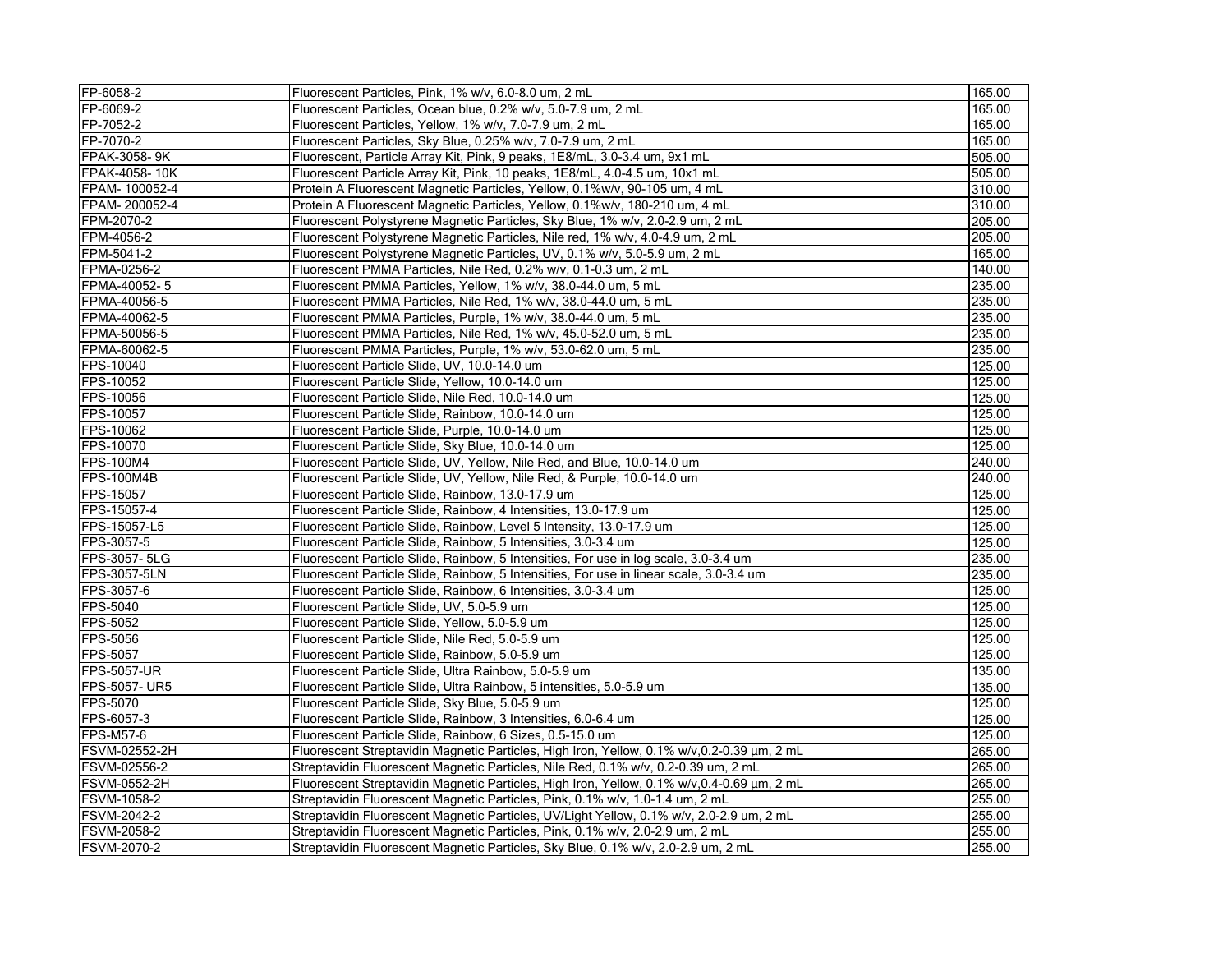| FP-6058-2           | Fluorescent Particles, Pink, 1% w/v, 6.0-8.0 um, 2 mL                                       | 165.00 |
|---------------------|---------------------------------------------------------------------------------------------|--------|
| FP-6069-2           | Fluorescent Particles, Ocean blue, 0.2% w/v, 5.0-7.9 um, 2 mL                               | 165.00 |
| FP-7052-2           | Fluorescent Particles, Yellow, 1% w/v, 7.0-7.9 um, 2 mL                                     | 165.00 |
| FP-7070-2           | Fluorescent Particles, Sky Blue, 0.25% w/v, 7.0-7.9 um, 2 mL                                | 165.00 |
| FPAK-3058-9K        | Fluorescent, Particle Array Kit, Pink, 9 peaks, 1E8/mL, 3.0-3.4 um, 9x1 mL                  | 505.00 |
| FPAK-4058-10K       | Fluorescent Particle Array Kit, Pink, 10 peaks, 1E8/mL, 4.0-4.5 um, 10x1 mL                 | 505.00 |
| FPAM- 100052-4      | Protein A Fluorescent Magnetic Particles, Yellow, 0.1%w/v, 90-105 um, 4 mL                  | 310.00 |
| FPAM-200052-4       | Protein A Fluorescent Magnetic Particles, Yellow, 0.1%w/v, 180-210 um, 4 mL                 | 310.00 |
| FPM-2070-2          | Fluorescent Polystyrene Magnetic Particles, Sky Blue, 1% w/v, 2.0-2.9 um, 2 mL              | 205.00 |
| FPM-4056-2          | Fluorescent Polystyrene Magnetic Particles, Nile red, 1% w/v, 4.0-4.9 um, 2 mL              | 205.00 |
| FPM-5041-2          | Fluorescent Polystyrene Magnetic Particles, UV, 0.1% w/v, 5.0-5.9 um, 2 mL                  | 165.00 |
| FPMA-0256-2         | Fluorescent PMMA Particles, Nile Red, 0.2% w/v, 0.1-0.3 um, 2 mL                            | 140.00 |
| FPMA-40052-5        | Fluorescent PMMA Particles, Yellow, 1% w/v, 38.0-44.0 um, 5 mL                              | 235.00 |
| FPMA-40056-5        | Fluorescent PMMA Particles, Nile Red, 1% w/v, 38.0-44.0 um, 5 mL                            | 235.00 |
| FPMA-40062-5        | Fluorescent PMMA Particles, Purple, 1% w/v, 38.0-44.0 um, 5 mL                              | 235.00 |
| FPMA-50056-5        | Fluorescent PMMA Particles, Nile Red, 1% w/v, 45.0-52.0 um, 5 mL                            | 235.00 |
| FPMA-60062-5        | Fluorescent PMMA Particles, Purple, 1% w/v, 53.0-62.0 um, 5 mL                              | 235.00 |
| FPS-10040           | Fluorescent Particle Slide, UV, 10.0-14.0 um                                                | 125.00 |
| FPS-10052           | Fluorescent Particle Slide, Yellow, 10.0-14.0 um                                            | 125.00 |
| FPS-10056           | Fluorescent Particle Slide, Nile Red, 10.0-14.0 um                                          | 125.00 |
| FPS-10057           | Fluorescent Particle Slide, Rainbow, 10.0-14.0 um                                           | 125.00 |
| FPS-10062           | Fluorescent Particle Slide, Purple, 10.0-14.0 um                                            | 125.00 |
| FPS-10070           | Fluorescent Particle Slide, Sky Blue, 10.0-14.0 um                                          | 125.00 |
| <b>FPS-100M4</b>    | Fluorescent Particle Slide, UV, Yellow, Nile Red, and Blue, 10.0-14.0 um                    | 240.00 |
| FPS-100M4B          | Fluorescent Particle Slide, UV, Yellow, Nile Red, & Purple, 10.0-14.0 um                    | 240.00 |
| FPS-15057           | Fluorescent Particle Slide, Rainbow, 13.0-17.9 um                                           | 125.00 |
| FPS-15057-4         | Fluorescent Particle Slide, Rainbow, 4 Intensities, 13.0-17.9 um                            | 125.00 |
| FPS-15057-L5        | Fluorescent Particle Slide, Rainbow, Level 5 Intensity, 13.0-17.9 um                        | 125.00 |
| FPS-3057-5          | Fluorescent Particle Slide, Rainbow, 5 Intensities, 3.0-3.4 um                              | 125.00 |
| FPS-3057-5LG        | Fluorescent Particle Slide, Rainbow, 5 Intensities, For use in log scale, 3.0-3.4 um        | 235.00 |
| FPS-3057-5LN        | Fluorescent Particle Slide, Rainbow, 5 Intensities, For use in linear scale, 3.0-3.4 um     | 235.00 |
| FPS-3057-6          | Fluorescent Particle Slide, Rainbow, 6 Intensities, 3.0-3.4 um                              | 125.00 |
| <b>FPS-5040</b>     | Fluorescent Particle Slide, UV, 5.0-5.9 um                                                  | 125.00 |
| FPS-5052            | Fluorescent Particle Slide, Yellow, 5.0-5.9 um                                              | 125.00 |
| FPS-5056            | Fluorescent Particle Slide, Nile Red, 5.0-5.9 um                                            | 125.00 |
| <b>FPS-5057</b>     | Fluorescent Particle Slide, Rainbow, 5.0-5.9 um                                             | 125.00 |
| <b>FPS-5057-UR</b>  | Fluorescent Particle Slide, Ultra Rainbow, 5.0-5.9 um                                       | 135.00 |
| FPS-5057- UR5       | Fluorescent Particle Slide, Ultra Rainbow, 5 intensities, 5.0-5.9 um                        | 135.00 |
| FPS-5070            | Fluorescent Particle Slide, Sky Blue, 5.0-5.9 um                                            | 125.00 |
| FPS-6057-3          | Fluorescent Particle Slide, Rainbow, 3 Intensities, 6.0-6.4 um                              | 125.00 |
| <b>FPS-M57-6</b>    | Fluorescent Particle Slide, Rainbow, 6 Sizes, 0.5-15.0 um                                   | 125.00 |
| FSVM-02552-2H       | Fluorescent Streptavidin Magnetic Particles, High Iron, Yellow, 0.1% w/v, 0.2-0.39 µm, 2 mL | 265.00 |
| FSVM-02556-2        | Streptavidin Fluorescent Magnetic Particles, Nile Red, 0.1% w/v, 0.2-0.39 um, 2 mL          | 265.00 |
| <b>FSVM-0552-2H</b> | Fluorescent Streptavidin Magnetic Particles, High Iron, Yellow, 0.1% w/v, 0.4-0.69 µm, 2 mL | 265.00 |
| <b>FSVM-1058-2</b>  | Streptavidin Fluorescent Magnetic Particles, Pink, 0.1% w/v, 1.0-1.4 um, 2 mL               | 255.00 |
| FSVM-2042-2         | Streptavidin Fluorescent Magnetic Particles, UV/Light Yellow, 0.1% w/v, 2.0-2.9 um, 2 mL    | 255.00 |
| <b>FSVM-2058-2</b>  | Streptavidin Fluorescent Magnetic Particles, Pink, 0.1% w/v, 2.0-2.9 um, 2 mL               | 255.00 |
| FSVM-2070-2         | Streptavidin Fluorescent Magnetic Particles, Sky Blue, 0.1% w/v, 2.0-2.9 um, 2 mL           | 255.00 |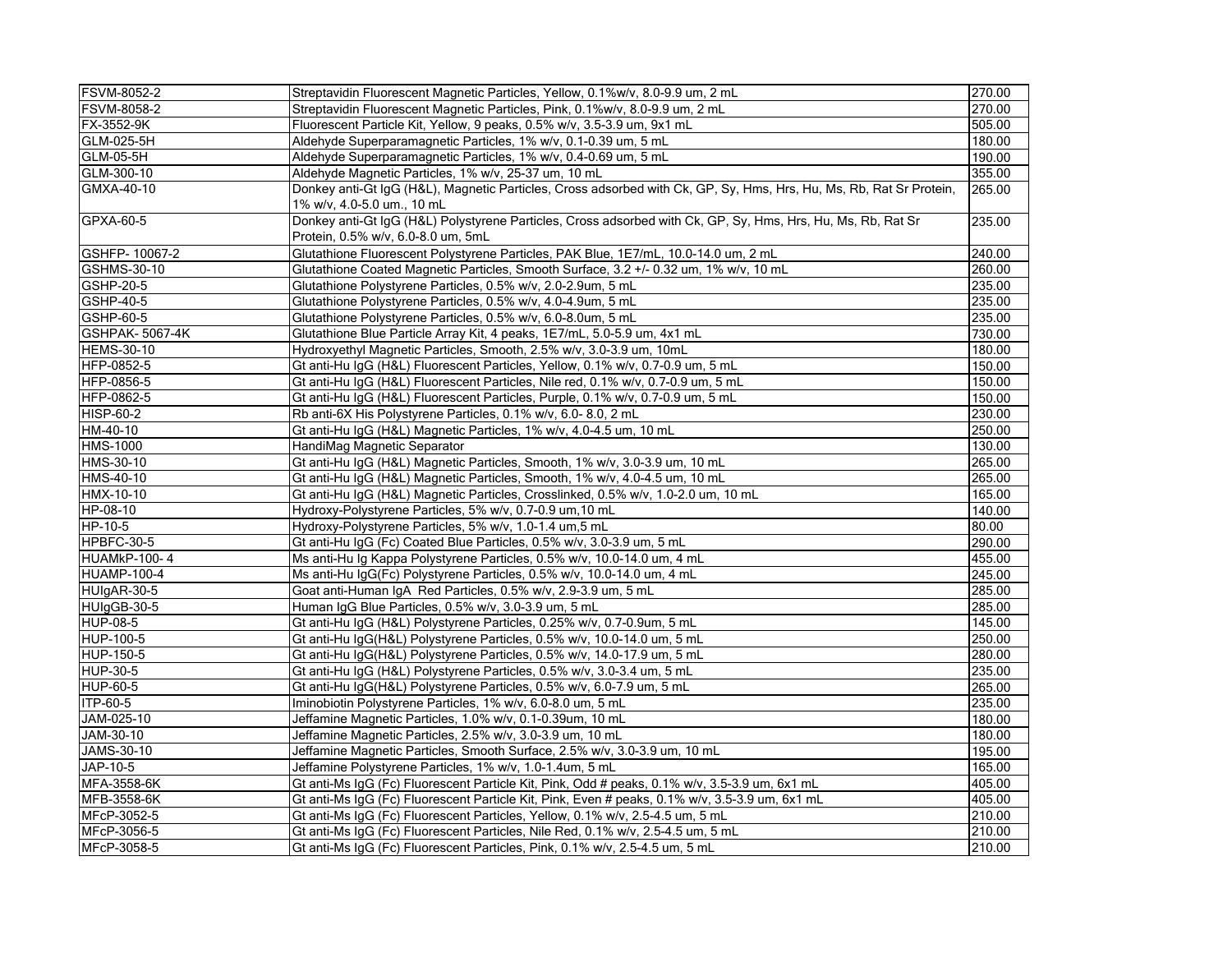| <b>FSVM-8052-2</b>    | Streptavidin Fluorescent Magnetic Particles, Yellow, 0.1%w/v, 8.0-9.9 um, 2 mL                                                                     | 270.00 |
|-----------------------|----------------------------------------------------------------------------------------------------------------------------------------------------|--------|
| <b>IFSVM-8058-2</b>   | 270.00<br>Streptavidin Fluorescent Magnetic Particles, Pink, 0.1%w/v, 8.0-9.9 um, 2 mL                                                             |        |
| FX-3552-9K            | Fluorescent Particle Kit, Yellow, 9 peaks, 0.5% w/v, 3.5-3.9 um, 9x1 mL                                                                            | 505.00 |
| GLM-025-5H            | Aldehyde Superparamagnetic Particles, 1% w/v, 0.1-0.39 um, 5 mL                                                                                    | 180.00 |
| GLM-05-5H             | Aldehyde Superparamagnetic Particles, 1% w/v, 0.4-0.69 um, 5 mL                                                                                    | 190.00 |
| GLM-300-10            | Aldehyde Magnetic Particles, 1% w/v, 25-37 um, 10 mL                                                                                               | 355.00 |
| GMXA-40-10            | Donkey anti-Gt IgG (H&L), Magnetic Particles, Cross adsorbed with Ck, GP, Sy, Hms, Hrs, Hu, Ms, Rb, Rat Sr Protein,<br>1% w/v, 4.0-5.0 um., 10 mL  | 265.00 |
| GPXA-60-5             | Donkey anti-Gt IgG (H&L) Polystyrene Particles, Cross adsorbed with Ck, GP, Sy, Hms, Hrs, Hu, Ms, Rb, Rat Sr<br>Protein, 0.5% w/v, 6.0-8.0 um, 5mL | 235.00 |
| GSHFP-10067-2         | Glutathione Fluorescent Polystyrene Particles, PAK Blue, 1E7/mL, 10.0-14.0 um, 2 mL                                                                | 240.00 |
| GSHMS-30-10           | Glutathione Coated Magnetic Particles, Smooth Surface, 3.2 +/- 0.32 um, 1% w/v, 10 mL                                                              | 260.00 |
| GSHP-20-5             | Glutathione Polystyrene Particles, 0.5% w/v, 2.0-2.9um, 5 mL                                                                                       | 235.00 |
| GSHP-40-5             | Glutathione Polystyrene Particles, 0.5% w/v, 4.0-4.9um, 5 mL                                                                                       | 235.00 |
| GSHP-60-5             | Glutathione Polystyrene Particles, 0.5% w/v, 6.0-8.0um, 5 mL                                                                                       | 235.00 |
| <b>GSHPAK-5067-4K</b> | Glutathione Blue Particle Array Kit, 4 peaks, 1E7/mL, 5.0-5.9 um, 4x1 mL                                                                           | 730.00 |
| <b>HEMS-30-10</b>     | Hydroxyethyl Magnetic Particles, Smooth, 2.5% w/v, 3.0-3.9 um, 10mL                                                                                | 180.00 |
| HFP-0852-5            | Gt anti-Hu IgG (H&L) Fluorescent Particles, Yellow, 0.1% w/v, 0.7-0.9 um, 5 mL                                                                     | 150.00 |
| HFP-0856-5            | Gt anti-Hu IgG (H&L) Fluorescent Particles, Nile red, 0.1% w/v, 0.7-0.9 um, 5 mL                                                                   | 150.00 |
| HFP-0862-5            | Gt anti-Hu IgG (H&L) Fluorescent Particles, Purple, 0.1% w/v, 0.7-0.9 um, 5 mL                                                                     | 150.00 |
| <b>HISP-60-2</b>      | Rb anti-6X His Polystyrene Particles, 0.1% w/v, 6.0-8.0, 2 mL                                                                                      | 230.00 |
| HM-40-10              | Gt anti-Hu IgG (H&L) Magnetic Particles, 1% w/v, 4.0-4.5 um, 10 mL                                                                                 | 250.00 |
| <b>HMS-1000</b>       | HandiMag Magnetic Separator                                                                                                                        | 130.00 |
| HMS-30-10             | Gt anti-Hu IgG (H&L) Magnetic Particles, Smooth, 1% w/v, 3.0-3.9 um, 10 mL                                                                         | 265.00 |
| HMS-40-10             | Gt anti-Hu IgG (H&L) Magnetic Particles, Smooth, 1% w/v, 4.0-4.5 um, 10 mL                                                                         | 265.00 |
| HMX-10-10             | Gt anti-Hu IgG (H&L) Magnetic Particles, Crosslinked, 0.5% w/v, 1.0-2.0 um, 10 mL                                                                  | 165.00 |
| HP-08-10              | Hydroxy-Polystyrene Particles, 5% w/v, 0.7-0.9 um, 10 mL                                                                                           | 140.00 |
| HP-10-5               | Hydroxy-Polystyrene Particles, 5% w/v, 1.0-1.4 um,5 mL                                                                                             | 80.00  |
| HPBFC-30-5            | Gt anti-Hu IgG (Fc) Coated Blue Particles, 0.5% w/v, 3.0-3.9 um, 5 mL                                                                              | 290.00 |
| HUAMkP-100-4          | Ms anti-Hu Ig Kappa Polystyrene Particles, 0.5% w/v, 10.0-14.0 um, 4 mL                                                                            | 455.00 |
| <b>HUAMP-100-4</b>    | Ms anti-Hu IgG(Fc) Polystyrene Particles, 0.5% w/v, 10.0-14.0 um, 4 mL                                                                             | 245.00 |
| HUIgAR-30-5           | Goat anti-Human IgA Red Particles, 0.5% w/v, 2.9-3.9 um, 5 mL                                                                                      | 285.00 |
| HUIgGB-30-5           | Human IgG Blue Particles, 0.5% w/v, 3.0-3.9 um, 5 mL                                                                                               | 285.00 |
| <b>HUP-08-5</b>       | Gt anti-Hu IgG (H&L) Polystyrene Particles, 0.25% w/v, 0.7-0.9um, 5 mL                                                                             | 145.00 |
| HUP-100-5             | Gt anti-Hu IgG(H&L) Polystyrene Particles, 0.5% w/v, 10.0-14.0 um, 5 mL                                                                            | 250.00 |
| HUP-150-5             | Gt anti-Hu IgG(H&L) Polystyrene Particles, 0.5% w/v, 14.0-17.9 um, 5 mL                                                                            | 280.00 |
| <b>HUP-30-5</b>       | Gt anti-Hu IgG (H&L) Polystyrene Particles, 0.5% w/v, 3.0-3.4 um, 5 mL                                                                             | 235.00 |
| <b>HUP-60-5</b>       | Gt anti-Hu IgG(H&L) Polystyrene Particles, 0.5% w/v, 6.0-7.9 um, 5 mL                                                                              | 265.00 |
| ITP-60-5              | Iminobiotin Polystyrene Particles, 1% w/v, 6.0-8.0 um, 5 mL                                                                                        | 235.00 |
| JAM-025-10            | Jeffamine Magnetic Particles, 1.0% w/v, 0.1-0.39um, 10 mL                                                                                          | 180.00 |
| JAM-30-10             | Jeffamine Magnetic Particles, 2.5% w/v, 3.0-3.9 um, 10 mL                                                                                          | 180.00 |
| JAMS-30-10            | Jeffamine Magnetic Particles, Smooth Surface, 2.5% w/v, 3.0-3.9 um, 10 mL                                                                          | 195.00 |
| JAP-10-5              | Jeffamine Polystyrene Particles, 1% w/v, 1.0-1.4um, 5 mL                                                                                           | 165.00 |
| <b>MFA-3558-6K</b>    | Gt anti-Ms IgG (Fc) Fluorescent Particle Kit, Pink, Odd # peaks, 0.1% w/v, 3.5-3.9 um, 6x1 mL                                                      | 405.00 |
| MFB-3558-6K           | Gt anti-Ms IgG (Fc) Fluorescent Particle Kit, Pink, Even # peaks, 0.1% w/v, 3.5-3.9 um, 6x1 mL                                                     | 405.00 |
| MFcP-3052-5           | Gt anti-Ms IgG (Fc) Fluorescent Particles, Yellow, 0.1% w/v, 2.5-4.5 um, 5 mL                                                                      | 210.00 |
| MFcP-3056-5           | Gt anti-Ms IgG (Fc) Fluorescent Particles, Nile Red, 0.1% w/v, 2.5-4.5 um, 5 mL                                                                    | 210.00 |
| MFcP-3058-5           | Gt anti-Ms IgG (Fc) Fluorescent Particles, Pink, 0.1% w/v, 2.5-4.5 um, 5 mL                                                                        | 210.00 |
|                       |                                                                                                                                                    |        |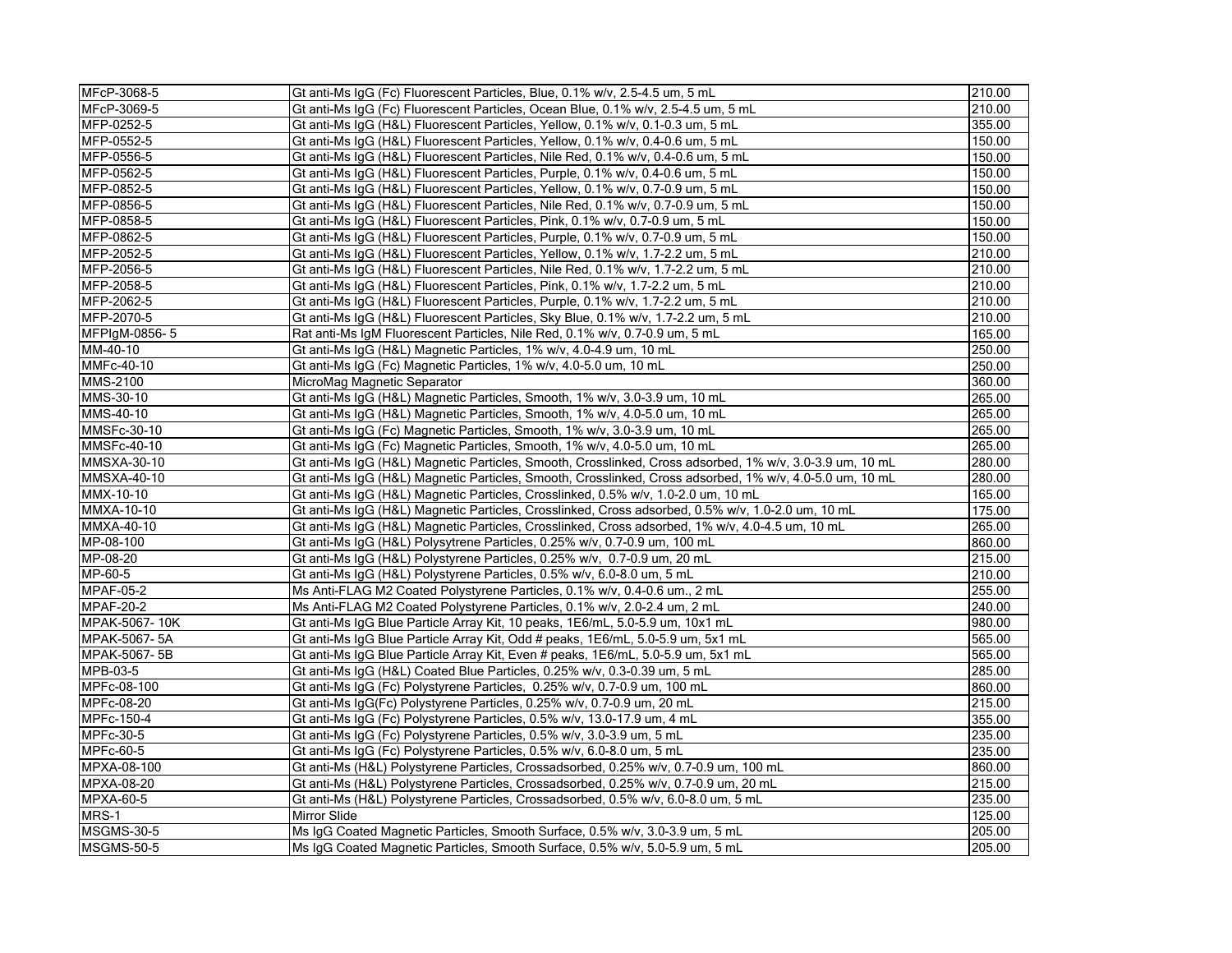| 210.00<br>Gt anti-Ms IgG (Fc) Fluorescent Particles, Ocean Blue, 0.1% w/v, 2.5-4.5 um, 5 mL<br>355.00<br>Gt anti-Ms IgG (H&L) Fluorescent Particles, Yellow, 0.1% w/v, 0.1-0.3 um, 5 mL<br>150.00<br>Gt anti-Ms IgG (H&L) Fluorescent Particles, Yellow, 0.1% w/v, 0.4-0.6 um, 5 mL<br>150.00<br>Gt anti-Ms IgG (H&L) Fluorescent Particles, Nile Red, 0.1% w/v, 0.4-0.6 um, 5 mL<br>150.00<br>Gt anti-Ms IgG (H&L) Fluorescent Particles, Purple, 0.1% w/v, 0.4-0.6 um, 5 mL<br>150.00<br>Gt anti-Ms IgG (H&L) Fluorescent Particles, Yellow, 0.1% w/v, 0.7-0.9 um, 5 mL<br>150.00<br>Gt anti-Ms IgG (H&L) Fluorescent Particles, Nile Red, 0.1% w/v, 0.7-0.9 um, 5 mL<br>Gt anti-Ms IgG (H&L) Fluorescent Particles, Pink, 0.1% w/v, 0.7-0.9 um, 5 mL<br>150.00<br>Gt anti-Ms IgG (H&L) Fluorescent Particles, Purple, 0.1% w/v, 0.7-0.9 um, 5 mL<br>150.00<br>210.00<br>Gt anti-Ms IgG (H&L) Fluorescent Particles, Yellow, 0.1% w/v, 1.7-2.2 um, 5 mL<br>Gt anti-Ms IgG (H&L) Fluorescent Particles, Nile Red, 0.1% w/v, 1.7-2.2 um, 5 mL<br>210.00<br>Gt anti-Ms IgG (H&L) Fluorescent Particles, Pink, 0.1% w/v, 1.7-2.2 um, 5 mL<br>210.00<br>Gt anti-Ms IgG (H&L) Fluorescent Particles, Purple, 0.1% w/v, 1.7-2.2 um, 5 mL<br>210.00<br>210.00<br>Gt anti-Ms IgG (H&L) Fluorescent Particles, Sky Blue, 0.1% w/v, 1.7-2.2 um, 5 mL<br>Rat anti-Ms IgM Fluorescent Particles, Nile Red, 0.1% w/v, 0.7-0.9 um, 5 mL<br>165.00<br>Gt anti-Ms IgG (H&L) Magnetic Particles, 1% w/v, 4.0-4.9 um, 10 mL<br>250.00<br>Gt anti-Ms IgG (Fc) Magnetic Particles, 1% w/v, 4.0-5.0 um, 10 mL<br>250.00<br>MicroMag Magnetic Separator<br>360.00<br>265.00<br>Gt anti-Ms IgG (H&L) Magnetic Particles, Smooth, 1% w/v, 3.0-3.9 um, 10 mL<br>Gt anti-Ms IgG (H&L) Magnetic Particles, Smooth, 1% w/v, 4.0-5.0 um, 10 mL<br>265.00<br>265.00<br>Gt anti-Ms IgG (Fc) Magnetic Particles, Smooth, 1% w/v, 3.0-3.9 um, 10 mL<br>Gt anti-Ms IgG (Fc) Magnetic Particles, Smooth, 1% w/v, 4.0-5.0 um, 10 mL<br>265.00<br>280.00<br>Gt anti-Ms IgG (H&L) Magnetic Particles, Smooth, Crosslinked, Cross adsorbed, 1% w/v, 3.0-3.9 um, 10 mL<br>280.00<br>Gt anti-Ms IgG (H&L) Magnetic Particles, Smooth, Crosslinked, Cross adsorbed, 1% w/v, 4.0-5.0 um, 10 mL<br>Gt anti-Ms IgG (H&L) Magnetic Particles, Crosslinked, 0.5% w/v, 1.0-2.0 um, 10 mL<br>165.00<br>175.00<br>Gt anti-Ms IgG (H&L) Magnetic Particles, Crosslinked, Cross adsorbed, 0.5% w/v, 1.0-2.0 um, 10 mL<br>265.00<br>Gt anti-Ms IgG (H&L) Magnetic Particles, Crosslinked, Cross adsorbed, 1% w/v, 4.0-4.5 um, 10 mL<br>Gt anti-Ms IgG (H&L) Polysytrene Particles, 0.25% w/v, 0.7-0.9 um, 100 mL<br>860.00<br>215.00<br>Gt anti-Ms IgG (H&L) Polystyrene Particles, 0.25% w/v, 0.7-0.9 um, 20 mL<br>210.00<br>Gt anti-Ms IgG (H&L) Polystyrene Particles, 0.5% w/v, 6.0-8.0 um, 5 mL<br>Ms Anti-FLAG M2 Coated Polystyrene Particles, 0.1% w/v, 0.4-0.6 um., 2 mL<br>255.00<br>$\overline{240.00}$<br>Ms Anti-FLAG M2 Coated Polystyrene Particles, 0.1% w/v, 2.0-2.4 um, 2 mL<br>Gt anti-Ms IgG Blue Particle Array Kit, 10 peaks, 1E6/mL, 5.0-5.9 um, 10x1 mL<br>980.00<br>Gt anti-Ms IgG Blue Particle Array Kit, Odd # peaks, 1E6/mL, 5.0-5.9 um, 5x1 mL<br>565.00<br>Gt anti-Ms IgG Blue Particle Array Kit, Even # peaks, 1E6/mL, 5.0-5.9 um, 5x1 mL<br>565.00<br>285.00<br>Gt anti-Ms IgG (H&L) Coated Blue Particles, 0.25% w/v, 0.3-0.39 um, 5 mL<br>860.00<br>Gt anti-Ms IgG (Fc) Polystyrene Particles, 0.25% w/v, 0.7-0.9 um, 100 mL<br>Gt anti-Ms IgG(Fc) Polystyrene Particles, 0.25% w/v, 0.7-0.9 um, 20 mL<br>215.00<br>Gt anti-Ms IgG (Fc) Polystyrene Particles, 0.5% w/v, 13.0-17.9 um, 4 mL<br>355.00<br>235.00<br>Gt anti-Ms IgG (Fc) Polystyrene Particles, 0.5% w/v, 3.0-3.9 um, 5 mL<br>235.00<br>Gt anti-Ms IgG (Fc) Polystyrene Particles, 0.5% w/v, 6.0-8.0 um, 5 mL<br>Gt anti-Ms (H&L) Polystyrene Particles, Crossadsorbed, 0.25% w/v, 0.7-0.9 um, 100 mL<br>860.00<br>Gt anti-Ms (H&L) Polystyrene Particles, Crossadsorbed, 0.25% w/v, 0.7-0.9 um, 20 mL<br>215.00<br>235.00<br>Gt anti-Ms (H&L) Polystyrene Particles, Crossadsorbed, 0.5% w/v, 6.0-8.0 um, 5 mL<br>Mirror Slide<br>125.00<br>205.00<br>Ms IgG Coated Magnetic Particles, Smooth Surface, 0.5% w/v, 3.0-3.9 um, 5 mL<br>Ms IgG Coated Magnetic Particles, Smooth Surface, 0.5% w/v, 5.0-5.9 um, 5 mL<br>205.00 | MFcP-3068-5        | Gt anti-Ms IgG (Fc) Fluorescent Particles, Blue, 0.1% w/v, 2.5-4.5 um, 5 mL | 210.00 |
|-----------------------------------------------------------------------------------------------------------------------------------------------------------------------------------------------------------------------------------------------------------------------------------------------------------------------------------------------------------------------------------------------------------------------------------------------------------------------------------------------------------------------------------------------------------------------------------------------------------------------------------------------------------------------------------------------------------------------------------------------------------------------------------------------------------------------------------------------------------------------------------------------------------------------------------------------------------------------------------------------------------------------------------------------------------------------------------------------------------------------------------------------------------------------------------------------------------------------------------------------------------------------------------------------------------------------------------------------------------------------------------------------------------------------------------------------------------------------------------------------------------------------------------------------------------------------------------------------------------------------------------------------------------------------------------------------------------------------------------------------------------------------------------------------------------------------------------------------------------------------------------------------------------------------------------------------------------------------------------------------------------------------------------------------------------------------------------------------------------------------------------------------------------------------------------------------------------------------------------------------------------------------------------------------------------------------------------------------------------------------------------------------------------------------------------------------------------------------------------------------------------------------------------------------------------------------------------------------------------------------------------------------------------------------------------------------------------------------------------------------------------------------------------------------------------------------------------------------------------------------------------------------------------------------------------------------------------------------------------------------------------------------------------------------------------------------------------------------------------------------------------------------------------------------------------------------------------------------------------------------------------------------------------------------------------------------------------------------------------------------------------------------------------------------------------------------------------------------------------------------------------------------------------------------------------------------------------------------------------------------------------------------------------------------------------------------------------------------------------------------------------------------------------------------------------------------------------------------------------------------------------------------------------------------------------------------------------------------------------------------------------------------------------------------------------------------------------------------------------------------------------------------------------------------------------------------------------------------------------------------------------------------------------------------------------------------------------------------------------------------------|--------------------|-----------------------------------------------------------------------------|--------|
|                                                                                                                                                                                                                                                                                                                                                                                                                                                                                                                                                                                                                                                                                                                                                                                                                                                                                                                                                                                                                                                                                                                                                                                                                                                                                                                                                                                                                                                                                                                                                                                                                                                                                                                                                                                                                                                                                                                                                                                                                                                                                                                                                                                                                                                                                                                                                                                                                                                                                                                                                                                                                                                                                                                                                                                                                                                                                                                                                                                                                                                                                                                                                                                                                                                                                                                                                                                                                                                                                                                                                                                                                                                                                                                                                                                                                                                                                                                                                                                                                                                                                                                                                                                                                                                                                                                                                                             | MFcP-3069-5        |                                                                             |        |
|                                                                                                                                                                                                                                                                                                                                                                                                                                                                                                                                                                                                                                                                                                                                                                                                                                                                                                                                                                                                                                                                                                                                                                                                                                                                                                                                                                                                                                                                                                                                                                                                                                                                                                                                                                                                                                                                                                                                                                                                                                                                                                                                                                                                                                                                                                                                                                                                                                                                                                                                                                                                                                                                                                                                                                                                                                                                                                                                                                                                                                                                                                                                                                                                                                                                                                                                                                                                                                                                                                                                                                                                                                                                                                                                                                                                                                                                                                                                                                                                                                                                                                                                                                                                                                                                                                                                                                             | MFP-0252-5         |                                                                             |        |
|                                                                                                                                                                                                                                                                                                                                                                                                                                                                                                                                                                                                                                                                                                                                                                                                                                                                                                                                                                                                                                                                                                                                                                                                                                                                                                                                                                                                                                                                                                                                                                                                                                                                                                                                                                                                                                                                                                                                                                                                                                                                                                                                                                                                                                                                                                                                                                                                                                                                                                                                                                                                                                                                                                                                                                                                                                                                                                                                                                                                                                                                                                                                                                                                                                                                                                                                                                                                                                                                                                                                                                                                                                                                                                                                                                                                                                                                                                                                                                                                                                                                                                                                                                                                                                                                                                                                                                             | MFP-0552-5         |                                                                             |        |
|                                                                                                                                                                                                                                                                                                                                                                                                                                                                                                                                                                                                                                                                                                                                                                                                                                                                                                                                                                                                                                                                                                                                                                                                                                                                                                                                                                                                                                                                                                                                                                                                                                                                                                                                                                                                                                                                                                                                                                                                                                                                                                                                                                                                                                                                                                                                                                                                                                                                                                                                                                                                                                                                                                                                                                                                                                                                                                                                                                                                                                                                                                                                                                                                                                                                                                                                                                                                                                                                                                                                                                                                                                                                                                                                                                                                                                                                                                                                                                                                                                                                                                                                                                                                                                                                                                                                                                             | MFP-0556-5         |                                                                             |        |
|                                                                                                                                                                                                                                                                                                                                                                                                                                                                                                                                                                                                                                                                                                                                                                                                                                                                                                                                                                                                                                                                                                                                                                                                                                                                                                                                                                                                                                                                                                                                                                                                                                                                                                                                                                                                                                                                                                                                                                                                                                                                                                                                                                                                                                                                                                                                                                                                                                                                                                                                                                                                                                                                                                                                                                                                                                                                                                                                                                                                                                                                                                                                                                                                                                                                                                                                                                                                                                                                                                                                                                                                                                                                                                                                                                                                                                                                                                                                                                                                                                                                                                                                                                                                                                                                                                                                                                             | MFP-0562-5         |                                                                             |        |
|                                                                                                                                                                                                                                                                                                                                                                                                                                                                                                                                                                                                                                                                                                                                                                                                                                                                                                                                                                                                                                                                                                                                                                                                                                                                                                                                                                                                                                                                                                                                                                                                                                                                                                                                                                                                                                                                                                                                                                                                                                                                                                                                                                                                                                                                                                                                                                                                                                                                                                                                                                                                                                                                                                                                                                                                                                                                                                                                                                                                                                                                                                                                                                                                                                                                                                                                                                                                                                                                                                                                                                                                                                                                                                                                                                                                                                                                                                                                                                                                                                                                                                                                                                                                                                                                                                                                                                             | MFP-0852-5         |                                                                             |        |
|                                                                                                                                                                                                                                                                                                                                                                                                                                                                                                                                                                                                                                                                                                                                                                                                                                                                                                                                                                                                                                                                                                                                                                                                                                                                                                                                                                                                                                                                                                                                                                                                                                                                                                                                                                                                                                                                                                                                                                                                                                                                                                                                                                                                                                                                                                                                                                                                                                                                                                                                                                                                                                                                                                                                                                                                                                                                                                                                                                                                                                                                                                                                                                                                                                                                                                                                                                                                                                                                                                                                                                                                                                                                                                                                                                                                                                                                                                                                                                                                                                                                                                                                                                                                                                                                                                                                                                             | MFP-0856-5         |                                                                             |        |
|                                                                                                                                                                                                                                                                                                                                                                                                                                                                                                                                                                                                                                                                                                                                                                                                                                                                                                                                                                                                                                                                                                                                                                                                                                                                                                                                                                                                                                                                                                                                                                                                                                                                                                                                                                                                                                                                                                                                                                                                                                                                                                                                                                                                                                                                                                                                                                                                                                                                                                                                                                                                                                                                                                                                                                                                                                                                                                                                                                                                                                                                                                                                                                                                                                                                                                                                                                                                                                                                                                                                                                                                                                                                                                                                                                                                                                                                                                                                                                                                                                                                                                                                                                                                                                                                                                                                                                             | MFP-0858-5         |                                                                             |        |
|                                                                                                                                                                                                                                                                                                                                                                                                                                                                                                                                                                                                                                                                                                                                                                                                                                                                                                                                                                                                                                                                                                                                                                                                                                                                                                                                                                                                                                                                                                                                                                                                                                                                                                                                                                                                                                                                                                                                                                                                                                                                                                                                                                                                                                                                                                                                                                                                                                                                                                                                                                                                                                                                                                                                                                                                                                                                                                                                                                                                                                                                                                                                                                                                                                                                                                                                                                                                                                                                                                                                                                                                                                                                                                                                                                                                                                                                                                                                                                                                                                                                                                                                                                                                                                                                                                                                                                             | MFP-0862-5         |                                                                             |        |
|                                                                                                                                                                                                                                                                                                                                                                                                                                                                                                                                                                                                                                                                                                                                                                                                                                                                                                                                                                                                                                                                                                                                                                                                                                                                                                                                                                                                                                                                                                                                                                                                                                                                                                                                                                                                                                                                                                                                                                                                                                                                                                                                                                                                                                                                                                                                                                                                                                                                                                                                                                                                                                                                                                                                                                                                                                                                                                                                                                                                                                                                                                                                                                                                                                                                                                                                                                                                                                                                                                                                                                                                                                                                                                                                                                                                                                                                                                                                                                                                                                                                                                                                                                                                                                                                                                                                                                             | MFP-2052-5         |                                                                             |        |
|                                                                                                                                                                                                                                                                                                                                                                                                                                                                                                                                                                                                                                                                                                                                                                                                                                                                                                                                                                                                                                                                                                                                                                                                                                                                                                                                                                                                                                                                                                                                                                                                                                                                                                                                                                                                                                                                                                                                                                                                                                                                                                                                                                                                                                                                                                                                                                                                                                                                                                                                                                                                                                                                                                                                                                                                                                                                                                                                                                                                                                                                                                                                                                                                                                                                                                                                                                                                                                                                                                                                                                                                                                                                                                                                                                                                                                                                                                                                                                                                                                                                                                                                                                                                                                                                                                                                                                             | MFP-2056-5         |                                                                             |        |
|                                                                                                                                                                                                                                                                                                                                                                                                                                                                                                                                                                                                                                                                                                                                                                                                                                                                                                                                                                                                                                                                                                                                                                                                                                                                                                                                                                                                                                                                                                                                                                                                                                                                                                                                                                                                                                                                                                                                                                                                                                                                                                                                                                                                                                                                                                                                                                                                                                                                                                                                                                                                                                                                                                                                                                                                                                                                                                                                                                                                                                                                                                                                                                                                                                                                                                                                                                                                                                                                                                                                                                                                                                                                                                                                                                                                                                                                                                                                                                                                                                                                                                                                                                                                                                                                                                                                                                             | MFP-2058-5         |                                                                             |        |
|                                                                                                                                                                                                                                                                                                                                                                                                                                                                                                                                                                                                                                                                                                                                                                                                                                                                                                                                                                                                                                                                                                                                                                                                                                                                                                                                                                                                                                                                                                                                                                                                                                                                                                                                                                                                                                                                                                                                                                                                                                                                                                                                                                                                                                                                                                                                                                                                                                                                                                                                                                                                                                                                                                                                                                                                                                                                                                                                                                                                                                                                                                                                                                                                                                                                                                                                                                                                                                                                                                                                                                                                                                                                                                                                                                                                                                                                                                                                                                                                                                                                                                                                                                                                                                                                                                                                                                             | MFP-2062-5         |                                                                             |        |
|                                                                                                                                                                                                                                                                                                                                                                                                                                                                                                                                                                                                                                                                                                                                                                                                                                                                                                                                                                                                                                                                                                                                                                                                                                                                                                                                                                                                                                                                                                                                                                                                                                                                                                                                                                                                                                                                                                                                                                                                                                                                                                                                                                                                                                                                                                                                                                                                                                                                                                                                                                                                                                                                                                                                                                                                                                                                                                                                                                                                                                                                                                                                                                                                                                                                                                                                                                                                                                                                                                                                                                                                                                                                                                                                                                                                                                                                                                                                                                                                                                                                                                                                                                                                                                                                                                                                                                             | MFP-2070-5         |                                                                             |        |
|                                                                                                                                                                                                                                                                                                                                                                                                                                                                                                                                                                                                                                                                                                                                                                                                                                                                                                                                                                                                                                                                                                                                                                                                                                                                                                                                                                                                                                                                                                                                                                                                                                                                                                                                                                                                                                                                                                                                                                                                                                                                                                                                                                                                                                                                                                                                                                                                                                                                                                                                                                                                                                                                                                                                                                                                                                                                                                                                                                                                                                                                                                                                                                                                                                                                                                                                                                                                                                                                                                                                                                                                                                                                                                                                                                                                                                                                                                                                                                                                                                                                                                                                                                                                                                                                                                                                                                             | MFPIgM-0856-5      |                                                                             |        |
|                                                                                                                                                                                                                                                                                                                                                                                                                                                                                                                                                                                                                                                                                                                                                                                                                                                                                                                                                                                                                                                                                                                                                                                                                                                                                                                                                                                                                                                                                                                                                                                                                                                                                                                                                                                                                                                                                                                                                                                                                                                                                                                                                                                                                                                                                                                                                                                                                                                                                                                                                                                                                                                                                                                                                                                                                                                                                                                                                                                                                                                                                                                                                                                                                                                                                                                                                                                                                                                                                                                                                                                                                                                                                                                                                                                                                                                                                                                                                                                                                                                                                                                                                                                                                                                                                                                                                                             | MM-40-10           |                                                                             |        |
|                                                                                                                                                                                                                                                                                                                                                                                                                                                                                                                                                                                                                                                                                                                                                                                                                                                                                                                                                                                                                                                                                                                                                                                                                                                                                                                                                                                                                                                                                                                                                                                                                                                                                                                                                                                                                                                                                                                                                                                                                                                                                                                                                                                                                                                                                                                                                                                                                                                                                                                                                                                                                                                                                                                                                                                                                                                                                                                                                                                                                                                                                                                                                                                                                                                                                                                                                                                                                                                                                                                                                                                                                                                                                                                                                                                                                                                                                                                                                                                                                                                                                                                                                                                                                                                                                                                                                                             | MMFc-40-10         |                                                                             |        |
|                                                                                                                                                                                                                                                                                                                                                                                                                                                                                                                                                                                                                                                                                                                                                                                                                                                                                                                                                                                                                                                                                                                                                                                                                                                                                                                                                                                                                                                                                                                                                                                                                                                                                                                                                                                                                                                                                                                                                                                                                                                                                                                                                                                                                                                                                                                                                                                                                                                                                                                                                                                                                                                                                                                                                                                                                                                                                                                                                                                                                                                                                                                                                                                                                                                                                                                                                                                                                                                                                                                                                                                                                                                                                                                                                                                                                                                                                                                                                                                                                                                                                                                                                                                                                                                                                                                                                                             | <b>MMS-2100</b>    |                                                                             |        |
|                                                                                                                                                                                                                                                                                                                                                                                                                                                                                                                                                                                                                                                                                                                                                                                                                                                                                                                                                                                                                                                                                                                                                                                                                                                                                                                                                                                                                                                                                                                                                                                                                                                                                                                                                                                                                                                                                                                                                                                                                                                                                                                                                                                                                                                                                                                                                                                                                                                                                                                                                                                                                                                                                                                                                                                                                                                                                                                                                                                                                                                                                                                                                                                                                                                                                                                                                                                                                                                                                                                                                                                                                                                                                                                                                                                                                                                                                                                                                                                                                                                                                                                                                                                                                                                                                                                                                                             | MMS-30-10          |                                                                             |        |
|                                                                                                                                                                                                                                                                                                                                                                                                                                                                                                                                                                                                                                                                                                                                                                                                                                                                                                                                                                                                                                                                                                                                                                                                                                                                                                                                                                                                                                                                                                                                                                                                                                                                                                                                                                                                                                                                                                                                                                                                                                                                                                                                                                                                                                                                                                                                                                                                                                                                                                                                                                                                                                                                                                                                                                                                                                                                                                                                                                                                                                                                                                                                                                                                                                                                                                                                                                                                                                                                                                                                                                                                                                                                                                                                                                                                                                                                                                                                                                                                                                                                                                                                                                                                                                                                                                                                                                             | MMS-40-10          |                                                                             |        |
|                                                                                                                                                                                                                                                                                                                                                                                                                                                                                                                                                                                                                                                                                                                                                                                                                                                                                                                                                                                                                                                                                                                                                                                                                                                                                                                                                                                                                                                                                                                                                                                                                                                                                                                                                                                                                                                                                                                                                                                                                                                                                                                                                                                                                                                                                                                                                                                                                                                                                                                                                                                                                                                                                                                                                                                                                                                                                                                                                                                                                                                                                                                                                                                                                                                                                                                                                                                                                                                                                                                                                                                                                                                                                                                                                                                                                                                                                                                                                                                                                                                                                                                                                                                                                                                                                                                                                                             | <b>MMSFc-30-10</b> |                                                                             |        |
|                                                                                                                                                                                                                                                                                                                                                                                                                                                                                                                                                                                                                                                                                                                                                                                                                                                                                                                                                                                                                                                                                                                                                                                                                                                                                                                                                                                                                                                                                                                                                                                                                                                                                                                                                                                                                                                                                                                                                                                                                                                                                                                                                                                                                                                                                                                                                                                                                                                                                                                                                                                                                                                                                                                                                                                                                                                                                                                                                                                                                                                                                                                                                                                                                                                                                                                                                                                                                                                                                                                                                                                                                                                                                                                                                                                                                                                                                                                                                                                                                                                                                                                                                                                                                                                                                                                                                                             | <b>MMSFc-40-10</b> |                                                                             |        |
|                                                                                                                                                                                                                                                                                                                                                                                                                                                                                                                                                                                                                                                                                                                                                                                                                                                                                                                                                                                                                                                                                                                                                                                                                                                                                                                                                                                                                                                                                                                                                                                                                                                                                                                                                                                                                                                                                                                                                                                                                                                                                                                                                                                                                                                                                                                                                                                                                                                                                                                                                                                                                                                                                                                                                                                                                                                                                                                                                                                                                                                                                                                                                                                                                                                                                                                                                                                                                                                                                                                                                                                                                                                                                                                                                                                                                                                                                                                                                                                                                                                                                                                                                                                                                                                                                                                                                                             | <b>MMSXA-30-10</b> |                                                                             |        |
|                                                                                                                                                                                                                                                                                                                                                                                                                                                                                                                                                                                                                                                                                                                                                                                                                                                                                                                                                                                                                                                                                                                                                                                                                                                                                                                                                                                                                                                                                                                                                                                                                                                                                                                                                                                                                                                                                                                                                                                                                                                                                                                                                                                                                                                                                                                                                                                                                                                                                                                                                                                                                                                                                                                                                                                                                                                                                                                                                                                                                                                                                                                                                                                                                                                                                                                                                                                                                                                                                                                                                                                                                                                                                                                                                                                                                                                                                                                                                                                                                                                                                                                                                                                                                                                                                                                                                                             | <b>MMSXA-40-10</b> |                                                                             |        |
|                                                                                                                                                                                                                                                                                                                                                                                                                                                                                                                                                                                                                                                                                                                                                                                                                                                                                                                                                                                                                                                                                                                                                                                                                                                                                                                                                                                                                                                                                                                                                                                                                                                                                                                                                                                                                                                                                                                                                                                                                                                                                                                                                                                                                                                                                                                                                                                                                                                                                                                                                                                                                                                                                                                                                                                                                                                                                                                                                                                                                                                                                                                                                                                                                                                                                                                                                                                                                                                                                                                                                                                                                                                                                                                                                                                                                                                                                                                                                                                                                                                                                                                                                                                                                                                                                                                                                                             | MMX-10-10          |                                                                             |        |
|                                                                                                                                                                                                                                                                                                                                                                                                                                                                                                                                                                                                                                                                                                                                                                                                                                                                                                                                                                                                                                                                                                                                                                                                                                                                                                                                                                                                                                                                                                                                                                                                                                                                                                                                                                                                                                                                                                                                                                                                                                                                                                                                                                                                                                                                                                                                                                                                                                                                                                                                                                                                                                                                                                                                                                                                                                                                                                                                                                                                                                                                                                                                                                                                                                                                                                                                                                                                                                                                                                                                                                                                                                                                                                                                                                                                                                                                                                                                                                                                                                                                                                                                                                                                                                                                                                                                                                             | MMXA-10-10         |                                                                             |        |
|                                                                                                                                                                                                                                                                                                                                                                                                                                                                                                                                                                                                                                                                                                                                                                                                                                                                                                                                                                                                                                                                                                                                                                                                                                                                                                                                                                                                                                                                                                                                                                                                                                                                                                                                                                                                                                                                                                                                                                                                                                                                                                                                                                                                                                                                                                                                                                                                                                                                                                                                                                                                                                                                                                                                                                                                                                                                                                                                                                                                                                                                                                                                                                                                                                                                                                                                                                                                                                                                                                                                                                                                                                                                                                                                                                                                                                                                                                                                                                                                                                                                                                                                                                                                                                                                                                                                                                             | MMXA-40-10         |                                                                             |        |
|                                                                                                                                                                                                                                                                                                                                                                                                                                                                                                                                                                                                                                                                                                                                                                                                                                                                                                                                                                                                                                                                                                                                                                                                                                                                                                                                                                                                                                                                                                                                                                                                                                                                                                                                                                                                                                                                                                                                                                                                                                                                                                                                                                                                                                                                                                                                                                                                                                                                                                                                                                                                                                                                                                                                                                                                                                                                                                                                                                                                                                                                                                                                                                                                                                                                                                                                                                                                                                                                                                                                                                                                                                                                                                                                                                                                                                                                                                                                                                                                                                                                                                                                                                                                                                                                                                                                                                             | MP-08-100          |                                                                             |        |
|                                                                                                                                                                                                                                                                                                                                                                                                                                                                                                                                                                                                                                                                                                                                                                                                                                                                                                                                                                                                                                                                                                                                                                                                                                                                                                                                                                                                                                                                                                                                                                                                                                                                                                                                                                                                                                                                                                                                                                                                                                                                                                                                                                                                                                                                                                                                                                                                                                                                                                                                                                                                                                                                                                                                                                                                                                                                                                                                                                                                                                                                                                                                                                                                                                                                                                                                                                                                                                                                                                                                                                                                                                                                                                                                                                                                                                                                                                                                                                                                                                                                                                                                                                                                                                                                                                                                                                             | MP-08-20           |                                                                             |        |
|                                                                                                                                                                                                                                                                                                                                                                                                                                                                                                                                                                                                                                                                                                                                                                                                                                                                                                                                                                                                                                                                                                                                                                                                                                                                                                                                                                                                                                                                                                                                                                                                                                                                                                                                                                                                                                                                                                                                                                                                                                                                                                                                                                                                                                                                                                                                                                                                                                                                                                                                                                                                                                                                                                                                                                                                                                                                                                                                                                                                                                                                                                                                                                                                                                                                                                                                                                                                                                                                                                                                                                                                                                                                                                                                                                                                                                                                                                                                                                                                                                                                                                                                                                                                                                                                                                                                                                             | MP-60-5            |                                                                             |        |
|                                                                                                                                                                                                                                                                                                                                                                                                                                                                                                                                                                                                                                                                                                                                                                                                                                                                                                                                                                                                                                                                                                                                                                                                                                                                                                                                                                                                                                                                                                                                                                                                                                                                                                                                                                                                                                                                                                                                                                                                                                                                                                                                                                                                                                                                                                                                                                                                                                                                                                                                                                                                                                                                                                                                                                                                                                                                                                                                                                                                                                                                                                                                                                                                                                                                                                                                                                                                                                                                                                                                                                                                                                                                                                                                                                                                                                                                                                                                                                                                                                                                                                                                                                                                                                                                                                                                                                             | <b>MPAF-05-2</b>   |                                                                             |        |
|                                                                                                                                                                                                                                                                                                                                                                                                                                                                                                                                                                                                                                                                                                                                                                                                                                                                                                                                                                                                                                                                                                                                                                                                                                                                                                                                                                                                                                                                                                                                                                                                                                                                                                                                                                                                                                                                                                                                                                                                                                                                                                                                                                                                                                                                                                                                                                                                                                                                                                                                                                                                                                                                                                                                                                                                                                                                                                                                                                                                                                                                                                                                                                                                                                                                                                                                                                                                                                                                                                                                                                                                                                                                                                                                                                                                                                                                                                                                                                                                                                                                                                                                                                                                                                                                                                                                                                             | <b>MPAF-20-2</b>   |                                                                             |        |
|                                                                                                                                                                                                                                                                                                                                                                                                                                                                                                                                                                                                                                                                                                                                                                                                                                                                                                                                                                                                                                                                                                                                                                                                                                                                                                                                                                                                                                                                                                                                                                                                                                                                                                                                                                                                                                                                                                                                                                                                                                                                                                                                                                                                                                                                                                                                                                                                                                                                                                                                                                                                                                                                                                                                                                                                                                                                                                                                                                                                                                                                                                                                                                                                                                                                                                                                                                                                                                                                                                                                                                                                                                                                                                                                                                                                                                                                                                                                                                                                                                                                                                                                                                                                                                                                                                                                                                             | MPAK-5067-10K      |                                                                             |        |
|                                                                                                                                                                                                                                                                                                                                                                                                                                                                                                                                                                                                                                                                                                                                                                                                                                                                                                                                                                                                                                                                                                                                                                                                                                                                                                                                                                                                                                                                                                                                                                                                                                                                                                                                                                                                                                                                                                                                                                                                                                                                                                                                                                                                                                                                                                                                                                                                                                                                                                                                                                                                                                                                                                                                                                                                                                                                                                                                                                                                                                                                                                                                                                                                                                                                                                                                                                                                                                                                                                                                                                                                                                                                                                                                                                                                                                                                                                                                                                                                                                                                                                                                                                                                                                                                                                                                                                             | MPAK-5067-5A       |                                                                             |        |
|                                                                                                                                                                                                                                                                                                                                                                                                                                                                                                                                                                                                                                                                                                                                                                                                                                                                                                                                                                                                                                                                                                                                                                                                                                                                                                                                                                                                                                                                                                                                                                                                                                                                                                                                                                                                                                                                                                                                                                                                                                                                                                                                                                                                                                                                                                                                                                                                                                                                                                                                                                                                                                                                                                                                                                                                                                                                                                                                                                                                                                                                                                                                                                                                                                                                                                                                                                                                                                                                                                                                                                                                                                                                                                                                                                                                                                                                                                                                                                                                                                                                                                                                                                                                                                                                                                                                                                             | MPAK-5067-5B       |                                                                             |        |
|                                                                                                                                                                                                                                                                                                                                                                                                                                                                                                                                                                                                                                                                                                                                                                                                                                                                                                                                                                                                                                                                                                                                                                                                                                                                                                                                                                                                                                                                                                                                                                                                                                                                                                                                                                                                                                                                                                                                                                                                                                                                                                                                                                                                                                                                                                                                                                                                                                                                                                                                                                                                                                                                                                                                                                                                                                                                                                                                                                                                                                                                                                                                                                                                                                                                                                                                                                                                                                                                                                                                                                                                                                                                                                                                                                                                                                                                                                                                                                                                                                                                                                                                                                                                                                                                                                                                                                             | MPB-03-5           |                                                                             |        |
|                                                                                                                                                                                                                                                                                                                                                                                                                                                                                                                                                                                                                                                                                                                                                                                                                                                                                                                                                                                                                                                                                                                                                                                                                                                                                                                                                                                                                                                                                                                                                                                                                                                                                                                                                                                                                                                                                                                                                                                                                                                                                                                                                                                                                                                                                                                                                                                                                                                                                                                                                                                                                                                                                                                                                                                                                                                                                                                                                                                                                                                                                                                                                                                                                                                                                                                                                                                                                                                                                                                                                                                                                                                                                                                                                                                                                                                                                                                                                                                                                                                                                                                                                                                                                                                                                                                                                                             | MPFc-08-100        |                                                                             |        |
|                                                                                                                                                                                                                                                                                                                                                                                                                                                                                                                                                                                                                                                                                                                                                                                                                                                                                                                                                                                                                                                                                                                                                                                                                                                                                                                                                                                                                                                                                                                                                                                                                                                                                                                                                                                                                                                                                                                                                                                                                                                                                                                                                                                                                                                                                                                                                                                                                                                                                                                                                                                                                                                                                                                                                                                                                                                                                                                                                                                                                                                                                                                                                                                                                                                                                                                                                                                                                                                                                                                                                                                                                                                                                                                                                                                                                                                                                                                                                                                                                                                                                                                                                                                                                                                                                                                                                                             | MPFc-08-20         |                                                                             |        |
|                                                                                                                                                                                                                                                                                                                                                                                                                                                                                                                                                                                                                                                                                                                                                                                                                                                                                                                                                                                                                                                                                                                                                                                                                                                                                                                                                                                                                                                                                                                                                                                                                                                                                                                                                                                                                                                                                                                                                                                                                                                                                                                                                                                                                                                                                                                                                                                                                                                                                                                                                                                                                                                                                                                                                                                                                                                                                                                                                                                                                                                                                                                                                                                                                                                                                                                                                                                                                                                                                                                                                                                                                                                                                                                                                                                                                                                                                                                                                                                                                                                                                                                                                                                                                                                                                                                                                                             | MPFc-150-4         |                                                                             |        |
|                                                                                                                                                                                                                                                                                                                                                                                                                                                                                                                                                                                                                                                                                                                                                                                                                                                                                                                                                                                                                                                                                                                                                                                                                                                                                                                                                                                                                                                                                                                                                                                                                                                                                                                                                                                                                                                                                                                                                                                                                                                                                                                                                                                                                                                                                                                                                                                                                                                                                                                                                                                                                                                                                                                                                                                                                                                                                                                                                                                                                                                                                                                                                                                                                                                                                                                                                                                                                                                                                                                                                                                                                                                                                                                                                                                                                                                                                                                                                                                                                                                                                                                                                                                                                                                                                                                                                                             | MPFc-30-5          |                                                                             |        |
|                                                                                                                                                                                                                                                                                                                                                                                                                                                                                                                                                                                                                                                                                                                                                                                                                                                                                                                                                                                                                                                                                                                                                                                                                                                                                                                                                                                                                                                                                                                                                                                                                                                                                                                                                                                                                                                                                                                                                                                                                                                                                                                                                                                                                                                                                                                                                                                                                                                                                                                                                                                                                                                                                                                                                                                                                                                                                                                                                                                                                                                                                                                                                                                                                                                                                                                                                                                                                                                                                                                                                                                                                                                                                                                                                                                                                                                                                                                                                                                                                                                                                                                                                                                                                                                                                                                                                                             | MPFc-60-5          |                                                                             |        |
|                                                                                                                                                                                                                                                                                                                                                                                                                                                                                                                                                                                                                                                                                                                                                                                                                                                                                                                                                                                                                                                                                                                                                                                                                                                                                                                                                                                                                                                                                                                                                                                                                                                                                                                                                                                                                                                                                                                                                                                                                                                                                                                                                                                                                                                                                                                                                                                                                                                                                                                                                                                                                                                                                                                                                                                                                                                                                                                                                                                                                                                                                                                                                                                                                                                                                                                                                                                                                                                                                                                                                                                                                                                                                                                                                                                                                                                                                                                                                                                                                                                                                                                                                                                                                                                                                                                                                                             | MPXA-08-100        |                                                                             |        |
|                                                                                                                                                                                                                                                                                                                                                                                                                                                                                                                                                                                                                                                                                                                                                                                                                                                                                                                                                                                                                                                                                                                                                                                                                                                                                                                                                                                                                                                                                                                                                                                                                                                                                                                                                                                                                                                                                                                                                                                                                                                                                                                                                                                                                                                                                                                                                                                                                                                                                                                                                                                                                                                                                                                                                                                                                                                                                                                                                                                                                                                                                                                                                                                                                                                                                                                                                                                                                                                                                                                                                                                                                                                                                                                                                                                                                                                                                                                                                                                                                                                                                                                                                                                                                                                                                                                                                                             | MPXA-08-20         |                                                                             |        |
|                                                                                                                                                                                                                                                                                                                                                                                                                                                                                                                                                                                                                                                                                                                                                                                                                                                                                                                                                                                                                                                                                                                                                                                                                                                                                                                                                                                                                                                                                                                                                                                                                                                                                                                                                                                                                                                                                                                                                                                                                                                                                                                                                                                                                                                                                                                                                                                                                                                                                                                                                                                                                                                                                                                                                                                                                                                                                                                                                                                                                                                                                                                                                                                                                                                                                                                                                                                                                                                                                                                                                                                                                                                                                                                                                                                                                                                                                                                                                                                                                                                                                                                                                                                                                                                                                                                                                                             | <b>MPXA-60-5</b>   |                                                                             |        |
|                                                                                                                                                                                                                                                                                                                                                                                                                                                                                                                                                                                                                                                                                                                                                                                                                                                                                                                                                                                                                                                                                                                                                                                                                                                                                                                                                                                                                                                                                                                                                                                                                                                                                                                                                                                                                                                                                                                                                                                                                                                                                                                                                                                                                                                                                                                                                                                                                                                                                                                                                                                                                                                                                                                                                                                                                                                                                                                                                                                                                                                                                                                                                                                                                                                                                                                                                                                                                                                                                                                                                                                                                                                                                                                                                                                                                                                                                                                                                                                                                                                                                                                                                                                                                                                                                                                                                                             | MRS-1              |                                                                             |        |
|                                                                                                                                                                                                                                                                                                                                                                                                                                                                                                                                                                                                                                                                                                                                                                                                                                                                                                                                                                                                                                                                                                                                                                                                                                                                                                                                                                                                                                                                                                                                                                                                                                                                                                                                                                                                                                                                                                                                                                                                                                                                                                                                                                                                                                                                                                                                                                                                                                                                                                                                                                                                                                                                                                                                                                                                                                                                                                                                                                                                                                                                                                                                                                                                                                                                                                                                                                                                                                                                                                                                                                                                                                                                                                                                                                                                                                                                                                                                                                                                                                                                                                                                                                                                                                                                                                                                                                             | MSGMS-30-5         |                                                                             |        |
|                                                                                                                                                                                                                                                                                                                                                                                                                                                                                                                                                                                                                                                                                                                                                                                                                                                                                                                                                                                                                                                                                                                                                                                                                                                                                                                                                                                                                                                                                                                                                                                                                                                                                                                                                                                                                                                                                                                                                                                                                                                                                                                                                                                                                                                                                                                                                                                                                                                                                                                                                                                                                                                                                                                                                                                                                                                                                                                                                                                                                                                                                                                                                                                                                                                                                                                                                                                                                                                                                                                                                                                                                                                                                                                                                                                                                                                                                                                                                                                                                                                                                                                                                                                                                                                                                                                                                                             | <b>MSGMS-50-5</b>  |                                                                             |        |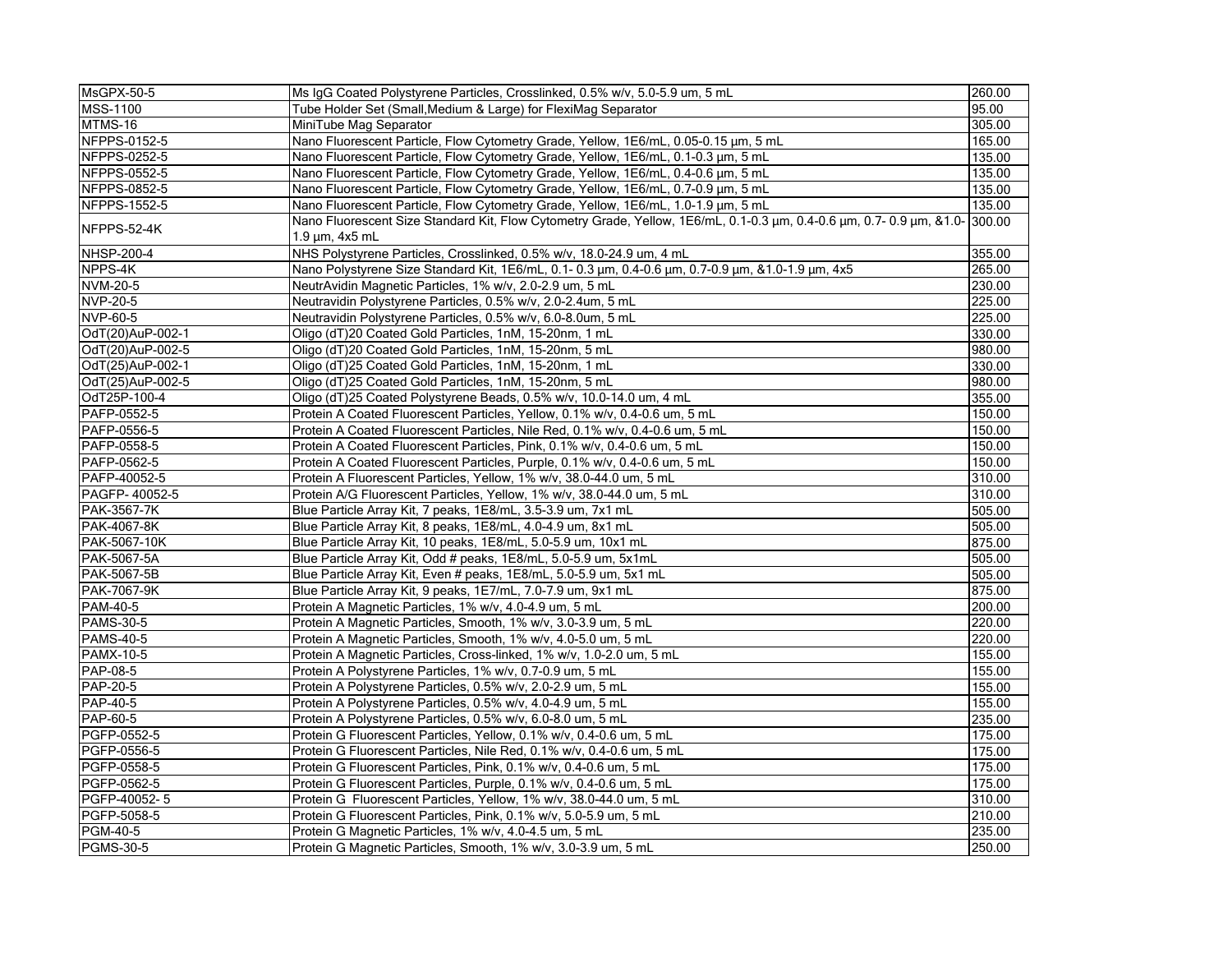| MsGPX-50-5        | Ms IgG Coated Polystyrene Particles, Crosslinked, 0.5% w/v, 5.0-5.9 um, 5 mL                                                                            | 260.00 |  |
|-------------------|---------------------------------------------------------------------------------------------------------------------------------------------------------|--------|--|
| <b>MSS-1100</b>   | Tube Holder Set (Small, Medium & Large) for FlexiMag Separator                                                                                          | 95.00  |  |
| MTMS-16           | MiniTube Mag Separator                                                                                                                                  | 305.00 |  |
| NFPPS-0152-5      | Nano Fluorescent Particle, Flow Cytometry Grade, Yellow, 1E6/mL, 0.05-0.15 µm, 5 mL                                                                     | 165.00 |  |
| NFPPS-0252-5      | Nano Fluorescent Particle, Flow Cytometry Grade, Yellow, 1E6/mL, 0.1-0.3 µm, 5 mL                                                                       | 135.00 |  |
| NFPPS-0552-5      | Nano Fluorescent Particle, Flow Cytometry Grade, Yellow, 1E6/mL, 0.4-0.6 µm, 5 mL                                                                       | 135.00 |  |
| NFPPS-0852-5      | Nano Fluorescent Particle, Flow Cytometry Grade, Yellow, 1E6/mL, 0.7-0.9 µm, 5 mL                                                                       | 135.00 |  |
| NFPPS-1552-5      | Nano Fluorescent Particle, Flow Cytometry Grade, Yellow, 1E6/mL, 1.0-1.9 µm, 5 mL                                                                       | 135.00 |  |
| NFPPS-52-4K       | Nano Fluorescent Size Standard Kit, Flow Cytometry Grade, Yellow, 1E6/mL, 0.1-0.3 μm, 0.4-0.6 μm, 0.7-0.9 μm, &1.0- 300.00<br>$1.9 \mu m$ , $4x5 \mu L$ |        |  |
| <b>NHSP-200-4</b> | NHS Polystyrene Particles, Crosslinked, 0.5% w/v, 18.0-24.9 um, 4 mL                                                                                    | 355.00 |  |
| NPPS-4K           | Nano Polystyrene Size Standard Kit, 1E6/mL, 0.1- 0.3 μm, 0.4-0.6 μm, 0.7-0.9 μm, &1.0-1.9 μm, 4x5                                                       | 265.00 |  |
| NVM-20-5          | NeutrAvidin Magnetic Particles, 1% w/v, 2.0-2.9 um, 5 mL                                                                                                | 230.00 |  |
| NVP-20-5          | Neutravidin Polystyrene Particles, 0.5% w/v, 2.0-2.4um, 5 mL                                                                                            | 225.00 |  |
| NVP-60-5          | Neutravidin Polystyrene Particles, 0.5% w/v, 6.0-8.0um, 5 mL                                                                                            | 225.00 |  |
| OdT(20)AuP-002-1  | Oligo (dT)20 Coated Gold Particles, 1nM, 15-20nm, 1 mL                                                                                                  | 330.00 |  |
| OdT(20)AuP-002-5  | Oligo (dT)20 Coated Gold Particles, 1nM, 15-20nm, 5 mL                                                                                                  | 980.00 |  |
| OdT(25)AuP-002-1  | Oligo (dT)25 Coated Gold Particles, 1nM, 15-20nm, 1 mL                                                                                                  | 330.00 |  |
| OdT(25)AuP-002-5  | Oligo (dT)25 Coated Gold Particles, 1nM, 15-20nm, 5 mL                                                                                                  | 980.00 |  |
| OdT25P-100-4      | Oligo (dT)25 Coated Polystyrene Beads, 0.5% w/v, 10.0-14.0 um, 4 mL                                                                                     | 355.00 |  |
| PAFP-0552-5       | Protein A Coated Fluorescent Particles, Yellow, 0.1% w/v, 0.4-0.6 um, 5 mL                                                                              | 150.00 |  |
| PAFP-0556-5       | Protein A Coated Fluorescent Particles, Nile Red, 0.1% w/v, 0.4-0.6 um, 5 mL                                                                            | 150.00 |  |
| PAFP-0558-5       | Protein A Coated Fluorescent Particles, Pink, 0.1% w/v, 0.4-0.6 um, 5 mL                                                                                | 150.00 |  |
| PAFP-0562-5       | Protein A Coated Fluorescent Particles, Purple, 0.1% w/v, 0.4-0.6 um, 5 mL                                                                              | 150.00 |  |
| PAFP-40052-5      | Protein A Fluorescent Particles, Yellow, 1% w/v, 38.0-44.0 um, 5 mL                                                                                     | 310.00 |  |
| PAGFP-40052-5     | Protein A/G Fluorescent Particles, Yellow, 1% w/v, 38.0-44.0 um, 5 mL                                                                                   | 310.00 |  |
| PAK-3567-7K       | Blue Particle Array Kit, 7 peaks, 1E8/mL, 3.5-3.9 um, 7x1 mL                                                                                            | 505.00 |  |
| PAK-4067-8K       | Blue Particle Array Kit, 8 peaks, 1E8/mL, 4.0-4.9 um, 8x1 mL                                                                                            | 505.00 |  |
| PAK-5067-10K      | Blue Particle Array Kit, 10 peaks, 1E8/mL, 5.0-5.9 um, 10x1 mL                                                                                          | 875.00 |  |
| PAK-5067-5A       | Blue Particle Array Kit, Odd # peaks, 1E8/mL, 5.0-5.9 um, 5x1mL                                                                                         | 505.00 |  |
| PAK-5067-5B       | Blue Particle Array Kit, Even # peaks, 1E8/mL, 5.0-5.9 um, 5x1 mL                                                                                       | 505.00 |  |
| PAK-7067-9K       | Blue Particle Array Kit, 9 peaks, 1E7/mL, 7.0-7.9 um, 9x1 mL                                                                                            | 875.00 |  |
| PAM-40-5          | Protein A Magnetic Particles, 1% w/v, 4.0-4.9 um, 5 mL                                                                                                  | 200.00 |  |
| <b>PAMS-30-5</b>  | Protein A Magnetic Particles, Smooth, 1% w/v, 3.0-3.9 um, 5 mL                                                                                          | 220.00 |  |
| <b>PAMS-40-5</b>  | Protein A Magnetic Particles, Smooth, 1% w/v, 4.0-5.0 um, 5 mL                                                                                          | 220.00 |  |
| <b>PAMX-10-5</b>  | Protein A Magnetic Particles, Cross-linked, 1% w/v, 1.0-2.0 um, 5 mL                                                                                    | 155.00 |  |
| PAP-08-5          | Protein A Polystyrene Particles, 1% w/v, 0.7-0.9 um, 5 mL                                                                                               | 155.00 |  |
| <b>PAP-20-5</b>   | Protein A Polystyrene Particles, 0.5% w/v, 2.0-2.9 um, 5 mL                                                                                             | 155.00 |  |
| PAP-40-5          | Protein A Polystyrene Particles, 0.5% w/v, 4.0-4.9 um, 5 mL                                                                                             | 155.00 |  |
| <b>PAP-60-5</b>   | Protein A Polystyrene Particles, 0.5% w/v, 6.0-8.0 um, 5 mL                                                                                             | 235.00 |  |
| PGFP-0552-5       | Protein G Fluorescent Particles, Yellow, 0.1% w/v, 0.4-0.6 um, 5 mL                                                                                     | 175.00 |  |
| PGFP-0556-5       | Protein G Fluorescent Particles, Nile Red, 0.1% w/v, 0.4-0.6 um, 5 mL                                                                                   | 175.00 |  |
| PGFP-0558-5       | Protein G Fluorescent Particles, Pink, 0.1% w/v, 0.4-0.6 um, 5 mL                                                                                       | 175.00 |  |
| PGFP-0562-5       | Protein G Fluorescent Particles, Purple, 0.1% w/v, 0.4-0.6 um, 5 mL                                                                                     | 175.00 |  |
| PGFP-40052-5      | Protein G Fluorescent Particles, Yellow, 1% w/v, 38.0-44.0 um, 5 mL                                                                                     | 310.00 |  |
| PGFP-5058-5       | Protein G Fluorescent Particles, Pink, 0.1% w/v, 5.0-5.9 um, 5 mL                                                                                       | 210.00 |  |
| PGM-40-5          | Protein G Magnetic Particles, 1% w/v, 4.0-4.5 um, 5 mL                                                                                                  | 235.00 |  |
| <b>PGMS-30-5</b>  | Protein G Magnetic Particles, Smooth, 1% w/v, 3.0-3.9 um, 5 mL                                                                                          | 250.00 |  |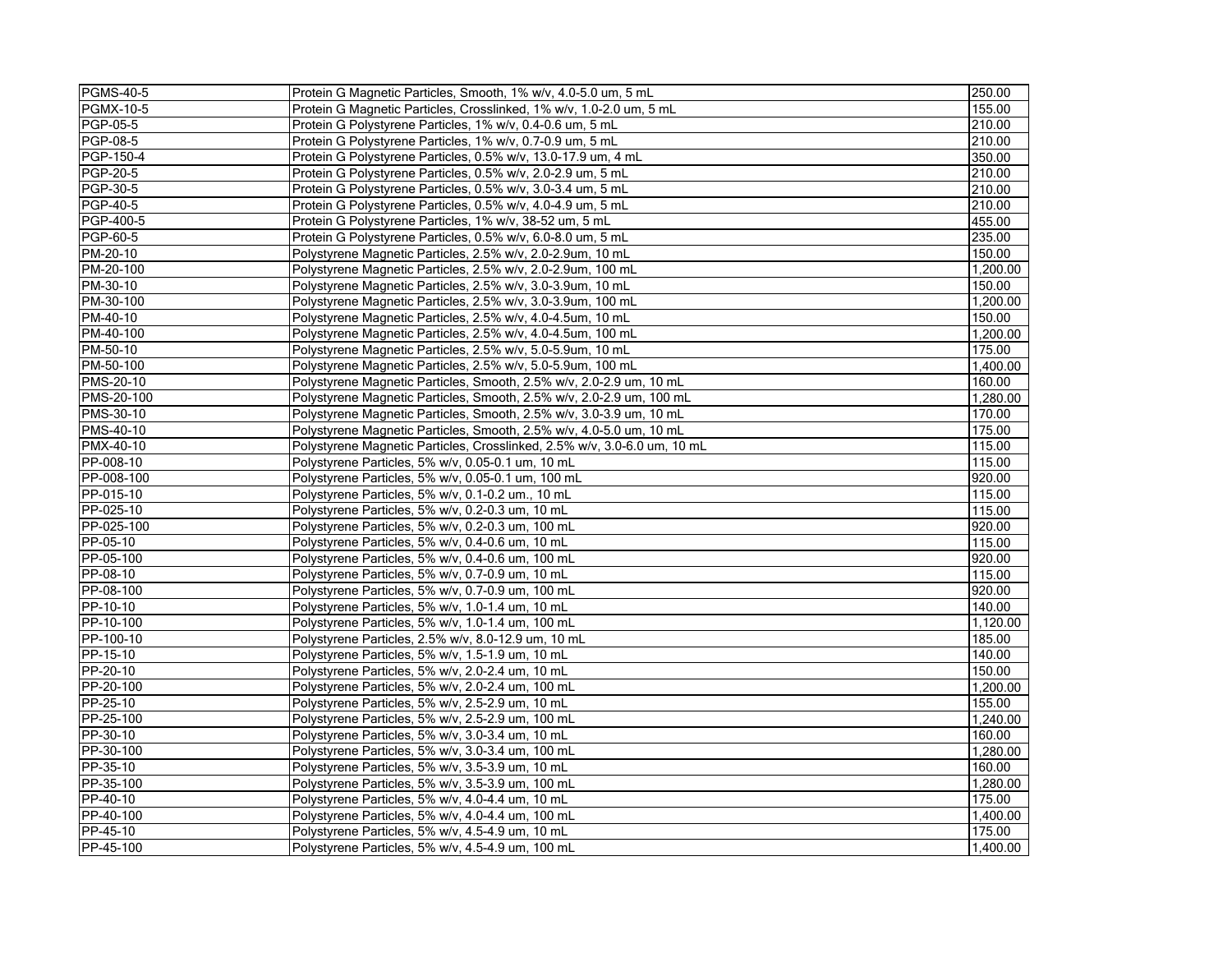| <b>PGMS-40-5</b>  | Protein G Magnetic Particles, Smooth, 1% w/v, 4.0-5.0 um, 5 mL           | 250.00   |
|-------------------|--------------------------------------------------------------------------|----------|
| <b>PGMX-10-5</b>  | Protein G Magnetic Particles. Crosslinked. 1% w/v. 1.0-2.0 um. 5 mL      | 155.00   |
| PGP-05-5          | Protein G Polystyrene Particles, 1% w/v, 0.4-0.6 um, 5 mL                | 210.00   |
| <b>PGP-08-5</b>   | Protein G Polystyrene Particles, 1% w/v, 0.7-0.9 um, 5 mL                | 210.00   |
| PGP-150-4         | Protein G Polystyrene Particles, 0.5% w/v, 13.0-17.9 um, 4 mL            | 350.00   |
| <b>PGP-20-5</b>   | Protein G Polystyrene Particles, 0.5% w/v, 2.0-2.9 um, 5 mL              | 210.00   |
| PGP-30-5          | Protein G Polystyrene Particles, 0.5% w/v, 3.0-3.4 um, 5 mL              | 210.00   |
| $PGP-40-5$        | Protein G Polystyrene Particles, 0.5% w/v, 4.0-4.9 um, 5 mL              | 210.00   |
| PGP-400-5         | Protein G Polystyrene Particles, 1% w/v, 38-52 um, 5 mL                  | 455.00   |
| <b>PGP-60-5</b>   | Protein G Polystyrene Particles, 0.5% w/v, 6.0-8.0 um, 5 mL              | 235.00   |
| PM-20-10          | Polystyrene Magnetic Particles, 2.5% w/v, 2.0-2.9um, 10 mL               | 150.00   |
| PM-20-100         | Polystyrene Magnetic Particles, 2.5% w/v, 2.0-2.9um, 100 mL              | 1,200.00 |
| PM-30-10          | Polystyrene Magnetic Particles, 2.5% w/v, 3.0-3.9um, 10 mL               | 150.00   |
| PM-30-100         | Polystyrene Magnetic Particles, 2.5% w/v, 3.0-3.9um, 100 mL              | 1,200.00 |
| PM-40-10          | Polystyrene Magnetic Particles, 2.5% w/v, 4.0-4.5um, 10 mL               | 150.00   |
| PM-40-100         | Polystyrene Magnetic Particles, 2.5% w/v, 4.0-4.5um, 100 mL              | 1,200.00 |
| PM-50-10          | Polystyrene Magnetic Particles, 2.5% w/v, 5.0-5.9um, 10 mL               | 175.00   |
| PM-50-100         | Polystyrene Magnetic Particles, 2.5% w/v, 5.0-5.9um, 100 mL              | 1,400.00 |
| <b>PMS-20-10</b>  | Polystyrene Magnetic Particles, Smooth, 2.5% w/v, 2.0-2.9 um, 10 mL      | 160.00   |
| <b>PMS-20-100</b> | Polystyrene Magnetic Particles, Smooth, 2.5% w/v, 2.0-2.9 um, 100 mL     | 1,280.00 |
| <b>PMS-30-10</b>  | Polystyrene Magnetic Particles, Smooth, 2.5% w/v, 3.0-3.9 um, 10 mL      | 170.00   |
| <b>PMS-40-10</b>  | Polystyrene Magnetic Particles, Smooth, 2.5% w/v, 4.0-5.0 um, 10 mL      | 175.00   |
| <b>PMX-40-10</b>  | Polystyrene Magnetic Particles, Crosslinked, 2.5% w/v, 3.0-6.0 um, 10 mL | 115.00   |
| PP-008-10         | Polystyrene Particles, 5% w/v, 0.05-0.1 um, 10 mL                        | 115.00   |
| PP-008-100        | Polystyrene Particles, 5% w/v, 0.05-0.1 um, 100 mL                       | 920.00   |
| PP-015-10         | Polystyrene Particles, 5% w/v, 0.1-0.2 um., 10 mL                        | 115.00   |
| PP-025-10         | Polystyrene Particles, 5% w/v, 0.2-0.3 um, 10 mL                         | 115.00   |
| PP-025-100        | Polystyrene Particles, 5% w/v, 0.2-0.3 um, 100 mL                        | 920.00   |
| PP-05-10          | Polystyrene Particles, 5% w/v, 0.4-0.6 um, 10 mL                         | 115.00   |
| PP-05-100         | Polystyrene Particles, 5% w/v, 0.4-0.6 um, 100 mL                        | 920.00   |
| PP-08-10          | Polystyrene Particles, 5% w/v, 0.7-0.9 um, 10 mL                         | 115.00   |
| PP-08-100         | Polystyrene Particles, 5% w/v, 0.7-0.9 um, 100 mL                        | 920.00   |
| PP-10-10          | Polystyrene Particles, 5% w/v, 1.0-1.4 um, 10 mL                         | 140.00   |
| PP-10-100         | Polystyrene Particles, 5% w/v, 1.0-1.4 um, 100 mL                        | 1,120.00 |
| PP-100-10         | Polystyrene Particles, 2.5% w/v, 8.0-12.9 um, 10 mL                      | 185.00   |
| PP-15-10          | Polystyrene Particles, 5% w/v, 1.5-1.9 um, 10 mL                         | 140.00   |
| PP-20-10          | Polystyrene Particles, 5% w/v, 2.0-2.4 um, 10 mL                         | 150.00   |
| PP-20-100         | Polystyrene Particles, 5% w/v, 2.0-2.4 um, 100 mL                        | 1,200.00 |
| PP-25-10          | Polystyrene Particles, 5% w/v, 2.5-2.9 um, 10 mL                         | 155.00   |
| PP-25-100         | Polystyrene Particles, 5% w/v, 2.5-2.9 um, 100 mL                        | 1.240.00 |
| PP-30-10          | Polystyrene Particles, 5% w/v, 3.0-3.4 um, 10 mL                         | 160.00   |
| PP-30-100         | Polystyrene Particles, 5% w/v, 3.0-3.4 um, 100 mL                        | 1.280.00 |
| PP-35-10          | Polystyrene Particles, 5% w/v, 3.5-3.9 um, 10 mL                         | 160.00   |
| PP-35-100         | Polystyrene Particles, 5% w/v, 3.5-3.9 um, 100 mL                        | 1,280.00 |
| PP-40-10          | Polystyrene Particles, 5% w/v, 4.0-4.4 um, 10 mL                         | 175.00   |
| PP-40-100         | Polystyrene Particles, 5% w/v, 4.0-4.4 um, 100 mL                        | 1,400.00 |
| PP-45-10          | Polystyrene Particles, 5% w/v, 4.5-4.9 um, 10 mL                         | 175.00   |
| PP-45-100         | Polystyrene Particles, 5% w/v, 4.5-4.9 um, 100 mL                        | 1,400.00 |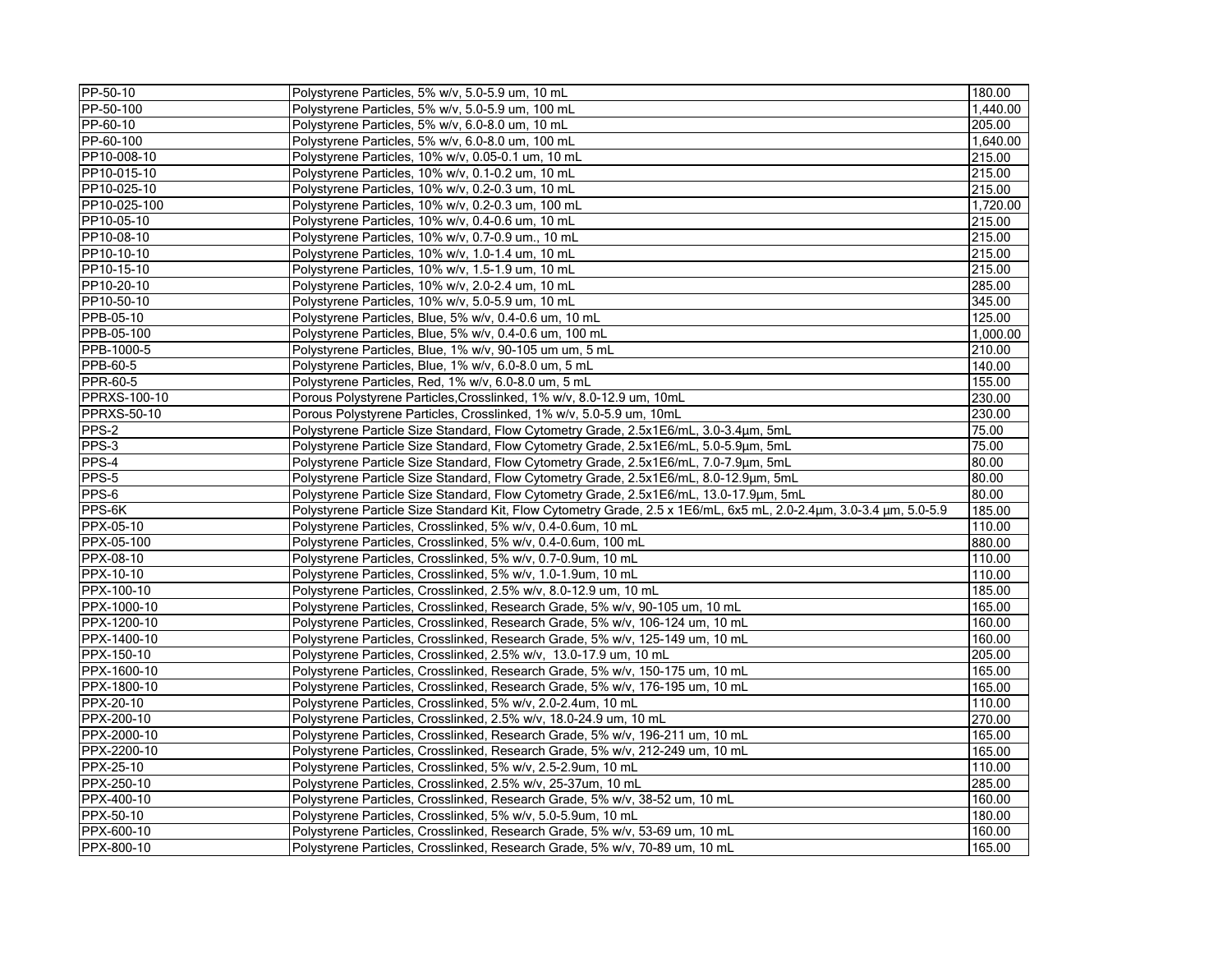| PP-50-10            | Polystyrene Particles, 5% w/v, 5.0-5.9 um, 10 mL                                                                   | 180.00   |
|---------------------|--------------------------------------------------------------------------------------------------------------------|----------|
| PP-50-100           | Polystyrene Particles, 5% w/v, 5.0-5.9 um, 100 mL                                                                  | 1,440.00 |
| PP-60-10            | Polystyrene Particles, 5% w/v, 6.0-8.0 um, 10 mL                                                                   | 205.00   |
| PP-60-100           | Polystyrene Particles, 5% w/v, 6.0-8.0 um, 100 mL                                                                  | 1,640.00 |
| PP10-008-10         | Polystyrene Particles, 10% w/v, 0.05-0.1 um, 10 mL                                                                 | 215.00   |
| PP10-015-10         | Polystyrene Particles, 10% w/v, 0.1-0.2 um, 10 mL                                                                  | 215.00   |
| PP10-025-10         | Polystyrene Particles, 10% w/v, 0.2-0.3 um, 10 mL                                                                  | 215.00   |
| PP10-025-100        | Polystyrene Particles, 10% w/v, 0.2-0.3 um, 100 mL                                                                 | 1,720.00 |
| PP10-05-10          | Polystyrene Particles, 10% w/v, 0.4-0.6 um, 10 mL                                                                  | 215.00   |
| PP10-08-10          | Polystyrene Particles, 10% w/v, 0.7-0.9 um., 10 mL                                                                 | 215.00   |
| PP10-10-10          | Polystyrene Particles, 10% w/v, 1.0-1.4 um, 10 mL                                                                  | 215.00   |
| PP10-15-10          | Polystyrene Particles, 10% w/v, 1.5-1.9 um, 10 mL                                                                  | 215.00   |
| PP10-20-10          | Polystyrene Particles, 10% w/v, 2.0-2.4 um, 10 mL                                                                  | 285.00   |
| PP10-50-10          | Polystyrene Particles, 10% w/v, 5.0-5.9 um, 10 mL                                                                  | 345.00   |
| PPB-05-10           | Polystyrene Particles, Blue, 5% w/v, 0.4-0.6 um, 10 mL                                                             | 125.00   |
| PPB-05-100          | Polystyrene Particles, Blue, 5% w/v, 0.4-0.6 um, 100 mL                                                            | 1,000.00 |
| PPB-1000-5          | Polystyrene Particles, Blue, 1% w/v, 90-105 um um, 5 mL                                                            | 210.00   |
| PPB-60-5            | Polystyrene Particles, Blue, 1% w/v, 6.0-8.0 um, 5 mL                                                              | 140.00   |
| PPR-60-5            | Polystyrene Particles, Red, 1% w/v, 6.0-8.0 um, 5 mL                                                               | 155.00   |
| <b>PPRXS-100-10</b> | Porous Polystyrene Particles, Crosslinked, 1% w/v, 8.0-12.9 um, 10mL                                               | 230.00   |
| <b>PPRXS-50-10</b>  | Porous Polystyrene Particles, Crosslinked, 1% w/v, 5.0-5.9 um, 10mL                                                | 230.00   |
| PPS-2               | Polystyrene Particle Size Standard, Flow Cytometry Grade, 2.5x1E6/mL, 3.0-3.4μm, 5mL                               | 75.00    |
| PPS-3               | Polystyrene Particle Size Standard, Flow Cytometry Grade, 2.5x1E6/mL, 5.0-5.9µm, 5mL                               | 75.00    |
| PPS-4               | Polystyrene Particle Size Standard, Flow Cytometry Grade, 2.5x1E6/mL, 7.0-7.9μm, 5mL                               | 80.00    |
| PPS-5               | Polystyrene Particle Size Standard, Flow Cytometry Grade, 2.5x1E6/mL, 8.0-12.9µm, 5mL                              | 80.00    |
| PPS-6               | Polystyrene Particle Size Standard, Flow Cytometry Grade, 2.5x1E6/mL, 13.0-17.9µm, 5mL                             | 80.00    |
| $PPS-6K$            | Polystyrene Particle Size Standard Kit, Flow Cytometry Grade, 2.5 x 1E6/mL, 6x5 mL, 2.0-2.4um, 3.0-3.4 um, 5.0-5.9 | 185.00   |
| PPX-05-10           | Polystyrene Particles, Crosslinked, 5% w/v, 0.4-0.6um, 10 mL                                                       | 110.00   |
| PPX-05-100          | Polystyrene Particles, Crosslinked, 5% w/v, 0.4-0.6um, 100 mL                                                      | 880.00   |
| PPX-08-10           | Polystyrene Particles, Crosslinked, 5% w/v, 0.7-0.9um, 10 mL                                                       | 110.00   |
| PPX-10-10           | Polystyrene Particles, Crosslinked, 5% w/v, 1.0-1.9um, 10 mL                                                       | 110.00   |
| PPX-100-10          | Polystyrene Particles, Crosslinked, 2.5% w/v, 8.0-12.9 um, 10 mL                                                   | 185.00   |
| PPX-1000-10         | Polystyrene Particles, Crosslinked, Research Grade, 5% w/v, 90-105 um, 10 mL                                       | 165.00   |
| PPX-1200-10         | Polystyrene Particles, Crosslinked, Research Grade, 5% w/v, 106-124 um, 10 mL                                      | 160.00   |
| PPX-1400-10         | Polystyrene Particles, Crosslinked, Research Grade, 5% w/v, 125-149 um, 10 mL                                      | 160.00   |
| PPX-150-10          | Polystyrene Particles, Crosslinked, 2.5% w/v, 13.0-17.9 um, 10 mL                                                  | 205.00   |
| PPX-1600-10         | Polystyrene Particles, Crosslinked, Research Grade, 5% w/v, 150-175 um, 10 mL                                      | 165.00   |
| PPX-1800-10         | Polystyrene Particles, Crosslinked, Research Grade, 5% w/v, 176-195 um, 10 mL                                      | 165.00   |
| PPX-20-10           | Polystyrene Particles, Crosslinked, 5% w/v, 2.0-2.4um, 10 mL                                                       | 110.00   |
| PPX-200-10          | Polystyrene Particles, Crosslinked, 2.5% w/v, 18.0-24.9 um, 10 mL                                                  | 270.00   |
| PPX-2000-10         | Polystyrene Particles, Crosslinked, Research Grade, 5% w/v, 196-211 um, 10 mL                                      | 165.00   |
| PPX-2200-10         | Polystyrene Particles, Crosslinked, Research Grade, 5% w/v, 212-249 um, 10 mL                                      | 165.00   |
| PPX-25-10           | Polystyrene Particles, Crosslinked, 5% w/v, 2.5-2.9um, 10 mL                                                       | 110.00   |
| PPX-250-10          | Polystyrene Particles, Crosslinked, 2.5% w/v, 25-37um, 10 mL                                                       | 285.00   |
| PPX-400-10          | Polystyrene Particles, Crosslinked, Research Grade, 5% w/v, 38-52 um, 10 mL                                        | 160.00   |
| PPX-50-10           | Polystyrene Particles, Crosslinked, 5% w/v, 5.0-5.9um, 10 mL                                                       | 180.00   |
| PPX-600-10          | Polystyrene Particles, Crosslinked, Research Grade, 5% w/v, 53-69 um, 10 mL                                        | 160.00   |
| PPX-800-10          | Polystyrene Particles, Crosslinked, Research Grade, 5% w/v, 70-89 um, 10 mL                                        | 165.00   |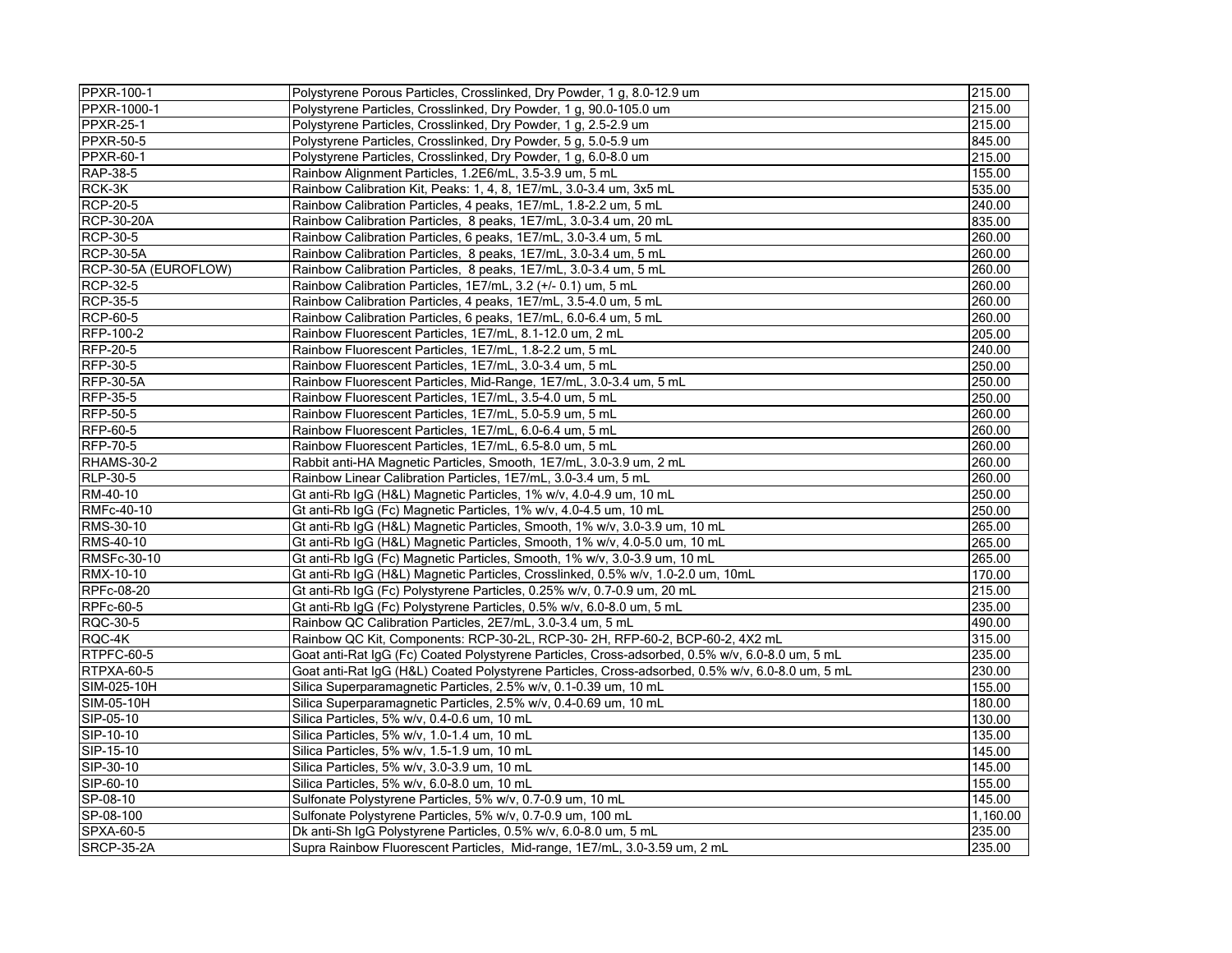| PPXR-100-1           | Polystyrene Porous Particles, Crosslinked, Dry Powder, 1 g, 8.0-12.9 um                          | 215.00   |
|----------------------|--------------------------------------------------------------------------------------------------|----------|
| PPXR-1000-1          | Polystyrene Particles, Crosslinked, Dry Powder, 1 g, 90.0-105.0 um                               | 215.00   |
| <b>PPXR-25-1</b>     | Polystyrene Particles, Crosslinked, Dry Powder, 1 g, 2.5-2.9 um                                  | 215.00   |
| <b>PPXR-50-5</b>     | Polystyrene Particles, Crosslinked, Dry Powder, 5 g, 5.0-5.9 um                                  | 845.00   |
| <b>PPXR-60-1</b>     | Polystyrene Particles, Crosslinked, Dry Powder, 1 g, 6.0-8.0 um                                  | 215.00   |
| RAP-38-5             | Rainbow Alignment Particles, 1.2E6/mL, 3.5-3.9 um, 5 mL                                          | 155.00   |
| RCK-3K               | Rainbow Calibration Kit, Peaks: 1, 4, 8, 1E7/mL, 3.0-3.4 um, 3x5 mL                              | 535.00   |
| <b>RCP-20-5</b>      | Rainbow Calibration Particles, 4 peaks, 1E7/mL, 1.8-2.2 um, 5 mL                                 | 240.00   |
| <b>RCP-30-20A</b>    | Rainbow Calibration Particles, 8 peaks, 1E7/mL, 3.0-3.4 um, 20 mL                                | 835.00   |
| <b>RCP-30-5</b>      | Rainbow Calibration Particles, 6 peaks, 1E7/mL, 3.0-3.4 um, 5 mL                                 | 260.00   |
| <b>RCP-30-5A</b>     | Rainbow Calibration Particles, 8 peaks, 1E7/mL, 3.0-3.4 um, 5 mL                                 | 260.00   |
| RCP-30-5A (EUROFLOW) | Rainbow Calibration Particles, 8 peaks, 1E7/mL, 3.0-3.4 um, 5 mL                                 | 260.00   |
| <b>RCP-32-5</b>      | Rainbow Calibration Particles, 1E7/mL, 3.2 (+/- 0.1) um, 5 mL                                    | 260.00   |
| <b>RCP-35-5</b>      | Rainbow Calibration Particles, 4 peaks, 1E7/mL, 3.5-4.0 um, 5 mL                                 | 260.00   |
| <b>RCP-60-5</b>      | Rainbow Calibration Particles, 6 peaks, 1E7/mL, 6.0-6.4 um, 5 mL                                 | 260.00   |
| RFP-100-2            | Rainbow Fluorescent Particles, 1E7/mL, 8.1-12.0 um, 2 mL                                         | 205.00   |
| <b>RFP-20-5</b>      | Rainbow Fluorescent Particles, 1E7/mL, 1.8-2.2 um, 5 mL                                          | 240.00   |
| RFP-30-5             | Rainbow Fluorescent Particles, 1E7/mL, 3.0-3.4 um, 5 mL                                          | 250.00   |
| <b>RFP-30-5A</b>     | Rainbow Fluorescent Particles, Mid-Range, 1E7/mL, 3.0-3.4 um, 5 mL                               | 250.00   |
| <b>RFP-35-5</b>      | Rainbow Fluorescent Particles, 1E7/mL, 3.5-4.0 um, 5 mL                                          | 250.00   |
| <b>RFP-50-5</b>      | Rainbow Fluorescent Particles, 1E7/mL, 5.0-5.9 um, 5 mL                                          | 260.00   |
| RFP-60-5             | Rainbow Fluorescent Particles, 1E7/mL, 6.0-6.4 um, 5 mL                                          | 260.00   |
| <b>RFP-70-5</b>      | Rainbow Fluorescent Particles, 1E7/mL, 6.5-8.0 um, 5 mL                                          | 260.00   |
| <b>RHAMS-30-2</b>    | Rabbit anti-HA Magnetic Particles, Smooth, 1E7/mL, 3.0-3.9 um, 2 mL                              | 260.00   |
| RLP-30-5             | Rainbow Linear Calibration Particles, 1E7/mL, 3.0-3.4 um, 5 mL                                   | 260.00   |
| RM-40-10             | Gt anti-Rb IgG (H&L) Magnetic Particles, 1% w/v, 4.0-4.9 um, 10 mL                               | 250.00   |
| RMFc-40-10           | Gt anti-Rb IgG (Fc) Magnetic Particles, 1% w/v, 4.0-4.5 um, 10 mL                                | 250.00   |
| RMS-30-10            | Gt anti-Rb IgG (H&L) Magnetic Particles, Smooth, 1% w/v, 3.0-3.9 um, 10 mL                       | 265.00   |
| RMS-40-10            | Gt anti-Rb IgG (H&L) Magnetic Particles, Smooth, 1% w/v, 4.0-5.0 um, 10 mL                       | 265.00   |
| RMSFc-30-10          | Gt anti-Rb IgG (Fc) Magnetic Particles, Smooth, 1% w/v, 3.0-3.9 um, 10 mL                        | 265.00   |
| RMX-10-10            | Gt anti-Rb IgG (H&L) Magnetic Particles, Crosslinked, 0.5% w/v, 1.0-2.0 um, 10mL                 | 170.00   |
| RPFc-08-20           | Gt anti-Rb IgG (Fc) Polystyrene Particles, 0.25% w/v, 0.7-0.9 um, 20 mL                          | 215.00   |
| <b>RPFc-60-5</b>     | Gt anti-Rb IgG (Fc) Polystyrene Particles, 0.5% w/v, 6.0-8.0 um, 5 mL                            | 235.00   |
| RQC-30-5             | Rainbow QC Calibration Particles, 2E7/mL, 3.0-3.4 um, 5 mL                                       | 490.00   |
| RQC-4K               | Rainbow QC Kit, Components: RCP-30-2L, RCP-30- 2H, RFP-60-2, BCP-60-2, 4X2 mL                    | 315.00   |
| RTPFC-60-5           | Goat anti-Rat IgG (Fc) Coated Polystyrene Particles, Cross-adsorbed, 0.5% w/v, 6.0-8.0 um, 5 mL  | 235.00   |
| RTPXA-60-5           | Goat anti-Rat IgG (H&L) Coated Polystyrene Particles, Cross-adsorbed, 0.5% w/v, 6.0-8.0 um, 5 mL | 230.00   |
| SIM-025-10H          | Silica Superparamagnetic Particles, 2.5% w/v, 0.1-0.39 um, 10 mL                                 | 155.00   |
| SIM-05-10H           | Silica Superparamagnetic Particles, 2.5% w/v, 0.4-0.69 um, 10 mL                                 | 180.00   |
| SIP-05-10            | Silica Particles, 5% w/v, 0.4-0.6 um, 10 mL                                                      | 130.00   |
| SIP-10-10            | Silica Particles, 5% w/v, 1.0-1.4 um, 10 mL                                                      | 135.00   |
| SIP-15-10            | Silica Particles, 5% w/v, 1.5-1.9 um, 10 mL                                                      | 145.00   |
| SIP-30-10            | Silica Particles, 5% w/v, 3.0-3.9 um, 10 mL                                                      | 145.00   |
| SIP-60-10            | Silica Particles, 5% w/v, 6.0-8.0 um, 10 mL                                                      | 155.00   |
| SP-08-10             | Sulfonate Polystyrene Particles, 5% w/v, 0.7-0.9 um, 10 mL                                       | 145.00   |
| SP-08-100            | Sulfonate Polystyrene Particles, 5% w/v, 0.7-0.9 um, 100 mL                                      | 1,160.00 |
| <b>SPXA-60-5</b>     | Dk anti-Sh IgG Polystyrene Particles, 0.5% w/v, 6.0-8.0 um, 5 mL                                 | 235.00   |
| <b>SRCP-35-2A</b>    | Supra Rainbow Fluorescent Particles, Mid-range, 1E7/mL, 3.0-3.59 um, 2 mL                        | 235.00   |
|                      |                                                                                                  |          |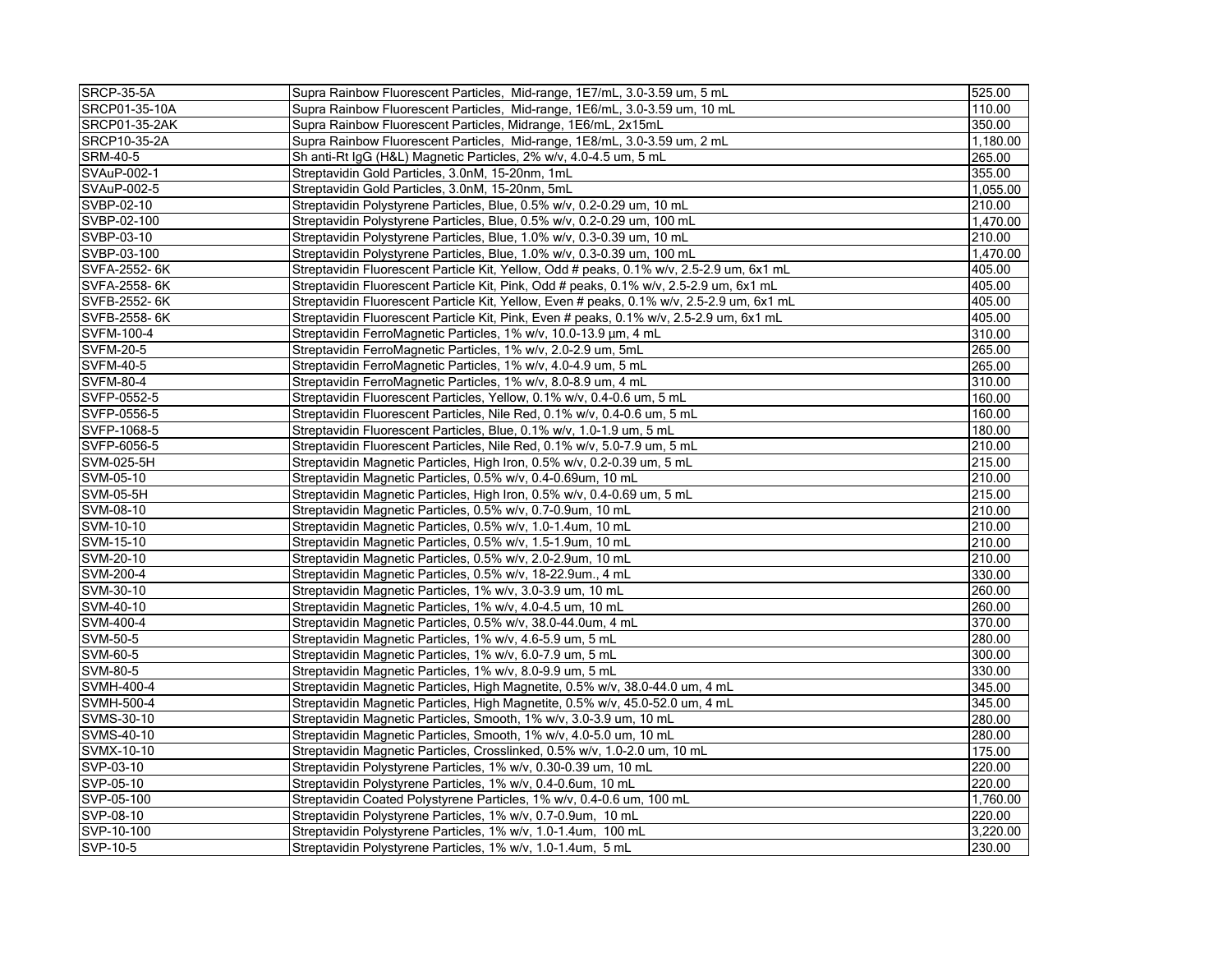| <b>SRCP-35-5A</b>    | Supra Rainbow Fluorescent Particles, Mid-range, 1E7/mL, 3.0-3.59 um, 5 mL                 | 525.00   |
|----------------------|-------------------------------------------------------------------------------------------|----------|
| SRCP01-35-10A        | Supra Rainbow Fluorescent Particles, Mid-range, 1E6/mL, 3.0-3.59 um, 10 mL                | 110.00   |
| <b>SRCP01-35-2AK</b> | Supra Rainbow Fluorescent Particles, Midrange, 1E6/mL, 2x15mL                             | 350.00   |
| SRCP10-35-2A         | Supra Rainbow Fluorescent Particles, Mid-range, 1E8/mL, 3.0-3.59 um, 2 mL                 | 1.180.00 |
| <b>SRM-40-5</b>      | Sh anti-Rt IgG (H&L) Magnetic Particles, 2% w/v, 4.0-4.5 um, 5 mL                         | 265.00   |
| SVAuP-002-1          | Streptavidin Gold Particles, 3.0nM, 15-20nm, 1mL                                          | 355.00   |
| SVAuP-002-5          | Streptavidin Gold Particles, 3.0nM, 15-20nm, 5mL                                          | 1,055.00 |
| SVBP-02-10           | Streptavidin Polystyrene Particles, Blue, 0.5% w/v, 0.2-0.29 um, 10 mL                    | 210.00   |
| SVBP-02-100          | Streptavidin Polystyrene Particles, Blue, 0.5% w/v, 0.2-0.29 um, 100 mL                   | 1,470.00 |
| SVBP-03-10           | Streptavidin Polystyrene Particles, Blue, 1.0% w/v, 0.3-0.39 um, 10 mL                    | 210.00   |
| SVBP-03-100          | Streptavidin Polystyrene Particles, Blue, 1.0% w/v, 0.3-0.39 um, 100 mL                   | 1.470.00 |
| SVFA-2552-6K         | Streptavidin Fluorescent Particle Kit, Yellow, Odd # peaks, 0.1% w/v, 2.5-2.9 um, 6x1 mL  | 405.00   |
| SVFA-2558-6K         | Streptavidin Fluorescent Particle Kit, Pink, Odd # peaks, 0.1% w/v, 2.5-2.9 um, 6x1 mL    | 405.00   |
| SVFB-2552-6K         | Streptavidin Fluorescent Particle Kit, Yellow, Even # peaks, 0.1% w/v, 2.5-2.9 um, 6x1 mL | 405.00   |
| SVFB-2558-6K         | Streptavidin Fluorescent Particle Kit, Pink, Even # peaks, 0.1% w/v, 2.5-2.9 um, 6x1 mL   | 405.00   |
| <b>SVFM-100-4</b>    | Streptavidin FerroMagnetic Particles, 1% w/v, 10.0-13.9 µm, 4 mL                          | 310.00   |
| <b>SVFM-20-5</b>     | Streptavidin FerroMagnetic Particles, 1% w/v, 2.0-2.9 um, 5mL                             | 265.00   |
| <b>SVFM-40-5</b>     | Streptavidin FerroMagnetic Particles, 1% w/v, 4.0-4.9 um, 5 mL                            | 265.00   |
| <b>SVFM-80-4</b>     | Streptavidin FerroMagnetic Particles, 1% w/v, 8.0-8.9 um, 4 mL                            | 310.00   |
| SVFP-0552-5          | Streptavidin Fluorescent Particles, Yellow, 0.1% w/v, 0.4-0.6 um, 5 mL                    | 160.00   |
| SVFP-0556-5          | Streptavidin Fluorescent Particles, Nile Red, 0.1% w/v, 0.4-0.6 um, 5 mL                  | 160.00   |
| SVFP-1068-5          | Streptavidin Fluorescent Particles, Blue, 0.1% w/v, 1.0-1.9 um, 5 mL                      | 180.00   |
| SVFP-6056-5          | Streptavidin Fluorescent Particles, Nile Red, 0.1% w/v, 5.0-7.9 um, 5 mL                  | 210.00   |
| SVM-025-5H           | Streptavidin Magnetic Particles, High Iron, 0.5% w/v, 0.2-0.39 um, 5 mL                   | 215.00   |
| SVM-05-10            | Streptavidin Magnetic Particles, 0.5% w/v, 0.4-0.69um, 10 mL                              | 210.00   |
| <b>SVM-05-5H</b>     | Streptavidin Magnetic Particles, High Iron, 0.5% w/v, 0.4-0.69 um, 5 mL                   | 215.00   |
| SVM-08-10            | Streptavidin Magnetic Particles, 0.5% w/v, 0.7-0.9um, 10 mL                               | 210.00   |
| SVM-10-10            | Streptavidin Magnetic Particles, 0.5% w/v, 1.0-1.4um, 10 mL                               | 210.00   |
| SVM-15-10            | Streptavidin Magnetic Particles, 0.5% w/v, 1.5-1.9um, 10 mL                               | 210.00   |
| SVM-20-10            | Streptavidin Magnetic Particles, 0.5% w/v, 2.0-2.9um, 10 mL                               | 210.00   |
| SVM-200-4            | Streptavidin Magnetic Particles, 0.5% w/v, 18-22.9um., 4 mL                               | 330.00   |
| SVM-30-10            | Streptavidin Magnetic Particles, 1% w/v, 3.0-3.9 um, 10 mL                                | 260.00   |
| SVM-40-10            | Streptavidin Magnetic Particles, 1% w/v, 4.0-4.5 um, 10 mL                                | 260.00   |
| SVM-400-4            | Streptavidin Magnetic Particles, 0.5% w/v, 38.0-44.0um, 4 mL                              | 370.00   |
| SVM-50-5             | Streptavidin Magnetic Particles, 1% w/v, 4.6-5.9 um, 5 mL                                 | 280.00   |
| SVM-60-5             | Streptavidin Magnetic Particles, 1% w/v, 6.0-7.9 um, 5 mL                                 | 300.00   |
| SVM-80-5             | Streptavidin Magnetic Particles, 1% w/v, 8.0-9.9 um, 5 mL                                 | 330.00   |
| <b>SVMH-400-4</b>    | Streptavidin Magnetic Particles, High Magnetite, 0.5% w/v, 38.0-44.0 um, 4 mL             | 345.00   |
| SVMH-500-4           | Streptavidin Magnetic Particles, High Magnetite, 0.5% w/v, 45.0-52.0 um, 4 mL             | 345.00   |
| SVMS-30-10           | Streptavidin Magnetic Particles, Smooth, 1% w/v, 3.0-3.9 um, 10 mL                        | 280.00   |
| SVMS-40-10           | Streptavidin Magnetic Particles, Smooth, 1% w/v, 4.0-5.0 um, 10 mL                        | 280.00   |
| SVMX-10-10           | Streptavidin Magnetic Particles, Crosslinked, 0.5% w/v, 1.0-2.0 um, 10 mL                 | 175.00   |
| SVP-03-10            | Streptavidin Polystyrene Particles, 1% w/v, 0.30-0.39 um, 10 mL                           | 220.00   |
| SVP-05-10            | Streptavidin Polystyrene Particles, 1% w/v, 0.4-0.6um, 10 mL                              | 220.00   |
| SVP-05-100           | Streptavidin Coated Polystyrene Particles, 1% w/v, 0.4-0.6 um, 100 mL                     | 1.760.00 |
| SVP-08-10            | Streptavidin Polystyrene Particles, 1% w/v, 0.7-0.9um, 10 mL                              | 220.00   |
| SVP-10-100           | Streptavidin Polystyrene Particles, 1% w/v, 1.0-1.4um, 100 mL                             | 3,220.00 |
| SVP-10-5             | Streptavidin Polystyrene Particles, 1% w/v, 1.0-1.4um, 5 mL                               | 230.00   |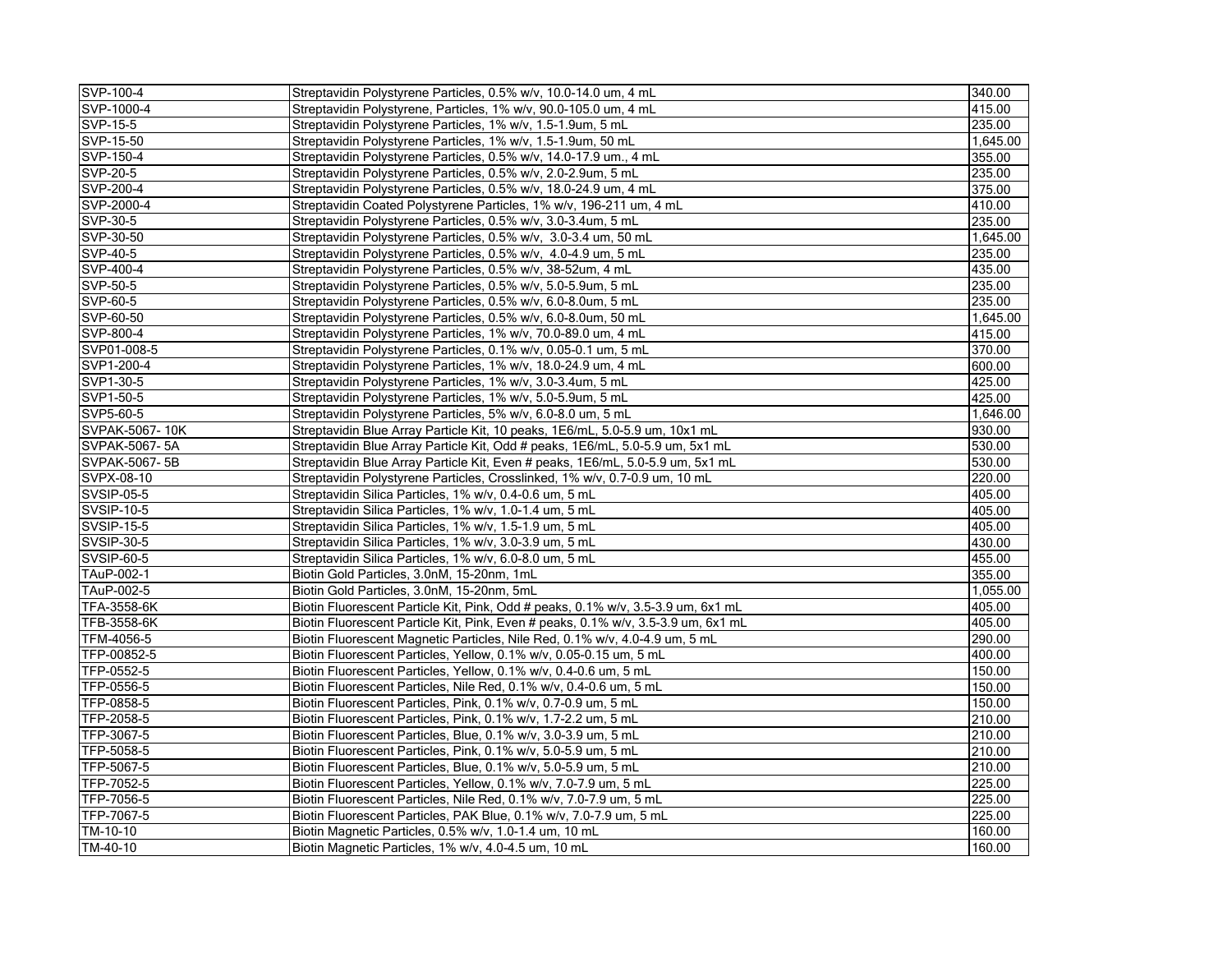| SVP-100-4             | Streptavidin Polystyrene Particles, 0.5% w/v, 10.0-14.0 um, 4 mL                  | 340.00   |
|-----------------------|-----------------------------------------------------------------------------------|----------|
| SVP-1000-4            | Streptavidin Polystyrene, Particles, 1% w/v, 90.0-105.0 um, 4 mL                  | 415.00   |
| SVP-15-5              | Streptavidin Polystyrene Particles, 1% w/v, 1.5-1.9um, 5 mL                       | 235.00   |
| SVP-15-50             | Streptavidin Polystyrene Particles, 1% w/v, 1.5-1.9um, 50 mL                      | 1,645.00 |
| SVP-150-4             | Streptavidin Polystyrene Particles, 0.5% w/v, 14.0-17.9 um., 4 mL                 | 355.00   |
| SVP-20-5              | Streptavidin Polystyrene Particles, 0.5% w/v, 2.0-2.9um, 5 mL                     | 235.00   |
| SVP-200-4             | Streptavidin Polystyrene Particles, 0.5% w/v, 18.0-24.9 um, 4 mL                  | 375.00   |
| SVP-2000-4            | Streptavidin Coated Polystyrene Particles, 1% w/v, 196-211 um, 4 mL               | 410.00   |
| SVP-30-5              | Streptavidin Polystyrene Particles, 0.5% w/v, 3.0-3.4um, 5 mL                     | 235.00   |
| SVP-30-50             | Streptavidin Polystyrene Particles, 0.5% w/v, 3.0-3.4 um, 50 mL                   | 1,645.00 |
| SVP-40-5              | Streptavidin Polystyrene Particles, 0.5% w/v, 4.0-4.9 um, 5 mL                    | 235.00   |
| SVP-400-4             | Streptavidin Polystyrene Particles, 0.5% w/v, 38-52um, 4 mL                       | 435.00   |
| SVP-50-5              | Streptavidin Polystyrene Particles, 0.5% w/v, 5.0-5.9um, 5 mL                     | 235.00   |
| SVP-60-5              | Streptavidin Polystyrene Particles, 0.5% w/v, 6.0-8.0um, 5 mL                     | 235.00   |
| SVP-60-50             | Streptavidin Polystyrene Particles, 0.5% w/v, 6.0-8.0um, 50 mL                    | 1,645.00 |
| SVP-800-4             | Streptavidin Polystyrene Particles, 1% w/v, 70.0-89.0 um, 4 mL                    | 415.00   |
| SVP01-008-5           | Streptavidin Polystyrene Particles, 0.1% w/v, 0.05-0.1 um, 5 mL                   | 370.00   |
| SVP1-200-4            | Streptavidin Polystyrene Particles, 1% w/v, 18.0-24.9 um, 4 mL                    | 600.00   |
| SVP1-30-5             | Streptavidin Polystyrene Particles, 1% w/v, 3.0-3.4um, 5 mL                       | 425.00   |
| SVP1-50-5             | Streptavidin Polystyrene Particles, 1% w/v, 5.0-5.9um, 5 mL                       | 425.00   |
| SVP5-60-5             | Streptavidin Polystyrene Particles, 5% w/v, 6.0-8.0 um, 5 mL                      | 1.646.00 |
| SVPAK-5067-10K        | Streptavidin Blue Array Particle Kit, 10 peaks, 1E6/mL, 5.0-5.9 um, 10x1 mL       | 930.00   |
| SVPAK-5067-5A         | Streptavidin Blue Array Particle Kit, Odd # peaks, 1E6/mL, 5.0-5.9 um, 5x1 mL     | 530.00   |
| SVPAK-5067-5B         | Streptavidin Blue Array Particle Kit, Even # peaks, 1E6/mL, 5.0-5.9 um, 5x1 mL    | 530.00   |
| SVPX-08-10            | Streptavidin Polystyrene Particles, Crosslinked, 1% w/v, 0.7-0.9 um, 10 mL        | 220.00   |
| <b>SVSIP-05-5</b>     | Streptavidin Silica Particles, 1% w/v, 0.4-0.6 um, 5 mL                           | 405.00   |
| <b>SVSIP-10-5</b>     | Streptavidin Silica Particles, 1% w/v, 1.0-1.4 um, 5 mL                           | 405.00   |
| SVSIP-15-5            | Streptavidin Silica Particles, 1% w/v, 1.5-1.9 um, 5 mL                           | 405.00   |
| <b>SVSIP-30-5</b>     | Streptavidin Silica Particles, 1% w/v, 3.0-3.9 um, 5 mL                           | 430.00   |
| SVSIP-60-5            | Streptavidin Silica Particles, 1% w/v, 6.0-8.0 um, 5 mL                           | 455.00   |
| TAuP-002-1            | Biotin Gold Particles, 3.0nM, 15-20nm, 1mL                                        | 355.00   |
| TAuP-002-5            | Biotin Gold Particles, 3.0nM, 15-20nm, 5mL                                        | 1,055.00 |
| TFA-3558-6K           | Biotin Fluorescent Particle Kit, Pink, Odd # peaks, 0.1% w/v, 3.5-3.9 um, 6x1 mL  | 405.00   |
| TFB-3558-6K           | Biotin Fluorescent Particle Kit, Pink, Even # peaks, 0.1% w/v, 3.5-3.9 um, 6x1 mL | 405.00   |
| TFM-4056-5            | Biotin Fluorescent Magnetic Particles, Nile Red, 0.1% w/v, 4.0-4.9 um, 5 mL       | 290.00   |
| TFP-00852-5           | Biotin Fluorescent Particles, Yellow, 0.1% w/v, 0.05-0.15 um, 5 mL                | 400.00   |
| TFP-0552-5            | Biotin Fluorescent Particles, Yellow, 0.1% w/v, 0.4-0.6 um, 5 mL                  | 150.00   |
| TFP-0556-5            | Biotin Fluorescent Particles, Nile Red, 0.1% w/v, 0.4-0.6 um, 5 mL                | 150.00   |
| TFP-0858-5            | Biotin Fluorescent Particles, Pink, 0.1% w/v, 0.7-0.9 um, 5 mL                    | 150.00   |
| TFP-2058-5            | Biotin Fluorescent Particles, Pink, 0.1% w/v, 1.7-2.2 um, 5 mL                    | 210.00   |
| TFP-3067-5            | Biotin Fluorescent Particles, Blue, 0.1% w/v, 3.0-3.9 um, 5 mL                    | 210.00   |
| TFP-5058-5            | Biotin Fluorescent Particles, Pink, 0.1% w/v, 5.0-5.9 um, 5 mL                    | 210.00   |
| TFP-5067-5            | Biotin Fluorescent Particles, Blue, 0.1% w/v, 5.0-5.9 um, 5 mL                    | 210.00   |
| TFP-7052-5            | Biotin Fluorescent Particles, Yellow, 0.1% w/v, 7.0-7.9 um, 5 mL                  | 225.00   |
| TFP-7056-5            | Biotin Fluorescent Particles, Nile Red, 0.1% w/v, 7.0-7.9 um, 5 mL                | 225.00   |
| TFP-7067-5            | Biotin Fluorescent Particles, PAK Blue, 0.1% w/v, 7.0-7.9 um, 5 mL                | 225.00   |
| $\overline{TM-10-10}$ | Biotin Magnetic Particles, 0.5% w/v, 1.0-1.4 um, 10 mL                            | 160.00   |
| TM-40-10              | Biotin Magnetic Particles, 1% w/v, 4.0-4.5 um, 10 mL                              | 160.00   |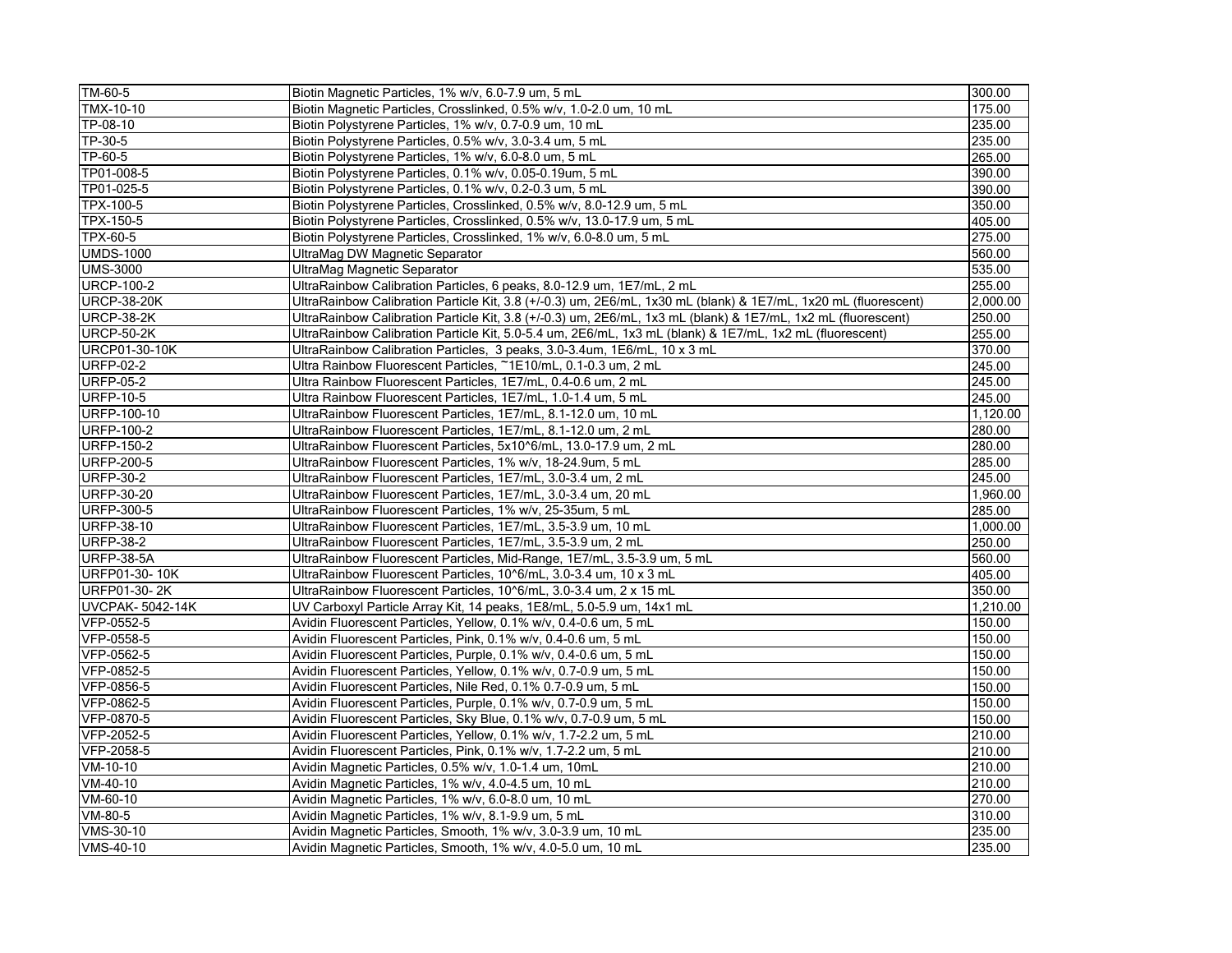| TM-60-5                | Biotin Magnetic Particles, 1% w/v, 6.0-7.9 um, 5 mL                                                             | 300.00   |
|------------------------|-----------------------------------------------------------------------------------------------------------------|----------|
| TMX-10-10              | Biotin Magnetic Particles, Crosslinked, 0.5% w/v, 1.0-2.0 um, 10 mL                                             | 175.00   |
| TP-08-10               | Biotin Polystyrene Particles, 1% w/v, 0.7-0.9 um, 10 mL                                                         | 235.00   |
| TP-30-5                | Biotin Polystyrene Particles, 0.5% w/v, 3.0-3.4 um, 5 mL                                                        | 235.00   |
| TP-60-5                | Biotin Polystyrene Particles, 1% w/v, 6.0-8.0 um, 5 mL                                                          | 265.00   |
| TP01-008-5             | Biotin Polystyrene Particles, 0.1% w/v, 0.05-0.19um, 5 mL                                                       | 390.00   |
| TP01-025-5             | Biotin Polystyrene Particles, 0.1% w/v, 0.2-0.3 um, 5 mL                                                        | 390.00   |
| TPX-100-5              | Biotin Polystyrene Particles, Crosslinked, 0.5% w/v, 8.0-12.9 um, 5 mL                                          | 350.00   |
| TPX-150-5              | Biotin Polystyrene Particles, Crosslinked, 0.5% w/v, 13.0-17.9 um, 5 mL                                         | 405.00   |
| TPX-60-5               | Biotin Polystyrene Particles, Crosslinked, 1% w/v, 6.0-8.0 um, 5 mL                                             | 275.00   |
| <b>UMDS-1000</b>       | UltraMag DW Magnetic Separator                                                                                  | 560.00   |
| <b>UMS-3000</b>        | UltraMag Magnetic Separator                                                                                     | 535.00   |
| <b>URCP-100-2</b>      | UltraRainbow Calibration Particles, 6 peaks, 8.0-12.9 um, 1E7/mL, 2 mL                                          | 255.00   |
| <b>URCP-38-20K</b>     | UltraRainbow Calibration Particle Kit, 3.8 (+/-0.3) um, 2E6/mL, 1x30 mL (blank) & 1E7/mL, 1x20 mL (fluorescent) | 2,000.00 |
| <b>URCP-38-2K</b>      | UltraRainbow Calibration Particle Kit, 3.8 (+/-0.3) um, 2E6/mL, 1x3 mL (blank) & 1E7/mL, 1x2 mL (fluorescent)   | 250.00   |
| <b>URCP-50-2K</b>      | UltraRainbow Calibration Particle Kit, 5.0-5.4 um, 2E6/mL, 1x3 mL (blank) & 1E7/mL, 1x2 mL (fluorescent)        | 255.00   |
| <b>URCP01-30-10K</b>   | UltraRainbow Calibration Particles, 3 peaks, 3.0-3.4um, 1E6/mL, 10 x 3 mL                                       | 370.00   |
| <b>URFP-02-2</b>       | Ultra Rainbow Fluorescent Particles, ~1E10/mL, 0.1-0.3 um, 2 mL                                                 | 245.00   |
| <b>URFP-05-2</b>       | Ultra Rainbow Fluorescent Particles, 1E7/mL, 0.4-0.6 um, 2 mL                                                   | 245.00   |
| <b>URFP-10-5</b>       | Ultra Rainbow Fluorescent Particles, 1E7/mL, 1.0-1.4 um, 5 mL                                                   | 245.00   |
| URFP-100-10            | UltraRainbow Fluorescent Particles, 1E7/mL, 8.1-12.0 um, 10 mL                                                  | 1,120.00 |
| <b>URFP-100-2</b>      | UltraRainbow Fluorescent Particles, 1E7/mL, 8.1-12.0 um, 2 mL                                                   | 280.00   |
| <b>URFP-150-2</b>      | UltraRainbow Fluorescent Particles, 5x10^6/mL, 13.0-17.9 um, 2 mL                                               | 280.00   |
| <b>URFP-200-5</b>      | UltraRainbow Fluorescent Particles, 1% w/v, 18-24.9um, 5 mL                                                     | 285.00   |
| <b>URFP-30-2</b>       | UltraRainbow Fluorescent Particles, 1E7/mL, 3.0-3.4 um, 2 mL                                                    | 245.00   |
| <b>URFP-30-20</b>      | UltraRainbow Fluorescent Particles, 1E7/mL, 3.0-3.4 um, 20 mL                                                   | 1.960.00 |
| <b>URFP-300-5</b>      | UltraRainbow Fluorescent Particles, 1% w/v, 25-35um, 5 mL                                                       | 285.00   |
| <b>URFP-38-10</b>      | UltraRainbow Fluorescent Particles, 1E7/mL, 3.5-3.9 um, 10 mL                                                   | 1,000.00 |
| <b>URFP-38-2</b>       | UltraRainbow Fluorescent Particles, 1E7/mL, 3.5-3.9 um, 2 mL                                                    | 250.00   |
| <b>URFP-38-5A</b>      | UltraRainbow Fluorescent Particles, Mid-Range, 1E7/mL, 3.5-3.9 um, 5 mL                                         | 560.00   |
| URFP01-30-10K          | UltraRainbow Fluorescent Particles, 10^6/mL, 3.0-3.4 um, 10 x 3 mL                                              | 405.00   |
| URFP01-30-2K           | UltraRainbow Fluorescent Particles, 10^6/mL, 3.0-3.4 um, 2 x 15 mL                                              | 350.00   |
| <b>UVCPAK-5042-14K</b> | UV Carboxyl Particle Array Kit, 14 peaks, 1E8/mL, 5.0-5.9 um, 14x1 mL                                           | 1,210.00 |
| VFP-0552-5             | Avidin Fluorescent Particles, Yellow, 0.1% w/v, 0.4-0.6 um, 5 mL                                                | 150.00   |
| VFP-0558-5             | Avidin Fluorescent Particles, Pink, 0.1% w/v, 0.4-0.6 um, 5 mL                                                  | 150.00   |
| VFP-0562-5             | Avidin Fluorescent Particles, Purple, 0.1% w/v, 0.4-0.6 um, 5 mL                                                | 150.00   |
| VFP-0852-5             | Avidin Fluorescent Particles, Yellow, 0.1% w/v, 0.7-0.9 um, 5 mL                                                | 150.00   |
| VFP-0856-5             | Avidin Fluorescent Particles, Nile Red, 0.1% 0.7-0.9 um, 5 mL                                                   | 150.00   |
| VFP-0862-5             | Avidin Fluorescent Particles, Purple, 0.1% w/v, 0.7-0.9 um, 5 mL                                                | 150.00   |
| VFP-0870-5             | Avidin Fluorescent Particles, Sky Blue, 0.1% w/v, 0.7-0.9 um, 5 mL                                              | 150.00   |
| VFP-2052-5             | Avidin Fluorescent Particles, Yellow, 0.1% w/v, 1.7-2.2 um, 5 mL                                                | 210.00   |
| VFP-2058-5             | Avidin Fluorescent Particles, Pink, 0.1% w/v, 1.7-2.2 um, 5 mL                                                  | 210.00   |
| $VM-10-10$             | Avidin Magnetic Particles, 0.5% w/v, 1.0-1.4 um, 10mL                                                           | 210.00   |
| VM-40-10               | Avidin Magnetic Particles, 1% w/v, 4.0-4.5 um, 10 mL                                                            | 210.00   |
| VM-60-10               | Avidin Magnetic Particles, 1% w/v, 6.0-8.0 um, 10 mL                                                            | 270.00   |
| VM-80-5                | Avidin Magnetic Particles, 1% w/v, 8.1-9.9 um, 5 mL                                                             | 310.00   |
| VMS-30-10              | Avidin Magnetic Particles, Smooth, 1% w/v, 3.0-3.9 um, 10 mL                                                    | 235.00   |
| VMS-40-10              | Avidin Magnetic Particles, Smooth, 1% w/v, 4.0-5.0 um, 10 mL                                                    | 235.00   |